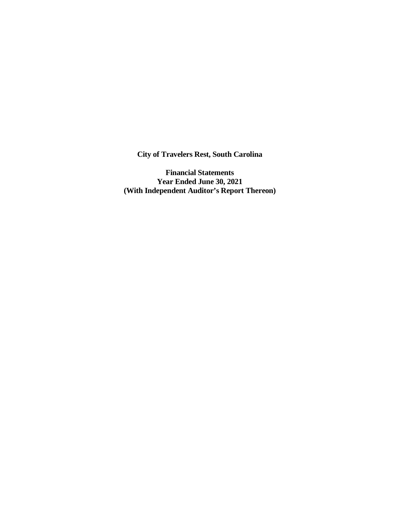**Financial Statements Year Ended June 30, 2021 (With Independent Auditor's Report Thereon)**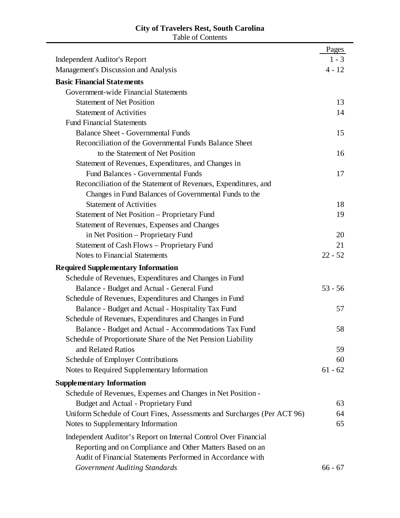#### **City of Travelers Rest, South Carolina**  Table of Contents

|                                                                          | Pages     |
|--------------------------------------------------------------------------|-----------|
| Independent Auditor's Report                                             | $1 - 3$   |
| Management's Discussion and Analysis                                     | $4 - 12$  |
| <b>Basic Financial Statements</b>                                        |           |
| Government-wide Financial Statements                                     |           |
| <b>Statement of Net Position</b>                                         | 13        |
| <b>Statement of Activities</b>                                           | 14        |
| <b>Fund Financial Statements</b>                                         |           |
| <b>Balance Sheet - Governmental Funds</b>                                | 15        |
| Reconciliation of the Governmental Funds Balance Sheet                   |           |
| to the Statement of Net Position                                         | 16        |
| Statement of Revenues, Expenditures, and Changes in                      |           |
| <b>Fund Balances - Governmental Funds</b>                                | 17        |
| Reconciliation of the Statement of Revenues, Expenditures, and           |           |
| Changes in Fund Balances of Governmental Funds to the                    |           |
| <b>Statement of Activities</b>                                           | 18        |
| <b>Statement of Net Position - Proprietary Fund</b>                      | 19        |
| Statement of Revenues, Expenses and Changes                              |           |
| in Net Position - Proprietary Fund                                       | 20        |
| Statement of Cash Flows - Proprietary Fund                               | 21        |
| <b>Notes to Financial Statements</b>                                     | $22 - 52$ |
| <b>Required Supplementary Information</b>                                |           |
| Schedule of Revenues, Expenditures and Changes in Fund                   |           |
| Balance - Budget and Actual - General Fund                               | $53 - 56$ |
| Schedule of Revenues, Expenditures and Changes in Fund                   |           |
| Balance - Budget and Actual - Hospitality Tax Fund                       | 57        |
| Schedule of Revenues, Expenditures and Changes in Fund                   |           |
| Balance - Budget and Actual - Accommodations Tax Fund                    | 58        |
| Schedule of Proportionate Share of the Net Pension Liability             |           |
| and Related Ratios                                                       | 59        |
| Schedule of Employer Contributions                                       | 60        |
| Notes to Required Supplementary Information                              | $61 - 62$ |
| <b>Supplementary Information</b>                                         |           |
| Schedule of Revenues, Expenses and Changes in Net Position -             |           |
| <b>Budget and Actual - Proprietary Fund</b>                              | 63        |
| Uniform Schedule of Court Fines, Assessments and Surcharges (Per ACT 96) | 64        |
| Notes to Supplementary Information                                       | 65        |
| Independent Auditor's Report on Internal Control Over Financial          |           |
| Reporting and on Compliance and Other Matters Based on an                |           |
| Audit of Financial Statements Performed in Accordance with               |           |
| <b>Government Auditing Standards</b>                                     | $66 - 67$ |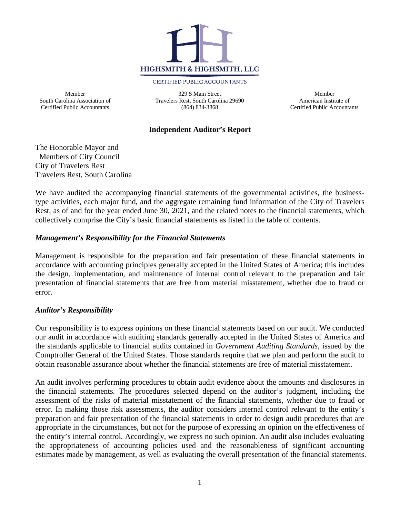

#### CERTIFIED PUBLIC ACCOUNTANTS

Member South Carolina Association of Certified Public Accountants

329 S Main Street Travelers Rest, South Carolina 29690 (864) 834-3868

Member American Institute of Certified Public Accountants

#### **Independent Auditor's Report**

The Honorable Mayor and Members of City Council City of Travelers Rest Travelers Rest, South Carolina

We have audited the accompanying financial statements of the governmental activities, the businesstype activities, each major fund, and the aggregate remaining fund information of the City of Travelers Rest, as of and for the year ended June 30, 2021, and the related notes to the financial statements, which collectively comprise the City's basic financial statements as listed in the table of contents.

#### *Management's Responsibility for the Financial Statements*

Management is responsible for the preparation and fair presentation of these financial statements in accordance with accounting principles generally accepted in the United States of America; this includes the design, implementation, and maintenance of internal control relevant to the preparation and fair presentation of financial statements that are free from material misstatement, whether due to fraud or error.

#### *Auditor's Responsibility*

Our responsibility is to express opinions on these financial statements based on our audit. We conducted our audit in accordance with auditing standards generally accepted in the United States of America and the standards applicable to financial audits contained in *Government Auditing Standards*, issued by the Comptroller General of the United States. Those standards require that we plan and perform the audit to obtain reasonable assurance about whether the financial statements are free of material misstatement.

An audit involves performing procedures to obtain audit evidence about the amounts and disclosures in the financial statements. The procedures selected depend on the auditor's judgment, including the assessment of the risks of material misstatement of the financial statements, whether due to fraud or error. In making those risk assessments, the auditor considers internal control relevant to the entity's preparation and fair presentation of the financial statements in order to design audit procedures that are appropriate in the circumstances, but not for the purpose of expressing an opinion on the effectiveness of the entity's internal control. Accordingly, we express no such opinion. An audit also includes evaluating the appropriateness of accounting policies used and the reasonableness of significant accounting estimates made by management, as well as evaluating the overall presentation of the financial statements.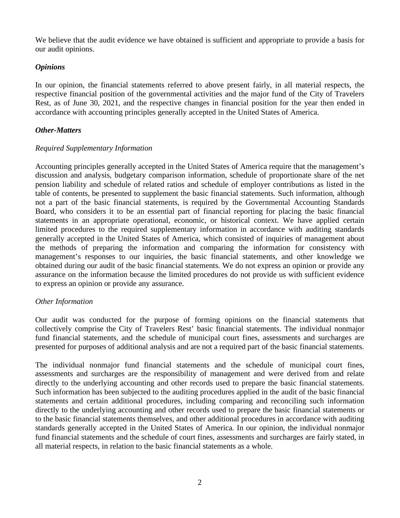We believe that the audit evidence we have obtained is sufficient and appropriate to provide a basis for our audit opinions.

## *Opinions*

In our opinion, the financial statements referred to above present fairly, in all material respects, the respective financial position of the governmental activities and the major fund of the City of Travelers Rest, as of June 30, 2021, and the respective changes in financial position for the year then ended in accordance with accounting principles generally accepted in the United States of America.

## *Other-Matters*

#### *Required Supplementary Information*

Accounting principles generally accepted in the United States of America require that the management's discussion and analysis, budgetary comparison information, schedule of proportionate share of the net pension liability and schedule of related ratios and schedule of employer contributions as listed in the table of contents, be presented to supplement the basic financial statements. Such information, although not a part of the basic financial statements, is required by the Governmental Accounting Standards Board, who considers it to be an essential part of financial reporting for placing the basic financial statements in an appropriate operational, economic, or historical context. We have applied certain limited procedures to the required supplementary information in accordance with auditing standards generally accepted in the United States of America, which consisted of inquiries of management about the methods of preparing the information and comparing the information for consistency with management's responses to our inquiries, the basic financial statements, and other knowledge we obtained during our audit of the basic financial statements. We do not express an opinion or provide any assurance on the information because the limited procedures do not provide us with sufficient evidence to express an opinion or provide any assurance.

# *Other Information*

Our audit was conducted for the purpose of forming opinions on the financial statements that collectively comprise the City of Travelers Rest' basic financial statements. The individual nonmajor fund financial statements, and the schedule of municipal court fines, assessments and surcharges are presented for purposes of additional analysis and are not a required part of the basic financial statements.

The individual nonmajor fund financial statements and the schedule of municipal court fines, assessments and surcharges are the responsibility of management and were derived from and relate directly to the underlying accounting and other records used to prepare the basic financial statements. Such information has been subjected to the auditing procedures applied in the audit of the basic financial statements and certain additional procedures, including comparing and reconciling such information directly to the underlying accounting and other records used to prepare the basic financial statements or to the basic financial statements themselves, and other additional procedures in accordance with auditing standards generally accepted in the United States of America. In our opinion, the individual nonmajor fund financial statements and the schedule of court fines, assessments and surcharges are fairly stated, in all material respects, in relation to the basic financial statements as a whole.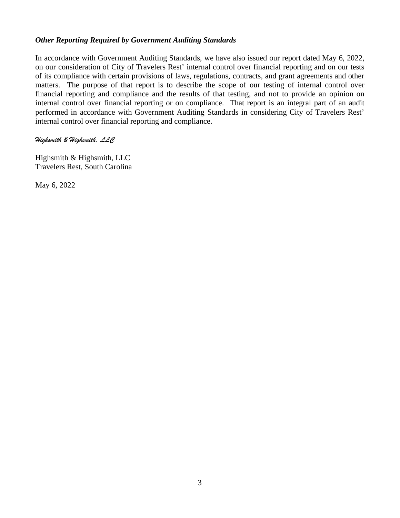#### *Other Reporting Required by Government Auditing Standards*

In accordance with Government Auditing Standards, we have also issued our report dated May 6, 2022, on our consideration of City of Travelers Rest' internal control over financial reporting and on our tests of its compliance with certain provisions of laws, regulations, contracts, and grant agreements and other matters. The purpose of that report is to describe the scope of our testing of internal control over financial reporting and compliance and the results of that testing, and not to provide an opinion on internal control over financial reporting or on compliance. That report is an integral part of an audit performed in accordance with Government Auditing Standards in considering City of Travelers Rest' internal control over financial reporting and compliance.

#### *Highsmith & Highsmith, LLC*

Highsmith & Highsmith, LLC Travelers Rest, South Carolina

May 6, 2022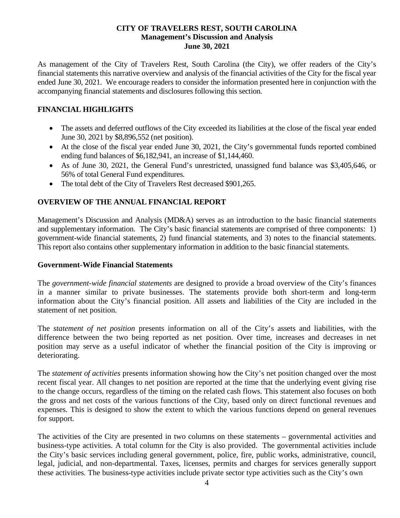As management of the City of Travelers Rest, South Carolina (the City), we offer readers of the City's financial statements this narrative overview and analysis of the financial activities of the City for the fiscal year ended June 30, 2021. We encourage readers to consider the information presented here in conjunction with the accompanying financial statements and disclosures following this section.

# **FINANCIAL HIGHLIGHTS**

- The assets and deferred outflows of the City exceeded its liabilities at the close of the fiscal year ended June 30, 2021 by \$8,896,552 (net position).
- At the close of the fiscal year ended June 30, 2021, the City's governmental funds reported combined ending fund balances of \$6,182,941, an increase of \$1,144,460.
- As of June 30, 2021, the General Fund's unrestricted, unassigned fund balance was \$3,405,646, or 56% of total General Fund expenditures.
- The total debt of the City of Travelers Rest decreased \$901,265.

# **OVERVIEW OF THE ANNUAL FINANCIAL REPORT**

Management's Discussion and Analysis (MD&A) serves as an introduction to the basic financial statements and supplementary information. The City's basic financial statements are comprised of three components: 1) government-wide financial statements, 2) fund financial statements, and 3) notes to the financial statements. This report also contains other supplementary information in addition to the basic financial statements.

#### **Government-Wide Financial Statements**

The *government-wide financial statements* are designed to provide a broad overview of the City's finances in a manner similar to private businesses. The statements provide both short-term and long-term information about the City's financial position. All assets and liabilities of the City are included in the statement of net position.

The *statement of net position* presents information on all of the City's assets and liabilities, with the difference between the two being reported as net position. Over time, increases and decreases in net position may serve as a useful indicator of whether the financial position of the City is improving or deteriorating.

The *statement of activities* presents information showing how the City's net position changed over the most recent fiscal year. All changes to net position are reported at the time that the underlying event giving rise to the change occurs, regardless of the timing on the related cash flows. This statement also focuses on both the gross and net costs of the various functions of the City, based only on direct functional revenues and expenses. This is designed to show the extent to which the various functions depend on general revenues for support.

The activities of the City are presented in two columns on these statements – governmental activities and business-type activities. A total column for the City is also provided. The governmental activities include the City's basic services including general government, police, fire, public works, administrative, council, legal, judicial, and non-departmental. Taxes, licenses, permits and charges for services generally support these activities. The business-type activities include private sector type activities such as the City's own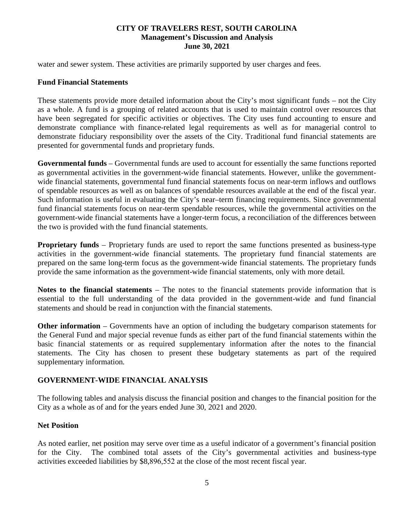water and sewer system. These activities are primarily supported by user charges and fees.

#### **Fund Financial Statements**

These statements provide more detailed information about the City's most significant funds – not the City as a whole. A fund is a grouping of related accounts that is used to maintain control over resources that have been segregated for specific activities or objectives. The City uses fund accounting to ensure and demonstrate compliance with finance-related legal requirements as well as for managerial control to demonstrate fiduciary responsibility over the assets of the City. Traditional fund financial statements are presented for governmental funds and proprietary funds.

**Governmental funds** – Governmental funds are used to account for essentially the same functions reported as governmental activities in the government-wide financial statements. However, unlike the governmentwide financial statements, governmental fund financial statements focus on near-term inflows and outflows of spendable resources as well as on balances of spendable resources available at the end of the fiscal year. Such information is useful in evaluating the City's near–term financing requirements. Since governmental fund financial statements focus on near-term spendable resources, while the governmental activities on the government-wide financial statements have a longer-term focus, a reconciliation of the differences between the two is provided with the fund financial statements.

**Proprietary funds** – Proprietary funds are used to report the same functions presented as business-type activities in the government-wide financial statements. The proprietary fund financial statements are prepared on the same long-term focus as the government-wide financial statements. The proprietary funds provide the same information as the government-wide financial statements, only with more detail.

**Notes to the financial statements** – The notes to the financial statements provide information that is essential to the full understanding of the data provided in the government-wide and fund financial statements and should be read in conjunction with the financial statements.

**Other information** – Governments have an option of including the budgetary comparison statements for the General Fund and major special revenue funds as either part of the fund financial statements within the basic financial statements or as required supplementary information after the notes to the financial statements. The City has chosen to present these budgetary statements as part of the required supplementary information.

#### **GOVERNMENT-WIDE FINANCIAL ANALYSIS**

The following tables and analysis discuss the financial position and changes to the financial position for the City as a whole as of and for the years ended June 30, 2021 and 2020.

#### **Net Position**

As noted earlier, net position may serve over time as a useful indicator of a government's financial position for the City. The combined total assets of the City's governmental activities and business-type activities exceeded liabilities by \$8,896,552 at the close of the most recent fiscal year.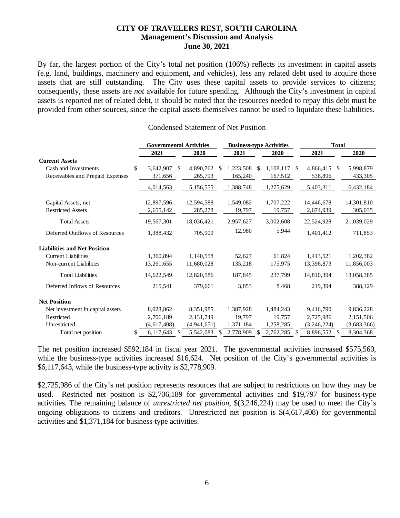By far, the largest portion of the City's total net position (106%) reflects its investment in capital assets (e.g. land, buildings, machinery and equipment, and vehicles), less any related debt used to acquire those assets that are still outstanding. The City uses these capital assets to provide services to citizens; consequently, these assets are *not* available for future spending. Although the City's investment in capital assets is reported net of related debt, it should be noted that the resources needed to repay this debt must be provided from other sources, since the capital assets themselves cannot be used to liquidate these liabilities.

|                                     |    | <b>Governmental Activities</b> |    |             |    |           | <b>Business-type Activities</b> |           | <b>Total</b>  |             |    |             |
|-------------------------------------|----|--------------------------------|----|-------------|----|-----------|---------------------------------|-----------|---------------|-------------|----|-------------|
|                                     |    | 2021                           |    | 2020        |    | 2021      |                                 | 2020      |               | 2021        |    | 2020        |
| <b>Current Assets</b>               |    |                                |    |             |    |           |                                 |           |               |             |    |             |
| Cash and Investments                | \$ | 3,642,907                      | \$ | 4,890,762   | S  | 1,223,508 | \$                              | 1,108,117 | <sup>\$</sup> | 4,866,415   | \$ | 5,998,879   |
| Receivables and Prepaid Expenses    |    | 371,656                        |    | 265,793     |    | 165,240   |                                 | 167,512   |               | 536,896     |    | 433,305     |
|                                     |    | 4,014,563                      |    | 5,156,555   |    | 1,388,748 |                                 | 1,275,629 |               | 5,403,311   |    | 6,432,184   |
| Capital Assets, net                 |    | 12,897,596                     |    | 12,594,588  |    | 1,549,082 |                                 | 1,707,222 |               | 14,446,678  |    | 14,301,810  |
| <b>Restricted Assets</b>            |    | 2,655,142                      |    | 285,278     |    | 19,797    |                                 | 19,757    |               | 2,674,939   |    | 305,035     |
| <b>Total Assets</b>                 |    | 19,567,301                     |    | 18,036,421  |    | 2,957,627 |                                 | 3,002,608 |               | 22,524,928  |    | 21,039,029  |
| Deferred Outflows of Resources      |    | 1,388,432                      |    | 705,909     |    | 12,980    |                                 | 5,944     |               | 1.401.412   |    | 711,853     |
| <b>Liabilities and Net Position</b> |    |                                |    |             |    |           |                                 |           |               |             |    |             |
| <b>Current Liabilities</b>          |    | 1,360,894                      |    | 1,140,558   |    | 52,627    |                                 | 61,824    |               | 1,413,521   |    | 1,202,382   |
| Non-current Liabilities             |    | 13,261,655                     |    | 11,680,028  |    | 135,218   |                                 | 175,975   |               | 13,396,873  |    | 11,856,003  |
| <b>Total Liabilities</b>            |    | 14,622,549                     |    | 12,820,586  |    | 187,845   |                                 | 237,799   |               | 14,810,394  |    | 13,058,385  |
| Deferred Inflows of Resources       |    | 215,541                        |    | 379,661     |    | 3,853     |                                 | 8,468     |               | 219,394     |    | 388,129     |
| <b>Net Position</b>                 |    |                                |    |             |    |           |                                 |           |               |             |    |             |
| Net investment in capital assets    |    | 8,028,862                      |    | 8,351,985   |    | 1,387,928 |                                 | 1,484,243 |               | 9,416,790   |    | 9,836,228   |
| Restricted                          |    | 2,706,189                      |    | 2,131,749   |    | 19.797    |                                 | 19.757    |               | 2,725,986   |    | 2,151,506   |
| Unrestricted                        |    | (4,617,408)                    |    | (4,941,651) |    | 1,371,184 |                                 | 1,258,285 |               | (3,246,224) |    | (3,683,366) |
| Total net position                  | S. | 6,117,643                      | S  | 5,542,083   | S. | 2,778,909 |                                 | 2,762,285 | <sup>\$</sup> | 8,896,552   | \$ | 8,304,368   |

#### Condensed Statement of Net Position

The net position increased \$592,184 in fiscal year 2021. The governmental activities increased \$575,560, while the business-type activities increased \$16,624. Net position of the City's governmental activities is \$6,117,643, while the business-type activity is \$2,778,909.

\$2,725,986 of the City's net position represents resources that are subject to restrictions on how they may be used. Restricted net position is \$2,706,189 for governmental activities and \$19,797 for business-type activities. The remaining balance of *unrestricted net position,* \$(3,246,224) may be used to meet the City's ongoing obligations to citizens and creditors. Unrestricted net position is \$(4,617,408) for governmental activities and \$1,371,184 for business-type activities.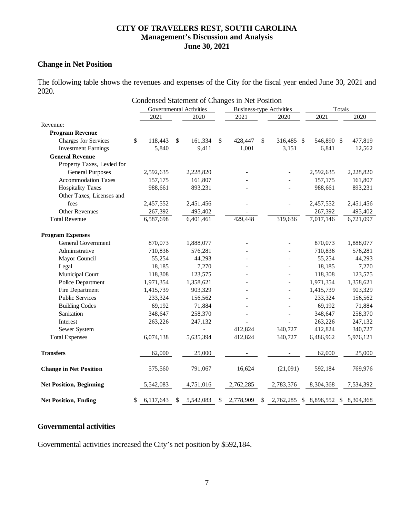## **Change in Net Position**

The following table shows the revenues and expenses of the City for the fiscal year ended June 30, 2021 and 2020.

|                                | Condensed Statement of Changes in Net Position |                         |           |              |           |                                 |              |              |  |           |  |
|--------------------------------|------------------------------------------------|-------------------------|-----------|--------------|-----------|---------------------------------|--------------|--------------|--|-----------|--|
|                                |                                                | Governmental Activities |           |              |           | <b>Business-type Activities</b> | Totals       |              |  |           |  |
|                                | 2021                                           |                         | 2020      |              | 2021      |                                 | 2020         | 2021         |  | 2020      |  |
| Revenue:                       |                                                |                         |           |              |           |                                 |              |              |  |           |  |
| <b>Program Revenue</b>         |                                                |                         |           |              |           |                                 |              |              |  |           |  |
| <b>Charges for Services</b>    | \$<br>118,443                                  | <sup>\$</sup>           | 161,334   | $\mathbb{S}$ | 428,447   | $\mathbb{S}$                    | 316,485 \$   | 546,890 \$   |  | 477,819   |  |
| <b>Investment Earnings</b>     | 5,840                                          |                         | 9,411     |              | 1,001     |                                 | 3,151        | 6,841        |  | 12,562    |  |
| <b>General Revenue</b>         |                                                |                         |           |              |           |                                 |              |              |  |           |  |
| Property Taxes, Levied for     |                                                |                         |           |              |           |                                 |              |              |  |           |  |
| <b>General Purposes</b>        | 2,592,635                                      |                         | 2,228,820 |              |           |                                 |              | 2,592,635    |  | 2,228,820 |  |
| <b>Accommodation Taxes</b>     | 157,175                                        |                         | 161,807   |              |           |                                 |              | 157,175      |  | 161,807   |  |
| <b>Hospitality Taxes</b>       | 988,661                                        |                         | 893,231   |              |           |                                 |              | 988,661      |  | 893,231   |  |
| Other Taxes, Licenses and      |                                                |                         |           |              |           |                                 |              |              |  |           |  |
| fees                           | 2,457,552                                      |                         | 2,451,456 |              |           |                                 |              | 2,457,552    |  | 2,451,456 |  |
| <b>Other Revenues</b>          | 267,392                                        |                         | 495,402   |              |           |                                 |              | 267,392      |  | 495,402   |  |
| <b>Total Revenue</b>           | 6,587,698                                      |                         | 6,401,461 |              | 429,448   |                                 | 319,636      | 7,017,146    |  | 6,721,097 |  |
| <b>Program Expenses</b>        |                                                |                         |           |              |           |                                 |              |              |  |           |  |
| <b>General Government</b>      | 870,073                                        |                         | 1,888,077 |              |           |                                 |              | 870,073      |  | 1,888,077 |  |
| Administrative                 | 710,836                                        |                         | 576,281   |              |           |                                 |              | 710,836      |  | 576,281   |  |
| Mayor Council                  | 55,254                                         |                         | 44,293    |              |           |                                 |              | 55,254       |  | 44,293    |  |
| Legal                          | 18,185                                         |                         | 7,270     |              |           |                                 |              | 18,185       |  | 7,270     |  |
| Municipal Court                | 118,308                                        |                         | 123,575   |              |           |                                 |              | 118,308      |  | 123,575   |  |
| Police Department              | 1,971,354                                      |                         | 1,358,621 |              |           |                                 |              | 1,971,354    |  | 1,358,621 |  |
| Fire Department                | 1,415,739                                      |                         | 903,329   |              |           |                                 |              | 1,415,739    |  | 903,329   |  |
| <b>Public Services</b>         | 233,324                                        |                         | 156,562   |              |           |                                 |              | 233,324      |  | 156,562   |  |
| <b>Building Codes</b>          | 69,192                                         |                         | 71,884    |              |           |                                 |              | 69,192       |  | 71,884    |  |
| Sanitation                     | 348,647                                        |                         | 258,370   |              |           |                                 |              | 348,647      |  | 258,370   |  |
| Interest                       | 263,226                                        |                         | 247,132   |              |           |                                 |              | 263,226      |  | 247,132   |  |
| Sewer System                   |                                                |                         |           |              | 412,824   |                                 | 340,727      | 412,824      |  | 340,727   |  |
| <b>Total Expenses</b>          | 6,074,138                                      |                         | 5,635,394 |              | 412,824   |                                 | 340,727      | 6,486,962    |  | 5,976,121 |  |
| <b>Transfers</b>               | 62,000                                         |                         | 25,000    |              |           |                                 |              | 62,000       |  | 25,000    |  |
|                                |                                                |                         |           |              |           |                                 |              |              |  |           |  |
| <b>Change in Net Position</b>  | 575,560                                        |                         | 791,067   |              | 16,624    |                                 | (21,091)     | 592,184      |  | 769,976   |  |
| <b>Net Position, Beginning</b> | 5,542,083                                      |                         | 4,751,016 |              | 2,762,285 |                                 | 2,783,376    | 8,304,368    |  | 7,534,392 |  |
| <b>Net Position, Ending</b>    | \$<br>6,117,643                                | \$                      | 5,542,083 | \$           | 2,778,909 | \$                              | 2,762,285 \$ | 8,896,552 \$ |  | 8,304,368 |  |

#### **Governmental activities**

Governmental activities increased the City's net position by \$592,184.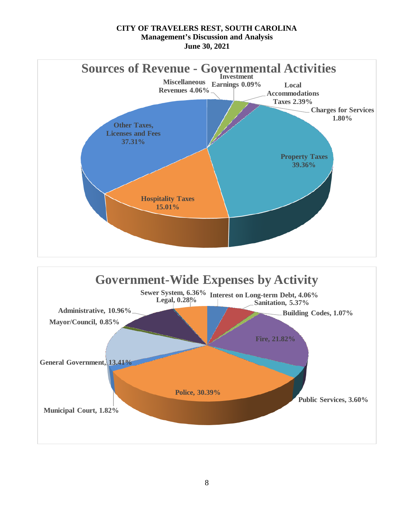

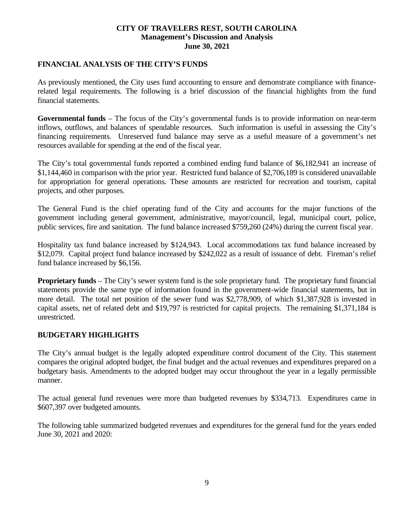#### **FINANCIAL ANALYSIS OF THE CITY'S FUNDS**

As previously mentioned, the City uses fund accounting to ensure and demonstrate compliance with financerelated legal requirements. The following is a brief discussion of the financial highlights from the fund financial statements.

**Governmental funds** – The focus of the City's governmental funds is to provide information on near-term inflows, outflows, and balances of spendable resources. Such information is useful in assessing the City's financing requirements. Unreserved fund balance may serve as a useful measure of a government's net resources available for spending at the end of the fiscal year.

The City's total governmental funds reported a combined ending fund balance of \$6,182,941 an increase of \$1,144,460 in comparison with the prior year. Restricted fund balance of \$2,706,189 is considered unavailable for appropriation for general operations. These amounts are restricted for recreation and tourism, capital projects, and other purposes.

The General Fund is the chief operating fund of the City and accounts for the major functions of the government including general government, administrative, mayor/council, legal, municipal court, police, public services, fire and sanitation. The fund balance increased \$759,260 (24%) during the current fiscal year.

Hospitality tax fund balance increased by \$124,943. Local accommodations tax fund balance increased by \$12,079. Capital project fund balance increased by \$242,022 as a result of issuance of debt. Fireman's relief fund balance increased by \$6,156.

**Proprietary funds** – The City's sewer system fund is the sole proprietary fund. The proprietary fund financial statements provide the same type of information found in the government-wide financial statements, but in more detail. The total net position of the sewer fund was \$2,778,909, of which \$1,387,928 is invested in capital assets, net of related debt and \$19,797 is restricted for capital projects. The remaining \$1,371,184 is unrestricted.

#### **BUDGETARY HIGHLIGHTS**

The City's annual budget is the legally adopted expenditure control document of the City. This statement compares the original adopted budget, the final budget and the actual revenues and expenditures prepared on a budgetary basis. Amendments to the adopted budget may occur throughout the year in a legally permissible manner.

The actual general fund revenues were more than budgeted revenues by \$334,713. Expenditures came in \$607,397 over budgeted amounts.

The following table summarized budgeted revenues and expenditures for the general fund for the years ended June 30, 2021 and 2020: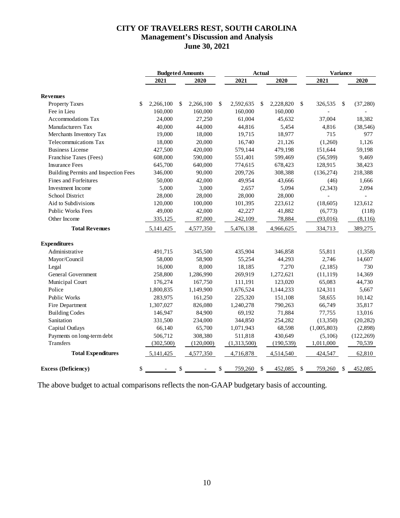|                                      |                 | <b>Budgeted Amounts</b> |                 | <b>Actual</b> |            | <b>Variance</b> |               |            |  |
|--------------------------------------|-----------------|-------------------------|-----------------|---------------|------------|-----------------|---------------|------------|--|
|                                      | 2021            | 2020                    | 2021            |               | 2020       | 2021            |               | 2020       |  |
| <b>Revenues</b>                      |                 |                         |                 |               |            |                 |               |            |  |
| <b>Property Taxes</b>                | \$<br>2,266,100 | \$<br>2,266,100         | \$<br>2,592,635 | \$            | 2,228,820  | \$<br>326,535   | <sup>\$</sup> | (37, 280)  |  |
| Fee in Lieu                          | 160,000         | 160,000                 | 160,000         |               | 160,000    |                 |               |            |  |
| <b>Accommodations Tax</b>            | 24,000          | 27,250                  | 61,004          |               | 45,632     | 37,004          |               | 18,382     |  |
| Manufacturers Tax                    | 40,000          | 44,000                  | 44,816          |               | 5,454      | 4,816           |               | (38, 546)  |  |
| Merchants Inventory Tax              | 19,000          | 18,000                  | 19,715          |               | 18,977     | 715             |               | 977        |  |
| Telecommuications Tax                | 18,000          | 20,000                  | 16,740          |               | 21,126     | (1,260)         |               | 1,126      |  |
| <b>Business License</b>              | 427,500         | 420,000                 | 579,144         |               | 479,198    | 151,644         |               | 59,198     |  |
| Franchise Taxes (Fees)               | 608,000         | 590,000                 | 551,401         |               | 599,469    | (56, 599)       |               | 9,469      |  |
| <b>Insurance Fees</b>                | 645,700         | 640,000                 | 774,615         |               | 678,423    | 128,915         |               | 38,423     |  |
| Building Permits and Inspection Fees | 346,000         | 90,000                  | 209,726         |               | 308,388    | (136, 274)      |               | 218,388    |  |
| Fines and Forfeitures                | 50,000          | 42,000                  | 49,954          |               | 43,666     | (46)            |               | 1,666      |  |
| <b>Investment Income</b>             | 5,000           | 3,000                   | 2,657           |               | 5,094      | (2, 343)        |               | 2,094      |  |
| School District                      | 28,000          | 28,000                  | 28,000          |               | 28,000     |                 |               |            |  |
| Aid to Subdivisions                  | 120,000         | 100,000                 | 101,395         |               | 223,612    | (18,605)        |               | 123,612    |  |
| Public Works Fees                    | 49,000          | 42,000                  | 42,227          |               | 41,882     | (6,773)         |               | (118)      |  |
| Other Income                         | 335,125         | 87,000                  | 242,109         |               | 78,884     | (93,016)        |               | (8,116)    |  |
| <b>Total Revenues</b>                | 5, 141, 425     | 4,577,350               | 5,476,138       |               | 4,966,625  | 334,713         |               | 389,275    |  |
| <b>Expenditures</b>                  |                 |                         |                 |               |            |                 |               |            |  |
| Administrative                       | 491,715         | 345,500                 | 435,904         |               | 346,858    | 55,811          |               | (1,358)    |  |
| Mayor/Council                        | 58,000          | 58,900                  | 55,254          |               | 44,293     | 2,746           |               | 14,607     |  |
| Legal                                | 16,000          | 8,000                   | 18,185          |               | 7,270      | (2,185)         |               | 730        |  |
| General Government                   | 258,800         | 1,286,990               | 269,919         |               | 1,272,621  | (11, 119)       |               | 14,369     |  |
| Municipal Court                      | 176,274         | 167,750                 | 111,191         |               | 123,020    | 65,083          |               | 44,730     |  |
| Police                               | 1,800,835       | 1,149,900               | 1,676,524       |               | 1,144,233  | 124,311         |               | 5,667      |  |
| Public Works                         | 283,975         | 161,250                 | 225,320         |               | 151,108    | 58,655          |               | 10,142     |  |
| Fire Department                      | 1,307,027       | 826,080                 | 1,240,278       |               | 790,263    | 66,749          |               | 35,817     |  |
| <b>Building Codes</b>                | 146,947         | 84,900                  | 69,192          |               | 71,884     | 77,755          |               | 13,016     |  |
| Sanitation                           | 331,500         | 234,000                 | 344,850         |               | 254,282    | (13,350)        |               | (20, 282)  |  |
| Capital Outlays                      | 66,140          | 65,700                  | 1,071,943       |               | 68,598     | (1,005,803)     |               | (2,898)    |  |
| Payments on long-term debt           | 506,712         | 308,380                 | 511,818         |               | 430,649    | (5,106)         |               | (122, 269) |  |
| <b>Transfers</b>                     | (302, 500)      | (120,000)               | (1,313,500)     |               | (190, 539) | 1,011,000       |               | 70,539     |  |
| <b>Total Expenditures</b>            | 5,141,425       | 4,577,350               | 4,716,878       |               | 4,514,540  | 424,547         |               | 62,810     |  |
| <b>Excess (Deficiency)</b>           | \$              | \$                      | \$<br>759,260   | \$            | 452,085    | \$<br>759,260   | <sup>\$</sup> | 452,085    |  |

The above budget to actual comparisons reflects the non-GAAP budgetary basis of accounting.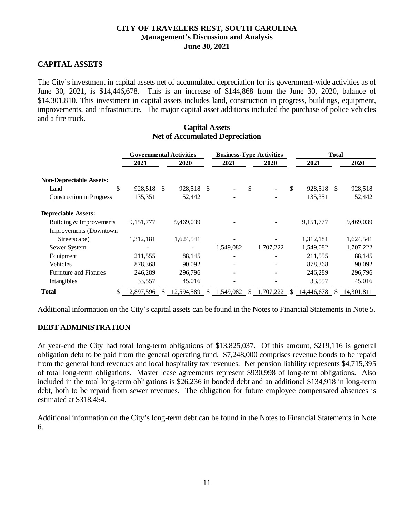#### **CAPITAL ASSETS**

The City's investment in capital assets net of accumulated depreciation for its government-wide activities as of June 30, 2021, is \$14,446,678. This is an increase of \$144,868 from the June 30, 2020, balance of \$14,301,810. This investment in capital assets includes land, construction in progress, buildings, equipment, improvements, and infrastructure. The major capital asset additions included the purchase of police vehicles and a fire truck.

#### **Capital Assets Net of Accumulated Depreciation**

|                                 |            |   | <b>Governmental Activities</b> |    | <b>Business-Type Activities</b> |     |           |    | <b>Total</b> |      |            |
|---------------------------------|------------|---|--------------------------------|----|---------------------------------|-----|-----------|----|--------------|------|------------|
|                                 | 2021       |   | 2020                           |    | 2021                            |     | 2020      |    | 2021         |      | 2020       |
| <b>Non-Depreciable Assets:</b>  |            |   |                                |    |                                 |     |           |    |              |      |            |
| \$<br>Land                      | 928,518 \$ |   | 928,518 \$                     |    |                                 | \$  |           | \$ | 928,518      | - \$ | 928,518    |
| <b>Construction in Progress</b> | 135,351    |   | 52,442                         |    |                                 |     |           |    | 135,351      |      | 52,442     |
| <b>Depreciable Assets:</b>      |            |   |                                |    |                                 |     |           |    |              |      |            |
| Building & Improvements         | 9,151,777  |   | 9,469,039                      |    |                                 |     |           |    | 9,151,777    |      | 9,469,039  |
| Improvements (Downtown          |            |   |                                |    |                                 |     |           |    |              |      |            |
| Streetscape)                    | 1,312,181  |   | 1,624,541                      |    |                                 |     |           |    | 1,312,181    |      | 1,624,541  |
| Sewer System                    |            |   |                                |    | 1,549,082                       |     | 1,707,222 |    | 1,549,082    |      | 1,707,222  |
| Equipment                       | 211,555    |   | 88,145                         |    |                                 |     |           |    | 211,555      |      | 88,145     |
| Vehicles                        | 878,368    |   | 90.092                         |    |                                 |     |           |    | 878,368      |      | 90,092     |
| Furniture and Fixtures          | 246,289    |   | 296,796                        |    |                                 |     |           |    | 246,289      |      | 296,796    |
| Intangibles                     | 33,557     |   | 45,016                         |    |                                 |     |           |    | 33,557       |      | 45,016     |
| <b>Total</b><br>\$              | 12,897,596 | S | 12,594,589                     | S. | 1,549,082                       | \$. | 1,707,222 |    | 14,446,678   |      | 14,301,811 |

Additional information on the City's capital assets can be found in the Notes to Financial Statements in Note 5.

# **DEBT ADMINISTRATION**

At year-end the City had total long-term obligations of \$13,825,037. Of this amount, \$219,116 is general obligation debt to be paid from the general operating fund. \$7,248,000 comprises revenue bonds to be repaid from the general fund revenues and local hospitality tax revenues. Net pension liability represents \$4,715,395 of total long-term obligations. Master lease agreements represent \$930,998 of long-term obligations. Also included in the total long-term obligations is \$26,236 in bonded debt and an additional \$134,918 in long-term debt, both to be repaid from sewer revenues. The obligation for future employee compensated absences is estimated at \$318,454.

Additional information on the City's long-term debt can be found in the Notes to Financial Statements in Note 6.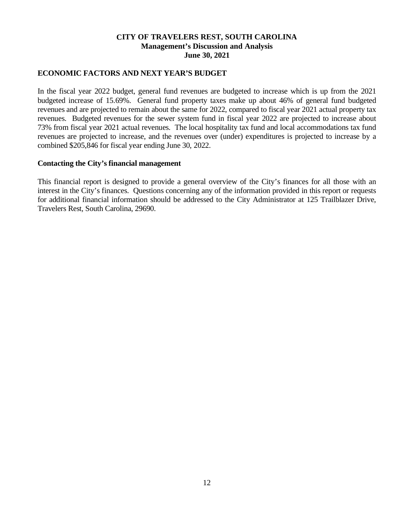## **ECONOMIC FACTORS AND NEXT YEAR'S BUDGET**

In the fiscal year 2022 budget, general fund revenues are budgeted to increase which is up from the 2021 budgeted increase of 15.69%. General fund property taxes make up about 46% of general fund budgeted revenues and are projected to remain about the same for 2022, compared to fiscal year 2021 actual property tax revenues. Budgeted revenues for the sewer system fund in fiscal year 2022 are projected to increase about 73% from fiscal year 2021 actual revenues. The local hospitality tax fund and local accommodations tax fund revenues are projected to increase, and the revenues over (under) expenditures is projected to increase by a combined \$205,846 for fiscal year ending June 30, 2022.

#### **Contacting the City's financial management**

This financial report is designed to provide a general overview of the City's finances for all those with an interest in the City's finances. Questions concerning any of the information provided in this report or requests for additional financial information should be addressed to the City Administrator at 125 Trailblazer Drive, Travelers Rest, South Carolina, 29690.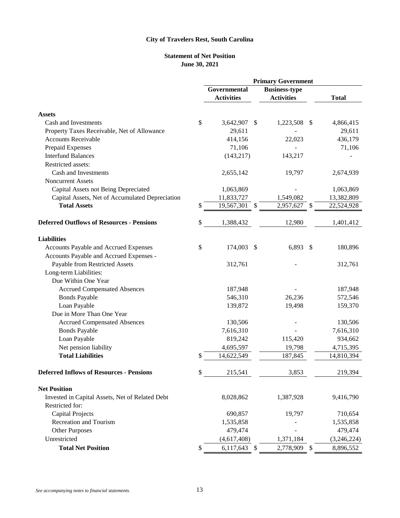#### **Statement of Net Position June 30, 2021**

|                                                  |    | <b>Primary Government</b> |               |                      |               |              |  |  |
|--------------------------------------------------|----|---------------------------|---------------|----------------------|---------------|--------------|--|--|
|                                                  |    | Governmental              |               | <b>Business-type</b> |               |              |  |  |
|                                                  |    | <b>Activities</b>         |               | <b>Activities</b>    |               | <b>Total</b> |  |  |
| <b>Assets</b>                                    |    |                           |               |                      |               |              |  |  |
| Cash and Investments                             | \$ | 3,642,907                 | -S            | 1,223,508 \$         |               | 4,866,415    |  |  |
| Property Taxes Receivable, Net of Allowance      |    | 29,611                    |               |                      |               | 29,611       |  |  |
| <b>Accounts Receivable</b>                       |    | 414,156                   |               | 22,023               |               | 436,179      |  |  |
| Prepaid Expenses                                 |    | 71,106                    |               |                      |               | 71,106       |  |  |
| <b>Interfund Balances</b>                        |    | (143, 217)                |               | 143,217              |               |              |  |  |
| Restricted assets:                               |    |                           |               |                      |               |              |  |  |
| Cash and Investments                             |    | 2,655,142                 |               | 19,797               |               | 2,674,939    |  |  |
| <b>Noncurrent Assets</b>                         |    |                           |               |                      |               |              |  |  |
| Capital Assets not Being Depreciated             |    | 1,063,869                 |               |                      |               | 1,063,869    |  |  |
| Capital Assets, Net of Accumulated Depreciation  |    | 11,833,727                |               | 1,549,082            |               | 13,382,809   |  |  |
| <b>Total Assets</b>                              | \$ | 19,567,301                | $\mathcal{S}$ | 2,957,627            |               | 22,524,928   |  |  |
| <b>Deferred Outflows of Resources - Pensions</b> | \$ | 1,388,432                 |               | 12,980               |               | 1,401,412    |  |  |
| <b>Liabilities</b>                               |    |                           |               |                      |               |              |  |  |
| Accounts Payable and Accrued Expenses            | \$ | 174,003 \$                |               | 6,893                | <sup>\$</sup> | 180,896      |  |  |
| Accounts Payable and Accrued Expenses -          |    |                           |               |                      |               |              |  |  |
| Payable from Restricted Assets                   |    | 312,761                   |               |                      |               | 312,761      |  |  |
| Long-term Liabilities:                           |    |                           |               |                      |               |              |  |  |
| Due Within One Year                              |    |                           |               |                      |               |              |  |  |
| <b>Accrued Compensated Absences</b>              |    | 187,948                   |               |                      |               | 187,948      |  |  |
| <b>Bonds Payable</b>                             |    | 546,310                   |               | 26,236               |               | 572,546      |  |  |
| Loan Payable                                     |    | 139,872                   |               | 19,498               |               | 159,370      |  |  |
| Due in More Than One Year                        |    |                           |               |                      |               |              |  |  |
| <b>Accrued Compensated Absences</b>              |    | 130,506                   |               |                      |               | 130,506      |  |  |
| <b>Bonds Payable</b>                             |    | 7,616,310                 |               |                      |               | 7,616,310    |  |  |
| Loan Payable                                     |    | 819,242                   |               | 115,420              |               | 934,662      |  |  |
| Net pension liability                            |    | 4,695,597                 |               | 19,798               |               | 4,715,395    |  |  |
| <b>Total Liabilities</b>                         | S  | 14,622,549                |               | 187,845              |               | 14,810,394   |  |  |
| <b>Deferred Inflows of Resources - Pensions</b>  | \$ | 215,541                   |               | 3,853                |               | 219,394      |  |  |
| <b>Net Position</b>                              |    |                           |               |                      |               |              |  |  |
| Invested in Capital Assets, Net of Related Debt  |    | 8,028,862                 |               | 1,387,928            |               | 9,416,790    |  |  |
| Restricted for:                                  |    |                           |               |                      |               |              |  |  |
| <b>Capital Projects</b>                          |    | 690,857                   |               | 19,797               |               | 710,654      |  |  |
| Recreation and Tourism                           |    | 1,535,858                 |               |                      |               | 1,535,858    |  |  |
| <b>Other Purposes</b>                            |    | 479,474                   |               |                      |               | 479,474      |  |  |
| Unrestricted                                     |    | (4,617,408)               |               | 1,371,184            |               | (3,246,224)  |  |  |
| <b>Total Net Position</b>                        | \$ | 6,117,643                 | \$            | 2,778,909 \$         |               | 8,896,552    |  |  |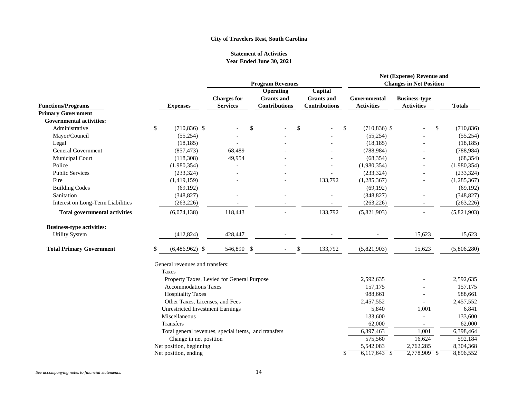#### **Statement of ActivitiesYear Ended June 30, 2021**

| Capital<br>Operating<br><b>Grants</b> and<br><b>Charges</b> for<br><b>Grants</b> and<br>Governmental<br><b>Business-type</b><br><b>Contributions</b><br><b>Contributions</b><br><b>Activities</b><br><b>Activities</b><br><b>Totals</b><br><b>Services</b><br><b>Expenses</b><br><b>Governmental activities:</b><br>\$<br>\$<br>$\$$<br>Administrative<br>$(710, 836)$ \$<br>\$<br>\$<br>$(710, 836)$ \$<br>(710, 836)<br>Mayor/Council<br>(55, 254)<br>(55, 254)<br>(55, 254)<br>(18, 185)<br>(18, 185)<br>(18, 185)<br>Legal<br><b>General Government</b><br>68,489<br>(788, 984)<br>(857, 473)<br>(788, 984)<br>Municipal Court<br>49,954<br>(118,308)<br>(68, 354)<br>(68, 354)<br>Police<br>(1,980,354)<br>(1,980,354)<br>(1,980,354)<br><b>Public Services</b><br>(233, 324)<br>(233, 324)<br>(233, 324)<br>(1,419,159)<br>133,792<br>(1, 285, 367)<br>(1,285,367)<br>Fire<br><b>Building Codes</b><br>(69, 192)<br>(69, 192)<br>(69, 192)<br>Sanitation<br>(348, 827)<br>(348, 827)<br>(348, 827)<br>Interest on Long-Term Liabilities<br>(263, 226)<br>(263, 226)<br>(263, 226)<br>133,792<br>118,443<br>(5,821,903)<br>(5,821,903)<br><b>Total governmental activities</b><br>(6,074,138)<br>$\overline{\phantom{a}}$<br><b>Business-type activities:</b><br>428,447<br><b>Utility System</b><br>(412, 824)<br>15,623<br>15,623<br><b>Total Primary Government</b><br>$(6,486,962)$ \$<br>546,890 \$<br>$\boldsymbol{\mathsf{S}}$<br>133,792<br>(5,821,903)<br>15,623<br>(5,806,280)<br>S<br>$\sim$<br>General revenues and transfers:<br><b>Taxes</b><br>Property Taxes, Levied for General Purpose<br>2,592,635<br>2,592,635<br><b>Accommodations Taxes</b><br>157,175<br>157,175<br>988,661<br>988,661<br><b>Hospitality Taxes</b><br>Other Taxes, Licenses, and Fees<br>2,457,552<br>2,457,552<br><b>Unrestricted Investment Earnings</b><br>5,840<br>6,841<br>1,001<br>Miscellaneous<br>133,600<br>133,600<br><b>Transfers</b><br>62,000<br>62,000<br>$\overline{\phantom{a}}$<br>Total general revenues, special items, and transfers<br>6,397,463<br>1,001<br>6,398,464<br>Change in net position<br>575,560<br>16,624<br>592,184<br>Net position, beginning<br>5,542,083<br>2,762,285<br>8,304,368<br>Net position, ending |                           |  |  | <b>Program Revenues</b> |  |                | <b>Net (Expense) Revenue and</b><br><b>Changes in Net Position</b> |           |
|---------------------------------------------------------------------------------------------------------------------------------------------------------------------------------------------------------------------------------------------------------------------------------------------------------------------------------------------------------------------------------------------------------------------------------------------------------------------------------------------------------------------------------------------------------------------------------------------------------------------------------------------------------------------------------------------------------------------------------------------------------------------------------------------------------------------------------------------------------------------------------------------------------------------------------------------------------------------------------------------------------------------------------------------------------------------------------------------------------------------------------------------------------------------------------------------------------------------------------------------------------------------------------------------------------------------------------------------------------------------------------------------------------------------------------------------------------------------------------------------------------------------------------------------------------------------------------------------------------------------------------------------------------------------------------------------------------------------------------------------------------------------------------------------------------------------------------------------------------------------------------------------------------------------------------------------------------------------------------------------------------------------------------------------------------------------------------------------------------------------------------------------------------------------------------------------------------------------------------------------|---------------------------|--|--|-------------------------|--|----------------|--------------------------------------------------------------------|-----------|
|                                                                                                                                                                                                                                                                                                                                                                                                                                                                                                                                                                                                                                                                                                                                                                                                                                                                                                                                                                                                                                                                                                                                                                                                                                                                                                                                                                                                                                                                                                                                                                                                                                                                                                                                                                                                                                                                                                                                                                                                                                                                                                                                                                                                                                             | <b>Functions/Programs</b> |  |  |                         |  |                |                                                                    |           |
|                                                                                                                                                                                                                                                                                                                                                                                                                                                                                                                                                                                                                                                                                                                                                                                                                                                                                                                                                                                                                                                                                                                                                                                                                                                                                                                                                                                                                                                                                                                                                                                                                                                                                                                                                                                                                                                                                                                                                                                                                                                                                                                                                                                                                                             | <b>Primary Government</b> |  |  |                         |  |                |                                                                    |           |
|                                                                                                                                                                                                                                                                                                                                                                                                                                                                                                                                                                                                                                                                                                                                                                                                                                                                                                                                                                                                                                                                                                                                                                                                                                                                                                                                                                                                                                                                                                                                                                                                                                                                                                                                                                                                                                                                                                                                                                                                                                                                                                                                                                                                                                             |                           |  |  |                         |  |                |                                                                    |           |
|                                                                                                                                                                                                                                                                                                                                                                                                                                                                                                                                                                                                                                                                                                                                                                                                                                                                                                                                                                                                                                                                                                                                                                                                                                                                                                                                                                                                                                                                                                                                                                                                                                                                                                                                                                                                                                                                                                                                                                                                                                                                                                                                                                                                                                             |                           |  |  |                         |  |                |                                                                    |           |
|                                                                                                                                                                                                                                                                                                                                                                                                                                                                                                                                                                                                                                                                                                                                                                                                                                                                                                                                                                                                                                                                                                                                                                                                                                                                                                                                                                                                                                                                                                                                                                                                                                                                                                                                                                                                                                                                                                                                                                                                                                                                                                                                                                                                                                             |                           |  |  |                         |  |                |                                                                    |           |
|                                                                                                                                                                                                                                                                                                                                                                                                                                                                                                                                                                                                                                                                                                                                                                                                                                                                                                                                                                                                                                                                                                                                                                                                                                                                                                                                                                                                                                                                                                                                                                                                                                                                                                                                                                                                                                                                                                                                                                                                                                                                                                                                                                                                                                             |                           |  |  |                         |  |                |                                                                    |           |
|                                                                                                                                                                                                                                                                                                                                                                                                                                                                                                                                                                                                                                                                                                                                                                                                                                                                                                                                                                                                                                                                                                                                                                                                                                                                                                                                                                                                                                                                                                                                                                                                                                                                                                                                                                                                                                                                                                                                                                                                                                                                                                                                                                                                                                             |                           |  |  |                         |  |                |                                                                    |           |
|                                                                                                                                                                                                                                                                                                                                                                                                                                                                                                                                                                                                                                                                                                                                                                                                                                                                                                                                                                                                                                                                                                                                                                                                                                                                                                                                                                                                                                                                                                                                                                                                                                                                                                                                                                                                                                                                                                                                                                                                                                                                                                                                                                                                                                             |                           |  |  |                         |  |                |                                                                    |           |
|                                                                                                                                                                                                                                                                                                                                                                                                                                                                                                                                                                                                                                                                                                                                                                                                                                                                                                                                                                                                                                                                                                                                                                                                                                                                                                                                                                                                                                                                                                                                                                                                                                                                                                                                                                                                                                                                                                                                                                                                                                                                                                                                                                                                                                             |                           |  |  |                         |  |                |                                                                    |           |
|                                                                                                                                                                                                                                                                                                                                                                                                                                                                                                                                                                                                                                                                                                                                                                                                                                                                                                                                                                                                                                                                                                                                                                                                                                                                                                                                                                                                                                                                                                                                                                                                                                                                                                                                                                                                                                                                                                                                                                                                                                                                                                                                                                                                                                             |                           |  |  |                         |  |                |                                                                    |           |
|                                                                                                                                                                                                                                                                                                                                                                                                                                                                                                                                                                                                                                                                                                                                                                                                                                                                                                                                                                                                                                                                                                                                                                                                                                                                                                                                                                                                                                                                                                                                                                                                                                                                                                                                                                                                                                                                                                                                                                                                                                                                                                                                                                                                                                             |                           |  |  |                         |  |                |                                                                    |           |
|                                                                                                                                                                                                                                                                                                                                                                                                                                                                                                                                                                                                                                                                                                                                                                                                                                                                                                                                                                                                                                                                                                                                                                                                                                                                                                                                                                                                                                                                                                                                                                                                                                                                                                                                                                                                                                                                                                                                                                                                                                                                                                                                                                                                                                             |                           |  |  |                         |  |                |                                                                    |           |
|                                                                                                                                                                                                                                                                                                                                                                                                                                                                                                                                                                                                                                                                                                                                                                                                                                                                                                                                                                                                                                                                                                                                                                                                                                                                                                                                                                                                                                                                                                                                                                                                                                                                                                                                                                                                                                                                                                                                                                                                                                                                                                                                                                                                                                             |                           |  |  |                         |  |                |                                                                    |           |
|                                                                                                                                                                                                                                                                                                                                                                                                                                                                                                                                                                                                                                                                                                                                                                                                                                                                                                                                                                                                                                                                                                                                                                                                                                                                                                                                                                                                                                                                                                                                                                                                                                                                                                                                                                                                                                                                                                                                                                                                                                                                                                                                                                                                                                             |                           |  |  |                         |  |                |                                                                    |           |
|                                                                                                                                                                                                                                                                                                                                                                                                                                                                                                                                                                                                                                                                                                                                                                                                                                                                                                                                                                                                                                                                                                                                                                                                                                                                                                                                                                                                                                                                                                                                                                                                                                                                                                                                                                                                                                                                                                                                                                                                                                                                                                                                                                                                                                             |                           |  |  |                         |  |                |                                                                    |           |
|                                                                                                                                                                                                                                                                                                                                                                                                                                                                                                                                                                                                                                                                                                                                                                                                                                                                                                                                                                                                                                                                                                                                                                                                                                                                                                                                                                                                                                                                                                                                                                                                                                                                                                                                                                                                                                                                                                                                                                                                                                                                                                                                                                                                                                             |                           |  |  |                         |  |                |                                                                    |           |
|                                                                                                                                                                                                                                                                                                                                                                                                                                                                                                                                                                                                                                                                                                                                                                                                                                                                                                                                                                                                                                                                                                                                                                                                                                                                                                                                                                                                                                                                                                                                                                                                                                                                                                                                                                                                                                                                                                                                                                                                                                                                                                                                                                                                                                             |                           |  |  |                         |  |                |                                                                    |           |
|                                                                                                                                                                                                                                                                                                                                                                                                                                                                                                                                                                                                                                                                                                                                                                                                                                                                                                                                                                                                                                                                                                                                                                                                                                                                                                                                                                                                                                                                                                                                                                                                                                                                                                                                                                                                                                                                                                                                                                                                                                                                                                                                                                                                                                             |                           |  |  |                         |  |                |                                                                    |           |
|                                                                                                                                                                                                                                                                                                                                                                                                                                                                                                                                                                                                                                                                                                                                                                                                                                                                                                                                                                                                                                                                                                                                                                                                                                                                                                                                                                                                                                                                                                                                                                                                                                                                                                                                                                                                                                                                                                                                                                                                                                                                                                                                                                                                                                             |                           |  |  |                         |  |                |                                                                    |           |
|                                                                                                                                                                                                                                                                                                                                                                                                                                                                                                                                                                                                                                                                                                                                                                                                                                                                                                                                                                                                                                                                                                                                                                                                                                                                                                                                                                                                                                                                                                                                                                                                                                                                                                                                                                                                                                                                                                                                                                                                                                                                                                                                                                                                                                             |                           |  |  |                         |  |                |                                                                    |           |
|                                                                                                                                                                                                                                                                                                                                                                                                                                                                                                                                                                                                                                                                                                                                                                                                                                                                                                                                                                                                                                                                                                                                                                                                                                                                                                                                                                                                                                                                                                                                                                                                                                                                                                                                                                                                                                                                                                                                                                                                                                                                                                                                                                                                                                             |                           |  |  |                         |  |                |                                                                    |           |
|                                                                                                                                                                                                                                                                                                                                                                                                                                                                                                                                                                                                                                                                                                                                                                                                                                                                                                                                                                                                                                                                                                                                                                                                                                                                                                                                                                                                                                                                                                                                                                                                                                                                                                                                                                                                                                                                                                                                                                                                                                                                                                                                                                                                                                             |                           |  |  |                         |  |                |                                                                    |           |
|                                                                                                                                                                                                                                                                                                                                                                                                                                                                                                                                                                                                                                                                                                                                                                                                                                                                                                                                                                                                                                                                                                                                                                                                                                                                                                                                                                                                                                                                                                                                                                                                                                                                                                                                                                                                                                                                                                                                                                                                                                                                                                                                                                                                                                             |                           |  |  |                         |  |                |                                                                    |           |
|                                                                                                                                                                                                                                                                                                                                                                                                                                                                                                                                                                                                                                                                                                                                                                                                                                                                                                                                                                                                                                                                                                                                                                                                                                                                                                                                                                                                                                                                                                                                                                                                                                                                                                                                                                                                                                                                                                                                                                                                                                                                                                                                                                                                                                             |                           |  |  |                         |  |                |                                                                    |           |
|                                                                                                                                                                                                                                                                                                                                                                                                                                                                                                                                                                                                                                                                                                                                                                                                                                                                                                                                                                                                                                                                                                                                                                                                                                                                                                                                                                                                                                                                                                                                                                                                                                                                                                                                                                                                                                                                                                                                                                                                                                                                                                                                                                                                                                             |                           |  |  |                         |  |                |                                                                    |           |
|                                                                                                                                                                                                                                                                                                                                                                                                                                                                                                                                                                                                                                                                                                                                                                                                                                                                                                                                                                                                                                                                                                                                                                                                                                                                                                                                                                                                                                                                                                                                                                                                                                                                                                                                                                                                                                                                                                                                                                                                                                                                                                                                                                                                                                             |                           |  |  |                         |  |                |                                                                    |           |
|                                                                                                                                                                                                                                                                                                                                                                                                                                                                                                                                                                                                                                                                                                                                                                                                                                                                                                                                                                                                                                                                                                                                                                                                                                                                                                                                                                                                                                                                                                                                                                                                                                                                                                                                                                                                                                                                                                                                                                                                                                                                                                                                                                                                                                             |                           |  |  |                         |  |                |                                                                    |           |
|                                                                                                                                                                                                                                                                                                                                                                                                                                                                                                                                                                                                                                                                                                                                                                                                                                                                                                                                                                                                                                                                                                                                                                                                                                                                                                                                                                                                                                                                                                                                                                                                                                                                                                                                                                                                                                                                                                                                                                                                                                                                                                                                                                                                                                             |                           |  |  |                         |  |                |                                                                    |           |
|                                                                                                                                                                                                                                                                                                                                                                                                                                                                                                                                                                                                                                                                                                                                                                                                                                                                                                                                                                                                                                                                                                                                                                                                                                                                                                                                                                                                                                                                                                                                                                                                                                                                                                                                                                                                                                                                                                                                                                                                                                                                                                                                                                                                                                             |                           |  |  |                         |  |                |                                                                    |           |
|                                                                                                                                                                                                                                                                                                                                                                                                                                                                                                                                                                                                                                                                                                                                                                                                                                                                                                                                                                                                                                                                                                                                                                                                                                                                                                                                                                                                                                                                                                                                                                                                                                                                                                                                                                                                                                                                                                                                                                                                                                                                                                                                                                                                                                             |                           |  |  |                         |  | $6,117,643$ \$ | $2,778,909$ \$                                                     | 8,896,552 |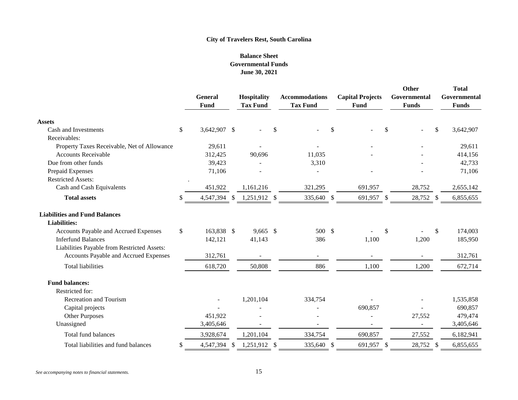#### **Balance Sheet Governmental FundsJune 30, 2021**

|                                             | <b>General</b><br><b>Fund</b> | Hospitality<br><b>Tax Fund</b> | <b>Accommodations</b><br><b>Tax Fund</b> | <b>Capital Projects</b><br><b>Fund</b> | Other<br>Governmental<br><b>Funds</b> | <b>Total</b><br>Governmental<br><b>Funds</b> |
|---------------------------------------------|-------------------------------|--------------------------------|------------------------------------------|----------------------------------------|---------------------------------------|----------------------------------------------|
| <b>Assets</b>                               |                               |                                |                                          |                                        |                                       |                                              |
| Cash and Investments                        | \$<br>3,642,907 \$            |                                | \$                                       | \$                                     | \$                                    | \$<br>3,642,907                              |
| Receivables:                                |                               |                                |                                          |                                        |                                       |                                              |
| Property Taxes Receivable, Net of Allowance | 29,611                        |                                |                                          |                                        |                                       | 29,611                                       |
| Accounts Receivable                         | 312,425                       | 90,696                         | 11,035                                   |                                        |                                       | 414,156                                      |
| Due from other funds                        | 39,423                        |                                | 3,310                                    |                                        |                                       | 42,733                                       |
| Prepaid Expenses                            | 71,106                        |                                |                                          |                                        |                                       | 71,106                                       |
| <b>Restricted Assets:</b>                   |                               |                                |                                          |                                        |                                       |                                              |
| Cash and Cash Equivalents                   | 451,922                       | 1,161,216                      | 321,295                                  | 691,957                                | 28,752                                | 2,655,142                                    |
| <b>Total assets</b>                         | \$<br>4,547,394               | \$<br>1,251,912 \$             | 335,640 \$                               | 691,957 \$                             | 28,752 \$                             | 6,855,655                                    |
| <b>Liabilities and Fund Balances</b>        |                               |                                |                                          |                                        |                                       |                                              |
| <b>Liabilities:</b>                         |                               |                                |                                          |                                        |                                       |                                              |
| Accounts Payable and Accrued Expenses       | \$<br>163,838 \$              | $9,665$ \$                     | 500 \$                                   |                                        | \$                                    | \$<br>174,003                                |
| <b>Inferfund Balances</b>                   | 142,121                       | 41,143                         | 386                                      | 1,100                                  | 1,200                                 | 185,950                                      |
| Liabilities Payable from Restricted Assets: |                               |                                |                                          |                                        |                                       |                                              |
| Accounts Payable and Accrued Expenses       | 312,761                       |                                | $\overline{\phantom{a}}$                 | $\overline{\phantom{a}}$               | $\overline{\phantom{a}}$              | 312,761                                      |
| <b>Total liabilities</b>                    | 618,720                       | 50,808                         | 886                                      | 1,100                                  | 1,200                                 | 672,714                                      |
| <b>Fund balances:</b>                       |                               |                                |                                          |                                        |                                       |                                              |
| Restricted for:                             |                               |                                |                                          |                                        |                                       |                                              |
| Recreation and Tourism                      |                               | 1,201,104                      | 334,754                                  |                                        |                                       | 1,535,858                                    |
| Capital projects                            |                               |                                |                                          | 690,857                                |                                       | 690,857                                      |
| <b>Other Purposes</b>                       | 451,922                       |                                |                                          |                                        | 27,552                                | 479,474                                      |
| Unassigned                                  | 3,405,646                     |                                |                                          |                                        |                                       | 3,405,646                                    |
| Total fund balances                         | 3,928,674                     | 1,201,104                      | 334,754                                  | 690,857                                | 27,552                                | 6,182,941                                    |
| Total liabilities and fund balances         | \$<br>4,547,394               | \$<br>1,251,912 \$             | 335,640 \$                               | 691,957 \$                             | 28,752 \$                             | 6,855,655                                    |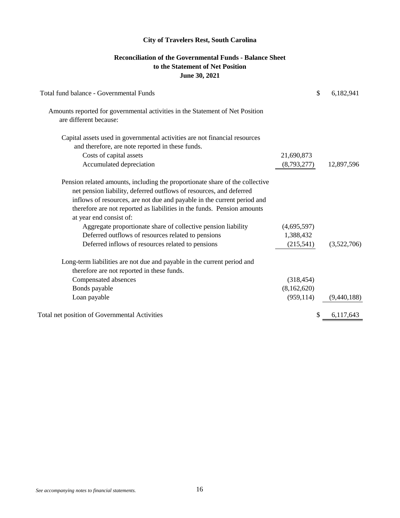## **June 30, 2021 Reconciliation of the Governmental Funds - Balance Sheet to the Statement of Net Position**

| Total fund balance - Governmental Funds                                                                                                                                                                                                                                                                                              | \$          | 6,182,941   |
|--------------------------------------------------------------------------------------------------------------------------------------------------------------------------------------------------------------------------------------------------------------------------------------------------------------------------------------|-------------|-------------|
| Amounts reported for governmental activities in the Statement of Net Position<br>are different because:                                                                                                                                                                                                                              |             |             |
| Capital assets used in governmental activities are not financial resources<br>and therefore, are note reported in these funds.                                                                                                                                                                                                       |             |             |
| Costs of capital assets                                                                                                                                                                                                                                                                                                              | 21,690,873  |             |
| Accumulated depreciation                                                                                                                                                                                                                                                                                                             | (8,793,277) | 12,897,596  |
| Pension related amounts, including the proportionate share of the collective<br>net pension liability, deferred outflows of resources, and deferred<br>inflows of resources, are not due and payable in the current period and<br>therefore are not reported as liabilities in the funds. Pension amounts<br>at year end consist of: |             |             |
| Aggregate proportionate share of collective pension liability                                                                                                                                                                                                                                                                        | (4,695,597) |             |
| Deferred outflows of resources related to pensions                                                                                                                                                                                                                                                                                   | 1,388,432   |             |
| Deferred inflows of resources related to pensions                                                                                                                                                                                                                                                                                    | (215,541)   | (3,522,706) |
| Long-term liabilities are not due and payable in the current period and<br>therefore are not reported in these funds.                                                                                                                                                                                                                |             |             |
| Compensated absences                                                                                                                                                                                                                                                                                                                 | (318, 454)  |             |
| Bonds payable                                                                                                                                                                                                                                                                                                                        | (8,162,620) |             |
| Loan payable                                                                                                                                                                                                                                                                                                                         | (959, 114)  | (9,440,188) |
| Total net position of Governmental Activities                                                                                                                                                                                                                                                                                        | \$          | 6,117,643   |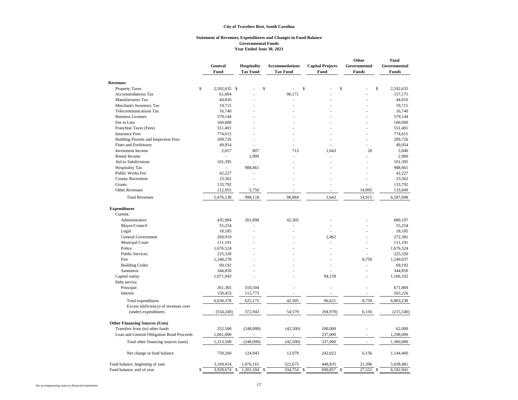#### **Statement of Revenues, Expenditures and Changes in Fund BalanceGovernmental FundsYear Ended June 30, 2021**

|                                                                    | General<br>Fund        | Hospitality<br><b>Tax Fund</b>     | <b>Accommodations</b><br><b>Tax Fund</b> | <b>Capital Projects</b><br>Fund | Other<br>Governmental<br>Funds | <b>Total</b><br>Governmental<br><b>Funds</b> |
|--------------------------------------------------------------------|------------------------|------------------------------------|------------------------------------------|---------------------------------|--------------------------------|----------------------------------------------|
| <b>Revenues</b>                                                    |                        |                                    |                                          |                                 |                                |                                              |
| <b>Property Taxes</b><br>\$                                        | 2,592,635 \$           | \$                                 | \$                                       | \$                              | $\mathbb S$                    | 2,592,635                                    |
| Accommodations Tax                                                 | 61,004                 |                                    | 96,171                                   |                                 |                                | 157,175                                      |
| Manufacturers Tax                                                  | 44,816                 |                                    |                                          |                                 |                                | 44,816                                       |
| Merchant's Inventory Tax                                           | 19,715                 |                                    |                                          |                                 |                                | 19,715                                       |
| Telecommunications Tax                                             | 16,740                 |                                    |                                          |                                 |                                | 16,740                                       |
| <b>Business Licenses</b>                                           | 579,144                |                                    |                                          |                                 |                                | 579,144                                      |
| Fee in Lieu                                                        | 160,000                |                                    |                                          |                                 |                                | 160,000                                      |
| Franchise Taxes (Fees)                                             | 551,401                |                                    |                                          |                                 |                                | 551,401                                      |
| <b>Insurance Fees</b>                                              | 774,615                |                                    |                                          |                                 |                                | 774,615                                      |
| Building Permits and Inspection Fees                               | 209,726                |                                    |                                          |                                 |                                | 209,726                                      |
| Fines and Forfeitures                                              | 49,954                 |                                    |                                          |                                 |                                | 49,954                                       |
| Investment Income                                                  | 2,657                  | 807                                | 713                                      | 1,643                           | 20                             | 5,840                                        |
| Rental Income                                                      | ×.                     | 2,900                              |                                          | L,                              |                                | 2,900                                        |
| Aid to Subdivisions                                                | 101,395                | ÷,                                 |                                          |                                 |                                | 101,395                                      |
| <b>Hospitality Tax</b>                                             | ÷                      | 988,661                            |                                          |                                 |                                | 988,661                                      |
| Public Works Fee                                                   | 42,227                 |                                    |                                          |                                 |                                | 42,227                                       |
| <b>County Recreation</b>                                           | 23,362                 |                                    |                                          |                                 |                                | 23,362                                       |
| Grants                                                             | 133,792                |                                    |                                          |                                 |                                | 133,792                                      |
| Other Revenues                                                     | 112,955                | 5,750                              |                                          |                                 | 14,895                         | 133,600                                      |
| <b>Total Revenues</b>                                              | 5,476,138              | 998,118                            | 96.884                                   | 1.643                           | 14,915                         | 6,587,698                                    |
| <b>Expenditures</b><br>Current:                                    |                        |                                    |                                          |                                 |                                |                                              |
| Administrative                                                     | 435,904                | 201,898                            | 42,305                                   |                                 |                                | 680,107                                      |
| Mayor/Council                                                      | 55,254                 |                                    |                                          |                                 |                                | 55,254                                       |
| Legal                                                              | 18,185                 |                                    |                                          |                                 |                                | 18,185                                       |
| General Government                                                 | 269,919                |                                    |                                          | 2,462                           |                                | 272,381                                      |
| Municpal Court                                                     | 111,191                |                                    |                                          | ä,                              |                                | 111,191                                      |
| Police                                                             | 1,676,524              |                                    |                                          |                                 |                                | 1,676,524                                    |
| <b>Public Services</b>                                             | 225,320                |                                    |                                          |                                 |                                | 225,320                                      |
| Fire                                                               | 1,240,278              |                                    |                                          |                                 | 8,759                          | 1,249,037                                    |
| <b>Building Codes</b>                                              | 69,192                 |                                    |                                          |                                 |                                | 69,192                                       |
| Sanitation                                                         | 344,850                |                                    |                                          | ä,                              |                                | 344,850                                      |
| Capital outlay<br>Debt service                                     | 1,071,943              |                                    |                                          | 94,159                          |                                | 1,166,102                                    |
| Principal                                                          | 361,365                | 310,504                            |                                          |                                 |                                | 671,869                                      |
| Interest                                                           | 150,453                | 112,773                            |                                          |                                 |                                | 263,226                                      |
| Total expenditures                                                 | 6,030,378              | 625,175                            | 42,305                                   | 96,621                          | 8,759                          | 6,803,238                                    |
| Excess (deficiency) of revenues over                               |                        |                                    |                                          |                                 |                                |                                              |
| (under) expenditures                                               | (554, 240)             | 372,943                            | 54,579                                   | (94, 978)                       | 6,156                          | (215, 540)                                   |
| <b>Other Financing Sources (Uses)</b>                              |                        |                                    |                                          |                                 |                                |                                              |
| Transfers from (to) other funds                                    | 252,500                | (248,000)                          | (42,500)                                 | 100,000                         |                                | 62,000                                       |
| Loan and General Obligation Bond Proceeds                          | 1,061,000              |                                    |                                          | 237,000                         |                                | 1,298,000                                    |
| Total other financing sources (uses)                               | 1,313,500              | (248,000)                          | (42,500)                                 | 337,000                         |                                | 1,360,000                                    |
| Net change in fund balance                                         | 759,260                | 124,943                            | 12,079                                   | 242,022                         | 6,156                          | 1,144,460                                    |
| Fund balance, beginning of year<br>\$<br>Fund balance, end of year | 3,169,414<br>3,928,674 | 1,076,161<br>1,201,104<br>\$<br>\$ | 322,675<br>334,754<br>\$                 | 448,835<br>690,857<br>\$        | 21,396<br>27,552<br>\$         | 5,038,481<br>6,182,941                       |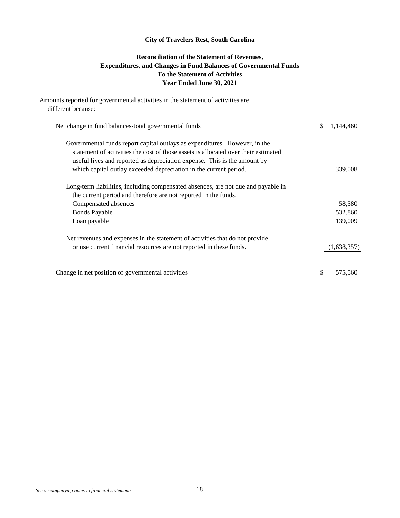#### **Year Ended June 30, 2021 Reconciliation of the Statement of Revenues, Expenditures, and Changes in Fund Balances of Governmental Funds To the Statement of Activities**

Amounts reported for governmental activities in the statement of activities are different because: Net change in fund balances-total governmental funds  $\qquad$  1,144,460 Governmental funds report capital outlays as expenditures. However, in the statement of activities the cost of those assets is allocated over their estimated useful lives and reported as depreciation expense. This is the amount by which capital outlay exceeded depreciation in the current period. 339,008 Long-term liabilities, including compensated absences, are not due and payable in the current period and therefore are not reported in the funds. Compensated absences 58,580 Bonds Payable 532,860 Loan payable 139,009 Net revenues and expenses in the statement of activities that do not provide or use current financial resources are not reported in these funds. (1,638,357) Change in net position of governmental activities  $\qquad$  \$ 575,560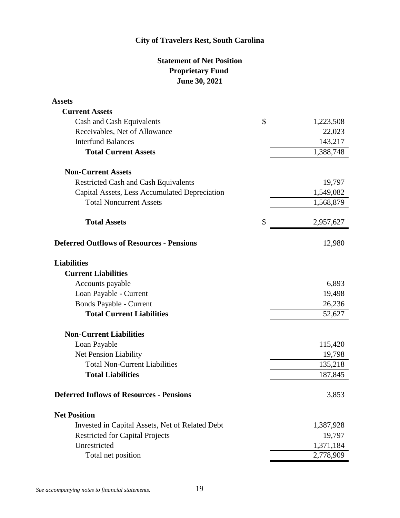# **Statement of Net Position Proprietary Fund June 30, 2021**

| <b>Assets</b>                                    |                 |
|--------------------------------------------------|-----------------|
| <b>Current Assets</b>                            |                 |
| Cash and Cash Equivalents                        | \$<br>1,223,508 |
| Receivables, Net of Allowance                    | 22,023          |
| <b>Interfund Balances</b>                        | 143,217         |
| <b>Total Current Assets</b>                      | 1,388,748       |
| <b>Non-Current Assets</b>                        |                 |
| <b>Restricted Cash and Cash Equivalents</b>      | 19,797          |
| Capital Assets, Less Accumulated Depreciation    | 1,549,082       |
| <b>Total Noncurrent Assets</b>                   | 1,568,879       |
| <b>Total Assets</b>                              | \$<br>2,957,627 |
| <b>Deferred Outflows of Resources - Pensions</b> | 12,980          |
| <b>Liabilities</b>                               |                 |
| <b>Current Liabilities</b>                       |                 |
| Accounts payable                                 | 6,893           |
| Loan Payable - Current                           | 19,498          |
| Bonds Payable - Current                          | 26,236          |
| <b>Total Current Liabilities</b>                 | 52,627          |
| <b>Non-Current Liabilities</b>                   |                 |
| Loan Payable                                     | 115,420         |
| Net Pension Liability                            | 19,798          |
| <b>Total Non-Current Liabilities</b>             | 135,218         |
| <b>Total Liabilities</b>                         | 187,845         |
| <b>Deferred Inflows of Resources - Pensions</b>  | 3,853           |
| <b>Net Position</b>                              |                 |
| Invested in Capital Assets, Net of Related Debt  | 1,387,928       |
| <b>Restricted for Capital Projects</b>           | 19,797          |
| Unrestricted                                     | 1,371,184       |
| Total net position                               | 2,778,909       |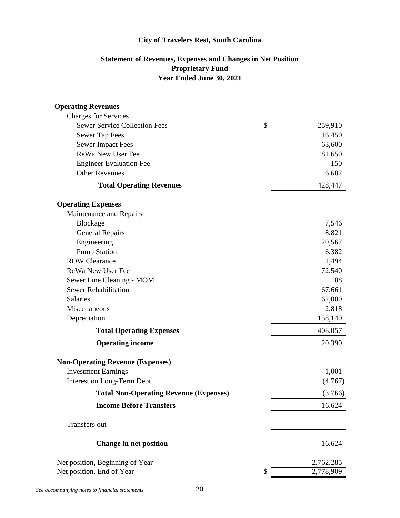# **Statement of Revenues, Expenses and Changes in Net Position Proprietary Fund Year Ended June 30, 2021**

# **Operating Revenues**

| <b>Sewer Service Collection Fees</b><br>\$<br>Sewer Tap Fees<br><b>Sewer Impact Fees</b> | 259,910<br>16,450<br>63,600<br>81,650 |
|------------------------------------------------------------------------------------------|---------------------------------------|
|                                                                                          |                                       |
|                                                                                          |                                       |
|                                                                                          |                                       |
| ReWa New User Fee                                                                        |                                       |
| <b>Engineer Evaluation Fee</b>                                                           | 150                                   |
| <b>Other Revenues</b>                                                                    | 6,687                                 |
| <b>Total Operating Revenues</b>                                                          | 428,447                               |
| <b>Operating Expenses</b>                                                                |                                       |
| Maintenance and Repairs                                                                  |                                       |
| Blockage                                                                                 | 7,546                                 |
| <b>General Repairs</b>                                                                   | 8,821                                 |
| Engineering                                                                              | 20,567                                |
| <b>Pump Station</b>                                                                      | 6,382                                 |
| <b>ROW Clearance</b>                                                                     | 1,494                                 |
| ReWa New User Fee                                                                        | 72,540                                |
| Sewer Line Cleaning - MOM                                                                | 88                                    |
| <b>Sewer Rehabilitation</b>                                                              | 67,661                                |
| <b>Salaries</b>                                                                          | 62,000                                |
| Miscellaneous                                                                            | 2,818                                 |
| Depreciation                                                                             | 158,140                               |
| <b>Total Operating Expenses</b>                                                          | 408,057                               |
| <b>Operating income</b>                                                                  | 20,390                                |
| <b>Non-Operating Revenue (Expenses)</b>                                                  |                                       |
| <b>Investment Earnings</b>                                                               | 1,001                                 |
| Interest on Long-Term Debt                                                               | (4,767)                               |
| <b>Total Non-Operating Revenue (Expenses)</b>                                            | (3,766)                               |
| <b>Income Before Transfers</b>                                                           | 16,624                                |
| Transfers out                                                                            |                                       |
| <b>Change in net position</b>                                                            | 16,624                                |
| Net position, Beginning of Year                                                          | 2,762,285                             |
| Net position, End of Year<br>\$                                                          | 2,778,909                             |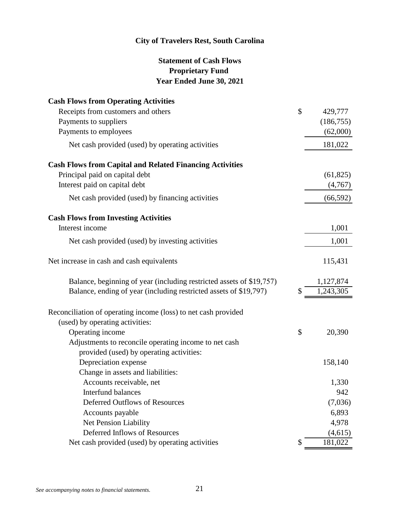# **Statement of Cash Flows Proprietary Fund Year Ended June 30, 2021**

| <b>Cash Flows from Operating Activities</b>                          |                 |
|----------------------------------------------------------------------|-----------------|
| Receipts from customers and others                                   | \$<br>429,777   |
| Payments to suppliers                                                | (186, 755)      |
| Payments to employees                                                | (62,000)        |
| Net cash provided (used) by operating activities                     | 181,022         |
| <b>Cash Flows from Capital and Related Financing Activities</b>      |                 |
| Principal paid on capital debt                                       | (61, 825)       |
| Interest paid on capital debt                                        | (4,767)         |
| Net cash provided (used) by financing activities                     | (66, 592)       |
| <b>Cash Flows from Investing Activities</b>                          |                 |
| Interest income                                                      | 1,001           |
| Net cash provided (used) by investing activities                     | 1,001           |
| Net increase in cash and cash equivalents                            | 115,431         |
| Balance, beginning of year (including restricted assets of \$19,757) | 1,127,874       |
| Balance, ending of year (including restricted assets of \$19,797)    | \$<br>1,243,305 |
| Reconciliation of operating income (loss) to net cash provided       |                 |
| (used) by operating activities:                                      |                 |
| Operating income                                                     | \$<br>20,390    |
| Adjustments to reconcile operating income to net cash                |                 |
| provided (used) by operating activities:                             |                 |
| Depreciation expense                                                 | 158,140         |
| Change in assets and liabilities:                                    |                 |
| Accounts receivable, net                                             | 1,330           |
| Interfund balances                                                   | 942             |
| Deferred Outflows of Resources                                       | (7,036)         |
| Accounts payable                                                     | 6,893           |
| Net Pension Liability                                                | 4,978           |
| Deferred Inflows of Resources                                        | (4,615)         |
| Net cash provided (used) by operating activities                     | \$<br>181,022   |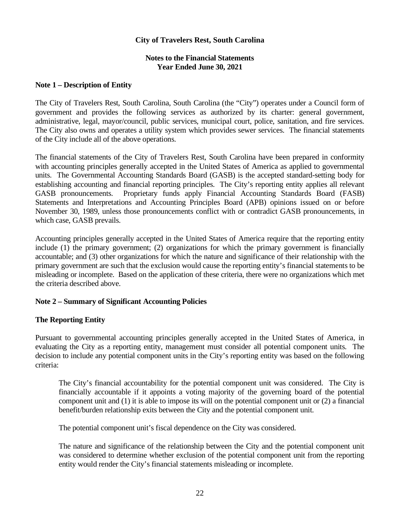#### **Notes to the Financial Statements Year Ended June 30, 2021**

#### **Note 1 – Description of Entity**

The City of Travelers Rest, South Carolina, South Carolina (the "City") operates under a Council form of government and provides the following services as authorized by its charter: general government, administrative, legal, mayor/council, public services, municipal court, police, sanitation, and fire services. The City also owns and operates a utility system which provides sewer services. The financial statements of the City include all of the above operations.

The financial statements of the City of Travelers Rest, South Carolina have been prepared in conformity with accounting principles generally accepted in the United States of America as applied to governmental units. The Governmental Accounting Standards Board (GASB) is the accepted standard-setting body for establishing accounting and financial reporting principles. The City's reporting entity applies all relevant GASB pronouncements. Proprietary funds apply Financial Accounting Standards Board (FASB) Statements and Interpretations and Accounting Principles Board (APB) opinions issued on or before November 30, 1989, unless those pronouncements conflict with or contradict GASB pronouncements, in which case, GASB prevails.

Accounting principles generally accepted in the United States of America require that the reporting entity include (1) the primary government; (2) organizations for which the primary government is financially accountable; and (3) other organizations for which the nature and significance of their relationship with the primary government are such that the exclusion would cause the reporting entity's financial statements to be misleading or incomplete. Based on the application of these criteria, there were no organizations which met the criteria described above.

#### **Note 2 – Summary of Significant Accounting Policies**

#### **The Reporting Entity**

Pursuant to governmental accounting principles generally accepted in the United States of America, in evaluating the City as a reporting entity, management must consider all potential component units. The decision to include any potential component units in the City's reporting entity was based on the following criteria:

The City's financial accountability for the potential component unit was considered. The City is financially accountable if it appoints a voting majority of the governing board of the potential component unit and (1) it is able to impose its will on the potential component unit or (2) a financial benefit/burden relationship exits between the City and the potential component unit.

The potential component unit's fiscal dependence on the City was considered.

The nature and significance of the relationship between the City and the potential component unit was considered to determine whether exclusion of the potential component unit from the reporting entity would render the City's financial statements misleading or incomplete.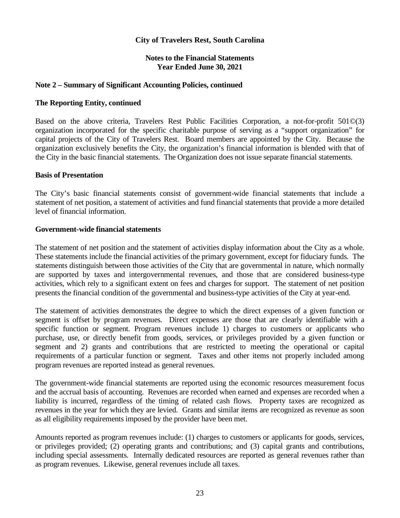#### **Notes to the Financial Statements Year Ended June 30, 2021**

#### **Note 2 – Summary of Significant Accounting Policies, continued**

#### **The Reporting Entity, continued**

Based on the above criteria, Travelers Rest Public Facilities Corporation, a not-for-profit 501©(3) organization incorporated for the specific charitable purpose of serving as a "support organization" for capital projects of the City of Travelers Rest. Board members are appointed by the City. Because the organization exclusively benefits the City, the organization's financial information is blended with that of the City in the basic financial statements. The Organization does not issue separate financial statements.

#### **Basis of Presentation**

The City's basic financial statements consist of government-wide financial statements that include a statement of net position, a statement of activities and fund financial statements that provide a more detailed level of financial information.

#### **Government-wide financial statements**

The statement of net position and the statement of activities display information about the City as a whole. These statements include the financial activities of the primary government, except for fiduciary funds. The statements distinguish between those activities of the City that are governmental in nature, which normally are supported by taxes and intergovernmental revenues, and those that are considered business-type activities, which rely to a significant extent on fees and charges for support. The statement of net position presents the financial condition of the governmental and business-type activities of the City at year-end.

The statement of activities demonstrates the degree to which the direct expenses of a given function or segment is offset by program revenues. Direct expenses are those that are clearly identifiable with a specific function or segment. Program revenues include 1) charges to customers or applicants who purchase, use, or directly benefit from goods, services, or privileges provided by a given function or segment and 2) grants and contributions that are restricted to meeting the operational or capital requirements of a particular function or segment. Taxes and other items not properly included among program revenues are reported instead as general revenues.

The government-wide financial statements are reported using the economic resources measurement focus and the accrual basis of accounting. Revenues are recorded when earned and expenses are recorded when a liability is incurred, regardless of the timing of related cash flows. Property taxes are recognized as revenues in the year for which they are levied. Grants and similar items are recognized as revenue as soon as all eligibility requirements imposed by the provider have been met.

Amounts reported as program revenues include: (1) charges to customers or applicants for goods, services, or privileges provided; (2) operating grants and contributions; and (3) capital grants and contributions, including special assessments. Internally dedicated resources are reported as general revenues rather than as program revenues. Likewise, general revenues include all taxes.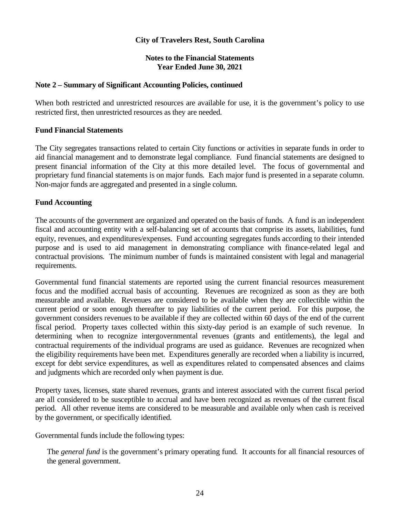#### **Notes to the Financial Statements Year Ended June 30, 2021**

#### **Note 2 – Summary of Significant Accounting Policies, continued**

When both restricted and unrestricted resources are available for use, it is the government's policy to use restricted first, then unrestricted resources as they are needed.

#### **Fund Financial Statements**

The City segregates transactions related to certain City functions or activities in separate funds in order to aid financial management and to demonstrate legal compliance. Fund financial statements are designed to present financial information of the City at this more detailed level. The focus of governmental and proprietary fund financial statements is on major funds. Each major fund is presented in a separate column. Non-major funds are aggregated and presented in a single column.

#### **Fund Accounting**

The accounts of the government are organized and operated on the basis of funds. A fund is an independent fiscal and accounting entity with a self-balancing set of accounts that comprise its assets, liabilities, fund equity, revenues, and expenditures/expenses. Fund accounting segregates funds according to their intended purpose and is used to aid management in demonstrating compliance with finance-related legal and contractual provisions. The minimum number of funds is maintained consistent with legal and managerial requirements.

Governmental fund financial statements are reported using the current financial resources measurement focus and the modified accrual basis of accounting. Revenues are recognized as soon as they are both measurable and available. Revenues are considered to be available when they are collectible within the current period or soon enough thereafter to pay liabilities of the current period. For this purpose, the government considers revenues to be available if they are collected within 60 days of the end of the current fiscal period. Property taxes collected within this sixty-day period is an example of such revenue. In determining when to recognize intergovernmental revenues (grants and entitlements), the legal and contractual requirements of the individual programs are used as guidance. Revenues are recognized when the eligibility requirements have been met. Expenditures generally are recorded when a liability is incurred, except for debt service expenditures, as well as expenditures related to compensated absences and claims and judgments which are recorded only when payment is due.

Property taxes, licenses, state shared revenues, grants and interest associated with the current fiscal period are all considered to be susceptible to accrual and have been recognized as revenues of the current fiscal period. All other revenue items are considered to be measurable and available only when cash is received by the government, or specifically identified.

Governmental funds include the following types:

The *general fund* is the government's primary operating fund. It accounts for all financial resources of the general government.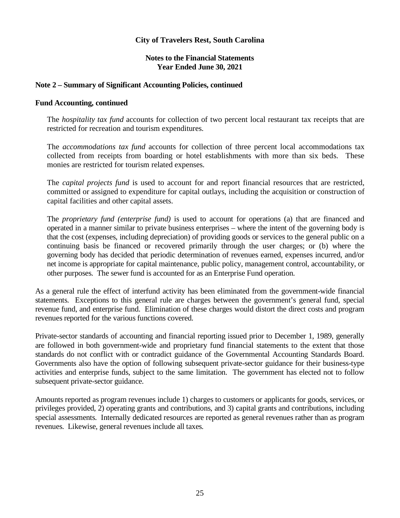#### **Notes to the Financial Statements Year Ended June 30, 2021**

#### **Note 2 – Summary of Significant Accounting Policies, continued**

#### **Fund Accounting, continued**

The *hospitality tax fund* accounts for collection of two percent local restaurant tax receipts that are restricted for recreation and tourism expenditures.

The *accommodations tax fund* accounts for collection of three percent local accommodations tax collected from receipts from boarding or hotel establishments with more than six beds. These monies are restricted for tourism related expenses.

The *capital projects fund* is used to account for and report financial resources that are restricted, committed or assigned to expenditure for capital outlays, including the acquisition or construction of capital facilities and other capital assets.

The *proprietary fund (enterprise fund)* is used to account for operations (a) that are financed and operated in a manner similar to private business enterprises – where the intent of the governing body is that the cost (expenses, including depreciation) of providing goods or services to the general public on a continuing basis be financed or recovered primarily through the user charges; or (b) where the governing body has decided that periodic determination of revenues earned, expenses incurred, and/or net income is appropriate for capital maintenance, public policy, management control, accountability, or other purposes. The sewer fund is accounted for as an Enterprise Fund operation.

As a general rule the effect of interfund activity has been eliminated from the government-wide financial statements. Exceptions to this general rule are charges between the government's general fund, special revenue fund, and enterprise fund. Elimination of these charges would distort the direct costs and program revenues reported for the various functions covered.

Private-sector standards of accounting and financial reporting issued prior to December 1, 1989, generally are followed in both government-wide and proprietary fund financial statements to the extent that those standards do not conflict with or contradict guidance of the Governmental Accounting Standards Board. Governments also have the option of following subsequent private-sector guidance for their business-type activities and enterprise funds, subject to the same limitation. The government has elected not to follow subsequent private-sector guidance.

Amounts reported as program revenues include 1) charges to customers or applicants for goods, services, or privileges provided, 2) operating grants and contributions, and 3) capital grants and contributions, including special assessments. Internally dedicated resources are reported as general revenues rather than as program revenues. Likewise, general revenues include all taxes.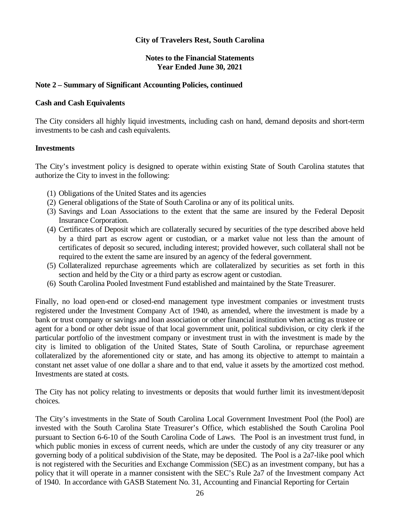#### **Notes to the Financial Statements Year Ended June 30, 2021**

#### **Note 2 – Summary of Significant Accounting Policies, continued**

#### **Cash and Cash Equivalents**

The City considers all highly liquid investments, including cash on hand, demand deposits and short-term investments to be cash and cash equivalents.

#### **Investments**

The City's investment policy is designed to operate within existing State of South Carolina statutes that authorize the City to invest in the following:

- (1) Obligations of the United States and its agencies
- (2) General obligations of the State of South Carolina or any of its political units.
- (3) Savings and Loan Associations to the extent that the same are insured by the Federal Deposit Insurance Corporation.
- (4) Certificates of Deposit which are collaterally secured by securities of the type described above held by a third part as escrow agent or custodian, or a market value not less than the amount of certificates of deposit so secured, including interest; provided however, such collateral shall not be required to the extent the same are insured by an agency of the federal government.
- (5) Collateralized repurchase agreements which are collateralized by securities as set forth in this section and held by the City or a third party as escrow agent or custodian.
- (6) South Carolina Pooled Investment Fund established and maintained by the State Treasurer.

Finally, no load open-end or closed-end management type investment companies or investment trusts registered under the Investment Company Act of 1940, as amended, where the investment is made by a bank or trust company or savings and loan association or other financial institution when acting as trustee or agent for a bond or other debt issue of that local government unit, political subdivision, or city clerk if the particular portfolio of the investment company or investment trust in with the investment is made by the city is limited to obligation of the United States, State of South Carolina, or repurchase agreement collateralized by the aforementioned city or state, and has among its objective to attempt to maintain a constant net asset value of one dollar a share and to that end, value it assets by the amortized cost method. Investments are stated at costs.

The City has not policy relating to investments or deposits that would further limit its investment/deposit choices.

The City's investments in the State of South Carolina Local Government Investment Pool (the Pool) are invested with the South Carolina State Treasurer's Office, which established the South Carolina Pool pursuant to Section 6-6-10 of the South Carolina Code of Laws. The Pool is an investment trust fund, in which public monies in excess of current needs, which are under the custody of any city treasurer or any governing body of a political subdivision of the State, may be deposited. The Pool is a 2a7-like pool which is not registered with the Securities and Exchange Commission (SEC) as an investment company, but has a policy that it will operate in a manner consistent with the SEC's Rule 2a7 of the Investment company Act of 1940. In accordance with GASB Statement No. 31, Accounting and Financial Reporting for Certain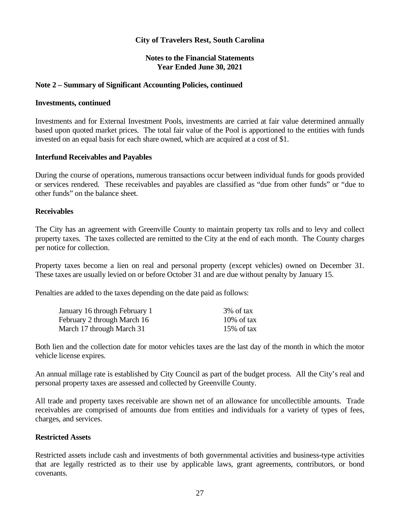#### **Notes to the Financial Statements Year Ended June 30, 2021**

#### **Note 2 – Summary of Significant Accounting Policies, continued**

#### **Investments, continued**

Investments and for External Investment Pools, investments are carried at fair value determined annually based upon quoted market prices. The total fair value of the Pool is apportioned to the entities with funds invested on an equal basis for each share owned, which are acquired at a cost of \$1.

#### **Interfund Receivables and Payables**

During the course of operations, numerous transactions occur between individual funds for goods provided or services rendered. These receivables and payables are classified as "due from other funds" or "due to other funds" on the balance sheet.

#### **Receivables**

The City has an agreement with Greenville County to maintain property tax rolls and to levy and collect property taxes. The taxes collected are remitted to the City at the end of each month. The County charges per notice for collection.

Property taxes become a lien on real and personal property (except vehicles) owned on December 31. These taxes are usually levied on or before October 31 and are due without penalty by January 15.

Penalties are added to the taxes depending on the date paid as follows:

| January 16 through February 1 | 3% of tax     |
|-------------------------------|---------------|
| February 2 through March 16   | $10\%$ of tax |
| March 17 through March 31     | 15% of tax    |

Both lien and the collection date for motor vehicles taxes are the last day of the month in which the motor vehicle license expires.

An annual millage rate is established by City Council as part of the budget process. All the City's real and personal property taxes are assessed and collected by Greenville County.

All trade and property taxes receivable are shown net of an allowance for uncollectible amounts. Trade receivables are comprised of amounts due from entities and individuals for a variety of types of fees, charges, and services.

#### **Restricted Assets**

Restricted assets include cash and investments of both governmental activities and business-type activities that are legally restricted as to their use by applicable laws, grant agreements, contributors, or bond covenants.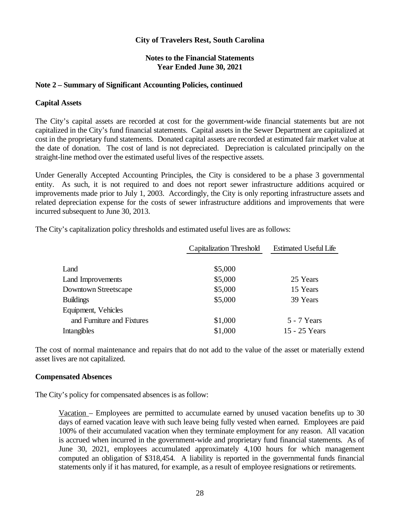#### **Notes to the Financial Statements Year Ended June 30, 2021**

#### **Note 2 – Summary of Significant Accounting Policies, continued**

#### **Capital Assets**

The City's capital assets are recorded at cost for the government-wide financial statements but are not capitalized in the City's fund financial statements. Capital assets in the Sewer Department are capitalized at cost in the proprietary fund statements. Donated capital assets are recorded at estimated fair market value at the date of donation. The cost of land is not depreciated. Depreciation is calculated principally on the straight-line method over the estimated useful lives of the respective assets.

Under Generally Accepted Accounting Principles, the City is considered to be a phase 3 governmental entity. As such, it is not required to and does not report sewer infrastructure additions acquired or improvements made prior to July 1, 2003. Accordingly, the City is only reporting infrastructure assets and related depreciation expense for the costs of sewer infrastructure additions and improvements that were incurred subsequent to June 30, 2013.

The City's capitalization policy thresholds and estimated useful lives are as follows:

|                             | <b>Capitalization Threshold</b> | <b>Estimated Useful Life</b> |
|-----------------------------|---------------------------------|------------------------------|
|                             |                                 |                              |
| Land                        | \$5,000                         |                              |
| Land Improvements           | \$5,000                         | 25 Years                     |
| <b>Downtown Streetscape</b> | \$5,000                         | 15 Years                     |
| <b>Buildings</b>            | \$5,000                         | 39 Years                     |
| Equipment, Vehicles         |                                 |                              |
| and Furniture and Fixtures  | \$1,000                         | 5 - 7 Years                  |
| Intangibles                 | \$1,000                         | 15 - 25 Years                |

The cost of normal maintenance and repairs that do not add to the value of the asset or materially extend asset lives are not capitalized.

#### **Compensated Absences**

The City's policy for compensated absences is as follow:

Vacation – Employees are permitted to accumulate earned by unused vacation benefits up to 30 days of earned vacation leave with such leave being fully vested when earned. Employees are paid 100% of their accumulated vacation when they terminate employment for any reason. All vacation is accrued when incurred in the government-wide and proprietary fund financial statements. As of June 30, 2021, employees accumulated approximately 4,100 hours for which management computed an obligation of \$318,454. A liability is reported in the governmental funds financial statements only if it has matured, for example, as a result of employee resignations or retirements.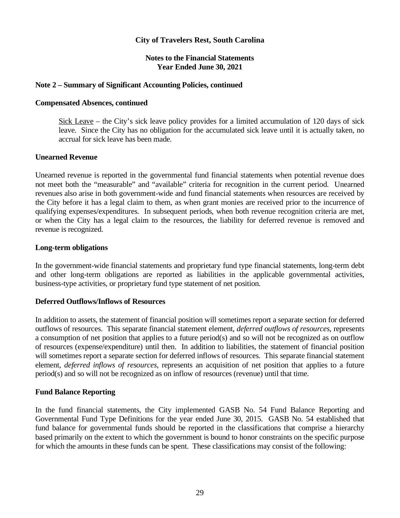#### **Notes to the Financial Statements Year Ended June 30, 2021**

#### **Note 2 – Summary of Significant Accounting Policies, continued**

#### **Compensated Absences, continued**

Sick Leave – the City's sick leave policy provides for a limited accumulation of 120 days of sick leave. Since the City has no obligation for the accumulated sick leave until it is actually taken, no accrual for sick leave has been made.

#### **Unearned Revenue**

Unearned revenue is reported in the governmental fund financial statements when potential revenue does not meet both the "measurable" and "available" criteria for recognition in the current period. Unearned revenues also arise in both government-wide and fund financial statements when resources are received by the City before it has a legal claim to them, as when grant monies are received prior to the incurrence of qualifying expenses/expenditures. In subsequent periods, when both revenue recognition criteria are met, or when the City has a legal claim to the resources, the liability for deferred revenue is removed and revenue is recognized.

#### **Long-term obligations**

In the government-wide financial statements and proprietary fund type financial statements, long-term debt and other long-term obligations are reported as liabilities in the applicable governmental activities, business-type activities, or proprietary fund type statement of net position.

#### **Deferred Outflows/Inflows of Resources**

In addition to assets, the statement of financial position will sometimes report a separate section for deferred outflows of resources. This separate financial statement element, *deferred outflows of resources*, represents a consumption of net position that applies to a future period(s) and so will not be recognized as on outflow of resources (expense/expenditure) until then. In addition to liabilities, the statement of financial position will sometimes report a separate section for deferred inflows of resources. This separate financial statement element, *deferred inflows of resources*, represents an acquisition of net position that applies to a future period(s) and so will not be recognized as on inflow of resources (revenue) until that time.

#### **Fund Balance Reporting**

In the fund financial statements, the City implemented GASB No. 54 Fund Balance Reporting and Governmental Fund Type Definitions for the year ended June 30, 2015. GASB No. 54 established that fund balance for governmental funds should be reported in the classifications that comprise a hierarchy based primarily on the extent to which the government is bound to honor constraints on the specific purpose for which the amounts in these funds can be spent. These classifications may consist of the following: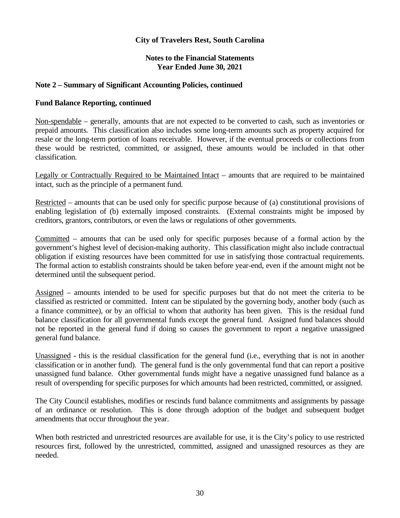#### **Notes to the Financial Statements Year Ended June 30, 2021**

#### **Note 2 – Summary of Significant Accounting Policies, continued**

#### **Fund Balance Reporting, continued**

Non-spendable – generally, amounts that are not expected to be converted to cash, such as inventories or prepaid amounts. This classification also includes some long-term amounts such as property acquired for resale or the long-term portion of loans receivable. However, if the eventual proceeds or collections from these would be restricted, committed, or assigned, these amounts would be included in that other classification.

Legally or Contractually Required to be Maintained Intact – amounts that are required to be maintained intact, such as the principle of a permanent fund.

Restricted – amounts that can be used only for specific purpose because of (a) constitutional provisions of enabling legislation of (b) externally imposed constraints. (External constraints might be imposed by creditors, grantors, contributors, or even the laws or regulations of other governments.

Committed – amounts that can be used only for specific purposes because of a formal action by the government's highest level of decision-making authority. This classification might also include contractual obligation if existing resources have been committed for use in satisfying those contractual requirements. The formal action to establish constraints should be taken before year-end, even if the amount might not be determined until the subsequent period.

Assigned – amounts intended to be used for specific purposes but that do not meet the criteria to be classified as restricted or committed. Intent can be stipulated by the governing body, another body (such as a finance committee), or by an official to whom that authority has been given. This is the residual fund balance classification for all governmental funds except the general fund. Assigned fund balances should not be reported in the general fund if doing so causes the government to report a negative unassigned general fund balance.

Unassigned - this is the residual classification for the general fund (i.e., everything that is not in another classification or in another fund). The general fund is the only governmental fund that can report a positive unassigned fund balance. Other governmental funds might have a negative unassigned fund balance as a result of overspending for specific purposes for which amounts had been restricted, committed, or assigned.

The City Council establishes, modifies or rescinds fund balance commitments and assignments by passage of an ordinance or resolution. This is done through adoption of the budget and subsequent budget amendments that occur throughout the year.

When both restricted and unrestricted resources are available for use, it is the City's policy to use restricted resources first, followed by the unrestricted, committed, assigned and unassigned resources as they are needed.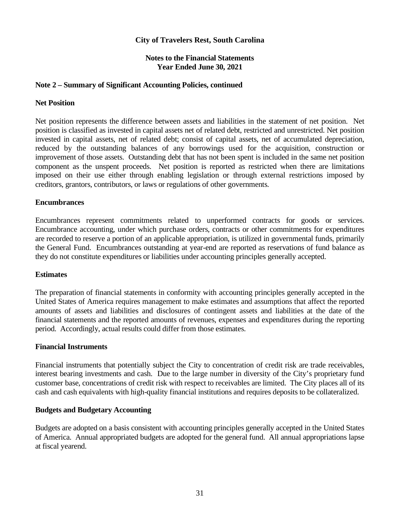#### **Notes to the Financial Statements Year Ended June 30, 2021**

#### **Note 2 – Summary of Significant Accounting Policies, continued**

#### **Net Position**

Net position represents the difference between assets and liabilities in the statement of net position. Net position is classified as invested in capital assets net of related debt, restricted and unrestricted. Net position invested in capital assets, net of related debt; consist of capital assets, net of accumulated depreciation, reduced by the outstanding balances of any borrowings used for the acquisition, construction or improvement of those assets. Outstanding debt that has not been spent is included in the same net position component as the unspent proceeds. Net position is reported as restricted when there are limitations imposed on their use either through enabling legislation or through external restrictions imposed by creditors, grantors, contributors, or laws or regulations of other governments.

#### **Encumbrances**

Encumbrances represent commitments related to unperformed contracts for goods or services. Encumbrance accounting, under which purchase orders, contracts or other commitments for expenditures are recorded to reserve a portion of an applicable appropriation, is utilized in governmental funds, primarily the General Fund. Encumbrances outstanding at year-end are reported as reservations of fund balance as they do not constitute expenditures or liabilities under accounting principles generally accepted.

#### **Estimates**

The preparation of financial statements in conformity with accounting principles generally accepted in the United States of America requires management to make estimates and assumptions that affect the reported amounts of assets and liabilities and disclosures of contingent assets and liabilities at the date of the financial statements and the reported amounts of revenues, expenses and expenditures during the reporting period. Accordingly, actual results could differ from those estimates.

#### **Financial Instruments**

Financial instruments that potentially subject the City to concentration of credit risk are trade receivables, interest bearing investments and cash. Due to the large number in diversity of the City's proprietary fund customer base, concentrations of credit risk with respect to receivables are limited. The City places all of its cash and cash equivalents with high-quality financial institutions and requires deposits to be collateralized.

#### **Budgets and Budgetary Accounting**

Budgets are adopted on a basis consistent with accounting principles generally accepted in the United States of America. Annual appropriated budgets are adopted for the general fund. All annual appropriations lapse at fiscal yearend.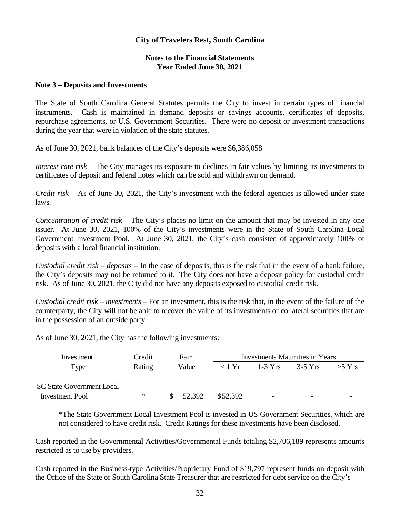#### **Notes to the Financial Statements Year Ended June 30, 2021**

#### **Note 3 – Deposits and Investments**

The State of South Carolina General Statutes permits the City to invest in certain types of financial instruments. Cash is maintained in demand deposits or savings accounts, certificates of deposits, repurchase agreements, or U.S. Government Securities. There were no deposit or investment transactions during the year that were in violation of the state statutes.

As of June 30, 2021, bank balances of the City's deposits were \$6,386,058

*Interest rate risk –* The City manages its exposure to declines in fair values by limiting its investments to certificates of deposit and federal notes which can be sold and withdrawn on demand.

*Credit risk –* As of June 30, 2021, the City's investment with the federal agencies is allowed under state laws.

*Concentration of credit risk –* The City's places no limit on the amount that may be invested in any one issuer. At June 30, 2021, 100% of the City's investments were in the State of South Carolina Local Government Investment Pool. At June 30, 2021, the City's cash consisted of approximately 100% of deposits with a local financial institution.

*Custodial credit risk – deposits –* In the case of deposits, this is the risk that in the event of a bank failure, the City's deposits may not be returned to it. The City does not have a deposit policy for custodial credit risk. As of June 30, 2021, the City did not have any deposits exposed to custodial credit risk.

*Custodial credit risk – investments* – For an investment, this is the risk that, in the event of the failure of the counterparty, the City will not be able to recover the value of its investments or collateral securities that are in the possession of an outside party.

As of June 30, 2021, the City has the following investments:

| Investment                | Credit | Fair   | Investments Maturities in Years |           |            |          |  |  |  |  |
|---------------------------|--------|--------|---------------------------------|-----------|------------|----------|--|--|--|--|
| $T$ <sub>V</sub> pe       | Rating | Value  | $<$ 1 Yr                        | $1-3$ Yrs | $-3-5$ Yrs | $>5$ Yrs |  |  |  |  |
|                           |        |        |                                 |           |            |          |  |  |  |  |
| SC State Government Local |        |        |                                 |           |            |          |  |  |  |  |
| <b>Investment Pool</b>    | $\ast$ | 52,392 | \$52,392                        |           | -          | -        |  |  |  |  |

\*The State Government Local Investment Pool is invested in US Government Securities, which are not considered to have credit risk. Credit Ratings for these investments have been disclosed.

Cash reported in the Governmental Activities/Governmental Funds totaling \$2,706,189 represents amounts restricted as to use by providers.

Cash reported in the Business-type Activities/Proprietary Fund of \$19,797 represent funds on deposit with the Office of the State of South Carolina State Treasurer that are restricted for debt service on the City's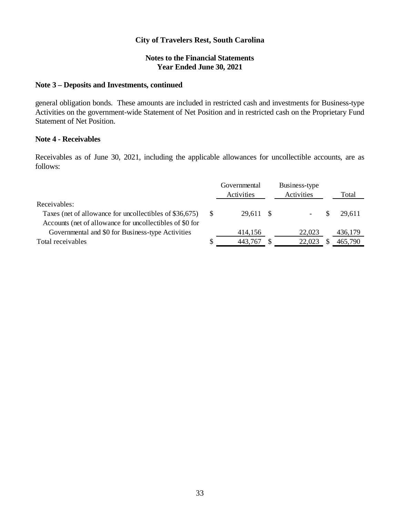#### **Notes to the Financial Statements Year Ended June 30, 2021**

## **Note 3 – Deposits and Investments, continued**

general obligation bonds. These amounts are included in restricted cash and investments for Business-type Activities on the government-wide Statement of Net Position and in restricted cash on the Proprietary Fund Statement of Net Position.

#### **Note 4 - Receivables**

Receivables as of June 30, 2021, including the applicable allowances for uncollectible accounts, are as follows:

|                                                          | Governmental | Business-type            |    |         |
|----------------------------------------------------------|--------------|--------------------------|----|---------|
|                                                          | Activities   | Activities               |    | Total   |
| Receivables:                                             |              |                          |    |         |
| Taxes (net of allowance for uncollectibles of \$36,675)  | 29,611 \$    | $\overline{\phantom{a}}$ | S. | 29.611  |
| Accounts (net of allowance for uncollectibles of \$0 for |              |                          |    |         |
| Governmental and \$0 for Business-type Activities        | 414,156      | 22,023                   |    | 436,179 |
| Total receivables                                        | 443,767      | 22,023                   |    | 465.790 |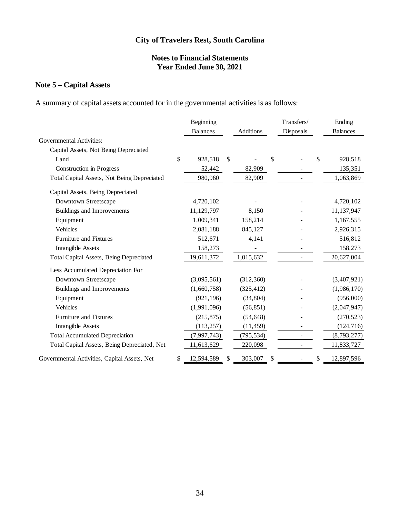# **Notes to Financial Statements Year Ended June 30, 2021**

# **Note 5 – Capital Assets**

A summary of capital assets accounted for in the governmental activities is as follows:

|                                                    | Beginning        |                  | Transfers/ | Ending           |
|----------------------------------------------------|------------------|------------------|------------|------------------|
|                                                    | <b>Balances</b>  | <b>Additions</b> | Disposals  | <b>Balances</b>  |
| <b>Governmental Activities:</b>                    |                  |                  |            |                  |
| Capital Assets, Not Being Depreciated              |                  |                  |            |                  |
| Land                                               | \$<br>928,518    | \$               | \$         | \$<br>928,518    |
| <b>Construction</b> in Progress                    | 52,442           | 82,909           |            | 135,351          |
| <b>Total Capital Assets, Not Being Depreciated</b> | 980,960          | 82,909           |            | 1,063,869        |
| Capital Assets, Being Depreciated                  |                  |                  |            |                  |
| Downtown Streetscape                               | 4,720,102        |                  |            | 4,720,102        |
| Buildings and Improvements                         | 11,129,797       | 8,150            |            | 11,137,947       |
| Equipment                                          | 1,009,341        | 158,214          |            | 1,167,555        |
| Vehicles                                           | 2,081,188        | 845,127          |            | 2,926,315        |
| <b>Furniture and Fixtures</b>                      | 512,671          | 4,141            |            | 516,812          |
| Intangible Assets                                  | 158,273          |                  |            | 158,273          |
| <b>Total Capital Assets, Being Depreciated</b>     | 19,611,372       | 1,015,632        |            | 20,627,004       |
| Less Accumulated Depreciation For                  |                  |                  |            |                  |
| Downtown Streetscape                               | (3,095,561)      | (312, 360)       |            | (3,407,921)      |
| <b>Buildings and Improvements</b>                  | (1,660,758)      | (325, 412)       |            | (1,986,170)      |
| Equipment                                          | (921, 196)       | (34, 804)        |            | (956,000)        |
| Vehicles                                           | (1,991,096)      | (56, 851)        |            | (2,047,947)      |
| <b>Furniture and Fixtures</b>                      | (215, 875)       | (54, 648)        |            | (270, 523)       |
| <b>Intangible Assets</b>                           | (113, 257)       | (11, 459)        |            | (124, 716)       |
| <b>Total Accumulated Depreciation</b>              | (7,997,743)      | (795, 534)       |            | (8,793,277)      |
| Total Capital Assets, Being Depreciated, Net       | 11,613,629       | 220,098          |            | 11,833,727       |
| Governmental Activities, Capital Assets, Net       | \$<br>12,594,589 | \$<br>303,007    | \$         | \$<br>12,897,596 |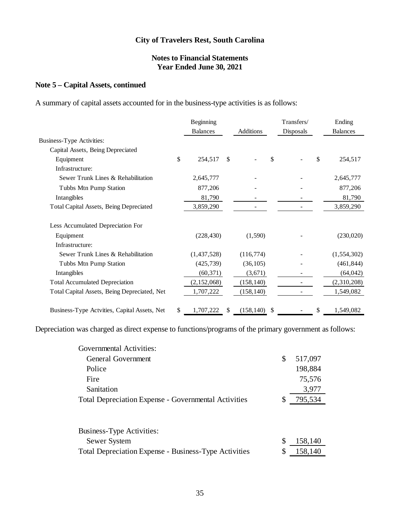#### **Notes to Financial Statements Year Ended June 30, 2021**

#### **Note 5 – Capital Assets, continued**

A summary of capital assets accounted for in the business-type activities is as follows:

|                                                |     | Beginning                           |    |            | Transfers/      | Ending          |
|------------------------------------------------|-----|-------------------------------------|----|------------|-----------------|-----------------|
|                                                |     | <b>Additions</b><br><b>Balances</b> |    | Disposals  | <b>Balances</b> |                 |
| Business-Type Activities:                      |     |                                     |    |            |                 |                 |
| Capital Assets, Being Depreciated              |     |                                     |    |            |                 |                 |
| Equipment                                      | \$  | 254,517                             | \$ |            | \$              | \$<br>254,517   |
| Infrastructure:                                |     |                                     |    |            |                 |                 |
| Sewer Trunk Lines & Rehabilitation             |     | 2,645,777                           |    |            |                 | 2,645,777       |
| Tubbs Mtn Pump Station                         |     | 877,206                             |    |            |                 | 877,206         |
| Intangibles                                    |     | 81,790                              |    |            |                 | 81,790          |
| <b>Total Capital Assets, Being Depreciated</b> |     | 3,859,290                           |    |            |                 | 3,859,290       |
| Less Accumulated Depreciation For              |     |                                     |    |            |                 |                 |
| Equipment                                      |     | (228, 430)                          |    | (1,590)    |                 | (230, 020)      |
| Infrastructure:                                |     |                                     |    |            |                 |                 |
| Sewer Trunk Lines & Rehabilitation             |     | (1,437,528)                         |    | (116, 774) |                 | (1,554,302)     |
| Tubbs Mtn Pump Station                         |     | (425, 739)                          |    | (36, 105)  |                 | (461, 844)      |
| Intangibles                                    |     | (60, 371)                           |    | (3,671)    |                 | (64, 042)       |
| <b>Total Accumulated Depreciation</b>          |     | (2,152,068)                         |    | (158, 140) |                 | (2,310,208)     |
| Total Capital Assets, Being Depreciated, Net   |     | 1,707,222                           |    | (158, 140) |                 | 1,549,082       |
|                                                |     |                                     |    |            |                 |                 |
| Business-Type Actvities, Capital Assets, Net   | \$. | 1,707,222                           | S  | (158, 140) | \$              | \$<br>1,549,082 |

Depreciation was charged as direct expense to functions/programs of the primary government as follows:

| <b>Governmental Activities:</b>                             |               |
|-------------------------------------------------------------|---------------|
| General Government                                          | \$<br>517,097 |
| Police                                                      | 198,884       |
| Fire                                                        | 75,576        |
| Sanitation                                                  | 3,977         |
| <b>Total Depreciation Expense - Governmental Activities</b> | \$<br>795,534 |
|                                                             |               |
|                                                             |               |
| Business-Type Activities:                                   |               |
| Sewer System                                                | \$<br>158,140 |
| Total Depreciation Expense - Business-Type Activities       | \$<br>158,140 |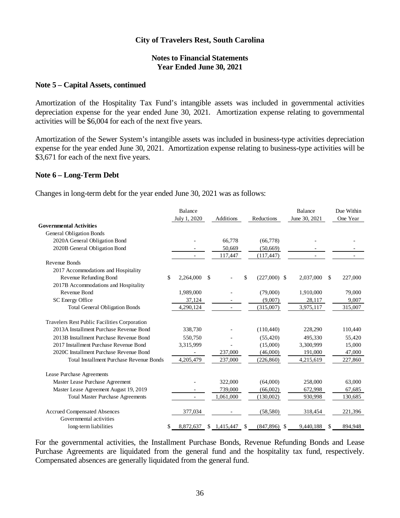#### **Notes to Financial Statements Year Ended June 30, 2021**

#### **Note 5 – Capital Assets, continued**

Amortization of the Hospitality Tax Fund's intangible assets was included in governmental activities depreciation expense for the year ended June 30, 2021. Amortization expense relating to governmental activities will be \$6,004 for each of the next five years.

Amortization of the Sewer System's intangible assets was included in business-type activities depreciation expense for the year ended June 30, 2021. Amortization expense relating to business-type activities will be \$3,671 for each of the next five years.

#### **Note 6 – Long-Term Debt**

Changes in long-term debt for the year ended June 30, 2021 was as follows:

|                                                     | Balance         |                 |                      | <b>Balance</b> |               | Due Within |
|-----------------------------------------------------|-----------------|-----------------|----------------------|----------------|---------------|------------|
|                                                     | July 1, 2020    | Additions       | Reductions           | June 30, 2021  |               | One Year   |
| <b>Governmental Activities</b>                      |                 |                 |                      |                |               |            |
| <b>General Obligation Bonds</b>                     |                 |                 |                      |                |               |            |
| 2020A General Obligation Bond                       |                 | 66,778          | (66,778)             |                |               |            |
| 2020B General Obligation Bond                       |                 | 50,669          | (50,669)             |                |               |            |
|                                                     |                 | 117,447         | (117, 447)           |                |               |            |
| <b>Revenue Bonds</b>                                |                 |                 |                      |                |               |            |
| 2017 Accommodations and Hospitality                 |                 |                 |                      |                |               |            |
| Revenue Refunding Bond                              | \$<br>2,264,000 | \$              | \$<br>$(227,000)$ \$ | 2,037,000      | \$            | 227,000    |
| 2017B Accommodations and Hospitality                |                 |                 |                      |                |               |            |
| Revenue Bond                                        | 1,989,000       |                 | (79,000)             | 1,910,000      |               | 79,000     |
| SC Energy Office                                    | 37,124          |                 | (9,007)              | 28,117         |               | 9,007      |
| <b>Total General Obligation Bonds</b>               | 4,290,124       |                 | (315,007)            | 3,975,117      |               | 315,007    |
| <b>Travelers Rest Public Facilities Corporation</b> |                 |                 |                      |                |               |            |
| 2013A Installment Purchase Revenue Bond             | 338,730         |                 | (110, 440)           | 228,290        |               | 110,440    |
| 2013B Installment Purchase Revenue Bond             | 550,750         |                 | (55, 420)            | 495,330        |               | 55,420     |
| 2017 Installment Purchase Revenue Bond              | 3,315,999       |                 | (15,000)             | 3,300,999      |               | 15,000     |
| 2020C Installment Purchase Revenue Bond             |                 | 237,000         | (46,000)             | 191,000        |               | 47,000     |
| <b>Total Installment Purchase Revenue Bonds</b>     | 4,205,479       | 237,000         | (226, 860)           | 4,215,619      |               | 227,860    |
| Lease Purchase Agreements                           |                 |                 |                      |                |               |            |
| Master Lease Purchase Agreement                     |                 | 322,000         | (64,000)             | 258,000        |               | 63,000     |
| Master Lease Agreement August 19, 2019              |                 | 739,000         | (66,002)             | 672,998        |               | 67,685     |
| <b>Total Master Purchase Agreements</b>             | -               | 1,061,000       | (130,002)            | 930,998        |               | 130,685    |
| <b>Accrued Compensated Absences</b>                 | 377,034         |                 | (58, 580)            | 318,454        |               | 221,396    |
| Governmental activities                             |                 |                 |                      |                |               |            |
| long-term liabilities                               | 8,872,637       | $$1,415,447$ \; | $(847,896)$ \$       | 9,440,188      | $\mathcal{S}$ | 894,948    |

For the governmental activities, the Installment Purchase Bonds, Revenue Refunding Bonds and Lease Purchase Agreements are liquidated from the general fund and the hospitality tax fund, respectively. Compensated absences are generally liquidated from the general fund.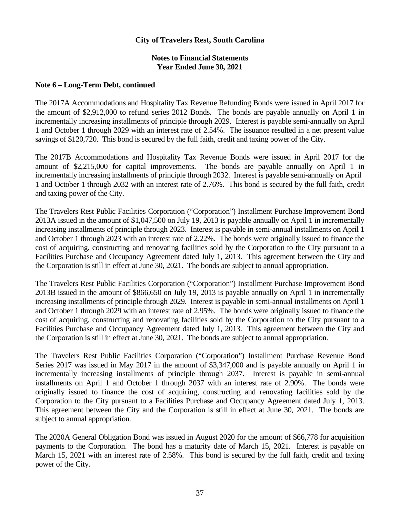#### **Notes to Financial Statements Year Ended June 30, 2021**

#### **Note 6 – Long-Term Debt, continued**

The 2017A Accommodations and Hospitality Tax Revenue Refunding Bonds were issued in April 2017 for the amount of \$2,912,000 to refund series 2012 Bonds. The bonds are payable annually on April 1 in incrementally increasing installments of principle through 2029. Interest is payable semi-annually on April 1 and October 1 through 2029 with an interest rate of 2.54%. The issuance resulted in a net present value savings of \$120,720. This bond is secured by the full faith, credit and taxing power of the City.

The 2017B Accommodations and Hospitality Tax Revenue Bonds were issued in April 2017 for the amount of \$2,215,000 for capital improvements. The bonds are payable annually on April 1 in incrementally increasing installments of principle through 2032. Interest is payable semi-annually on April 1 and October 1 through 2032 with an interest rate of 2.76%. This bond is secured by the full faith, credit and taxing power of the City.

The Travelers Rest Public Facilities Corporation ("Corporation") Installment Purchase Improvement Bond 2013A issued in the amount of \$1,047,500 on July 19, 2013 is payable annually on April 1 in incrementally increasing installments of principle through 2023. Interest is payable in semi-annual installments on April 1 and October 1 through 2023 with an interest rate of 2.22%. The bonds were originally issued to finance the cost of acquiring, constructing and renovating facilities sold by the Corporation to the City pursuant to a Facilities Purchase and Occupancy Agreement dated July 1, 2013. This agreement between the City and the Corporation is still in effect at June 30, 2021. The bonds are subject to annual appropriation.

The Travelers Rest Public Facilities Corporation ("Corporation") Installment Purchase Improvement Bond 2013B issued in the amount of \$866,650 on July 19, 2013 is payable annually on April 1 in incrementally increasing installments of principle through 2029. Interest is payable in semi-annual installments on April 1 and October 1 through 2029 with an interest rate of 2.95%. The bonds were originally issued to finance the cost of acquiring, constructing and renovating facilities sold by the Corporation to the City pursuant to a Facilities Purchase and Occupancy Agreement dated July 1, 2013. This agreement between the City and the Corporation is still in effect at June 30, 2021. The bonds are subject to annual appropriation.

The Travelers Rest Public Facilities Corporation ("Corporation") Installment Purchase Revenue Bond Series 2017 was issued in May 2017 in the amount of \$3,347,000 and is payable annually on April 1 in incrementally increasing installments of principle through 2037. Interest is payable in semi-annual installments on April 1 and October 1 through 2037 with an interest rate of 2.90%. The bonds were originally issued to finance the cost of acquiring, constructing and renovating facilities sold by the Corporation to the City pursuant to a Facilities Purchase and Occupancy Agreement dated July 1, 2013. This agreement between the City and the Corporation is still in effect at June 30, 2021. The bonds are subject to annual appropriation.

The 2020A General Obligation Bond was issued in August 2020 for the amount of \$66,778 for acquisition payments to the Corporation. The bond has a maturity date of March 15, 2021. Interest is payable on March 15, 2021 with an interest rate of 2.58%. This bond is secured by the full faith, credit and taxing power of the City.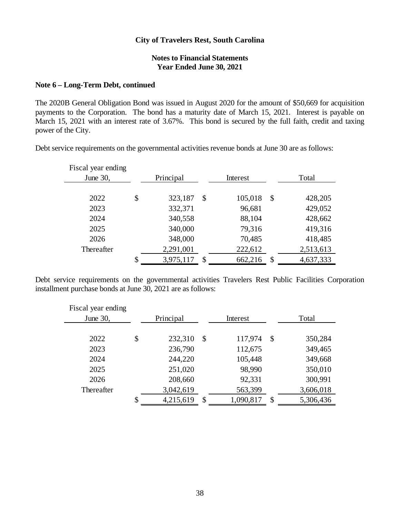#### **Notes to Financial Statements Year Ended June 30, 2021**

#### **Note 6 – Long-Term Debt, continued**

The 2020B General Obligation Bond was issued in August 2020 for the amount of \$50,669 for acquisition payments to the Corporation. The bond has a maturity date of March 15, 2021. Interest is payable on March 15, 2021 with an interest rate of 3.67%. This bond is secured by the full faith, credit and taxing power of the City.

Debt service requirements on the governmental activities revenue bonds at June 30 are as follows:

| Fiscal year ending |                 |                           |          |                           |           |
|--------------------|-----------------|---------------------------|----------|---------------------------|-----------|
| June 30,           | Principal       |                           | Interest |                           | Total     |
|                    |                 |                           |          |                           |           |
| 2022               | \$<br>323,187   | \$                        | 105,018  | $\boldsymbol{\mathsf{S}}$ | 428,205   |
| 2023               | 332,371         |                           | 96,681   |                           | 429,052   |
| 2024               | 340,558         |                           | 88,104   |                           | 428,662   |
| 2025               | 340,000         |                           | 79,316   |                           | 419,316   |
| 2026               | 348,000         |                           | 70,485   |                           | 418,485   |
| Thereafter         | 2,291,001       |                           | 222,612  |                           | 2,513,613 |
|                    | \$<br>3,975,117 | $\boldsymbol{\mathsf{S}}$ | 662,216  | $\boldsymbol{\mathsf{S}}$ | 4,637,333 |

Debt service requirements on the governmental activities Travelers Rest Public Facilities Corporation installment purchase bonds at June 30, 2021 are as follows:

| Fiscal year ending |                 |                           |           |                 |
|--------------------|-----------------|---------------------------|-----------|-----------------|
| June 30,           | Principal       |                           | Interest  | Total           |
|                    |                 |                           |           |                 |
| 2022               | \$<br>232,310   | $\boldsymbol{\mathsf{S}}$ | 117,974   | \$<br>350,284   |
| 2023               | 236,790         |                           | 112,675   | 349,465         |
| 2024               | 244,220         |                           | 105,448   | 349,668         |
| 2025               | 251,020         |                           | 98,990    | 350,010         |
| 2026               | 208,660         |                           | 92,331    | 300,991         |
| Thereafter         | 3,042,619       |                           | 563,399   | 3,606,018       |
|                    | \$<br>4,215,619 | \$                        | 1,090,817 | \$<br>5,306,436 |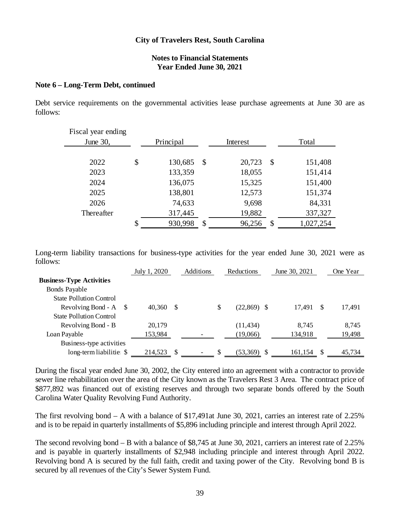#### **Notes to Financial Statements Year Ended June 30, 2021**

#### **Note 6 – Long-Term Debt, continued**

Debt service requirements on the governmental activities lease purchase agreements at June 30 are as follows:

| Fiscal year ending |               |              |                 |
|--------------------|---------------|--------------|-----------------|
| June 30,           | Principal     | Interest     | Total           |
|                    |               |              |                 |
| 2022               | \$<br>130,685 | \$<br>20,723 | \$<br>151,408   |
| 2023               | 133,359       | 18,055       | 151,414         |
| 2024               | 136,075       | 15,325       | 151,400         |
| 2025               | 138,801       | 12,573       | 151,374         |
| 2026               | 74,633        | 9,698        | 84,331          |
| Thereafter         | 317,445       | 19,882       | 337,327         |
|                    | \$<br>930,998 | \$<br>96,256 | \$<br>1,027,254 |

Long-term liability transactions for business-type activities for the year ended June 30, 2021 were as follows:

|                                 | July 1, 2020 |     | <b>Additions</b> |    | Reductions    | June 30, 2021 |               | One Year |
|---------------------------------|--------------|-----|------------------|----|---------------|---------------|---------------|----------|
| <b>Business-Type Activities</b> |              |     |                  |    |               |               |               |          |
| <b>Bonds Payable</b>            |              |     |                  |    |               |               |               |          |
| <b>State Pollution Control</b>  |              |     |                  |    |               |               |               |          |
| Revolving Bond - $A$ \$         | 40.360       | -S  |                  | \$ | $(22,869)$ \$ | 17.491        | <sup>\$</sup> | 17,491   |
| <b>State Pollution Control</b>  |              |     |                  |    |               |               |               |          |
| Revolving Bond - B              | 20.179       |     |                  |    | (11, 434)     | 8.745         |               | 8,745    |
| Loan Payable                    | 153,984      |     |                  |    | (19,066)      | 134,918       |               | 19,498   |
| Business-type activities        |              |     |                  |    |               |               |               |          |
| $long-term$ liabilitie $\$      | 214,523      | -\$ |                  | S  | (53,369)      | 161,154       | -S            | 45,734   |

During the fiscal year ended June 30, 2002, the City entered into an agreement with a contractor to provide sewer line rehabilitation over the area of the City known as the Travelers Rest 3 Area. The contract price of \$877,892 was financed out of existing reserves and through two separate bonds offered by the South Carolina Water Quality Revolving Fund Authority.

The first revolving bond – A with a balance of \$17,491at June 30, 2021, carries an interest rate of 2.25% and is to be repaid in quarterly installments of \$5,896 including principle and interest through April 2022.

The second revolving bond – B with a balance of \$8,745 at June 30, 2021, carriers an interest rate of 2.25% and is payable in quarterly installments of \$2,948 including principle and interest through April 2022. Revolving bond A is secured by the full faith, credit and taxing power of the City. Revolving bond B is secured by all revenues of the City's Sewer System Fund.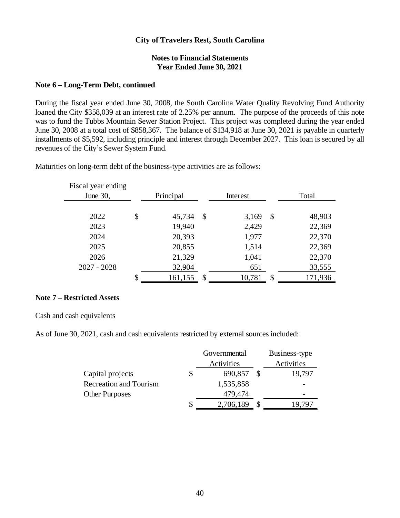#### **Notes to Financial Statements Year Ended June 30, 2021**

#### **Note 6 – Long-Term Debt, continued**

During the fiscal year ended June 30, 2008, the South Carolina Water Quality Revolving Fund Authority loaned the City \$358,039 at an interest rate of 2.25% per annum. The purpose of the proceeds of this note was to fund the Tubbs Mountain Sewer Station Project. This project was completed during the year ended June 30, 2008 at a total cost of \$858,367. The balance of \$134,918 at June 30, 2021 is payable in quarterly installments of \$5,592, including principle and interest through December 2027. This loan is secured by all revenues of the City's Sewer System Fund.

Fiscal year ending June 30, Principal Interest Total 2022 \$ 45,734 \$ 3,169 \$ 48,903 2023 19,940 2,429 22,369 2024 20,393 1,977 22,370 2025 20,855 1,514 22,369 2026 21,329 1,041 22,370 2027 - 2028 32,904 651 33,555  $$161,155 \quad $10,781 \quad $171,936$ 

Maturities on long-term debt of the business-type activities are as follows:

#### **Note 7 – Restricted Assets**

Cash and cash equivalents

As of June 30, 2021, cash and cash equivalents restricted by external sources included:

|                        | Governmental    | Business-type |
|------------------------|-----------------|---------------|
|                        | Activities      | Activities    |
| Capital projects       | \$<br>690,857   | 19,797        |
| Recreation and Tourism | 1,535,858       |               |
| <b>Other Purposes</b>  | 479,474         |               |
|                        | \$<br>2,706,189 | 19.79         |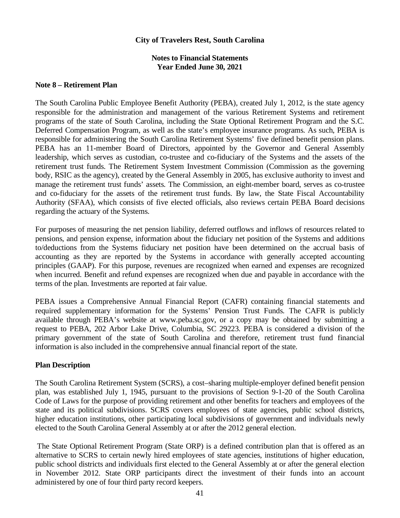#### **Notes to Financial Statements Year Ended June 30, 2021**

#### **Note 8 – Retirement Plan**

The South Carolina Public Employee Benefit Authority (PEBA), created July 1, 2012, is the state agency responsible for the administration and management of the various Retirement Systems and retirement programs of the state of South Carolina, including the State Optional Retirement Program and the S.C. Deferred Compensation Program, as well as the state's employee insurance programs. As such, PEBA is responsible for administering the South Carolina Retirement Systems' five defined benefit pension plans. PEBA has an 11-member Board of Directors, appointed by the Governor and General Assembly leadership, which serves as custodian, co-trustee and co-fiduciary of the Systems and the assets of the retirement trust funds. The Retirement System Investment Commission (Commission as the governing body, RSIC as the agency), created by the General Assembly in 2005, has exclusive authority to invest and manage the retirement trust funds' assets. The Commission, an eight-member board, serves as co-trustee and co-fiduciary for the assets of the retirement trust funds. By law, the State Fiscal Accountability Authority (SFAA), which consists of five elected officials, also reviews certain PEBA Board decisions regarding the actuary of the Systems.

For purposes of measuring the net pension liability, deferred outflows and inflows of resources related to pensions, and pension expense, information about the fiduciary net position of the Systems and additions to/deductions from the Systems fiduciary net position have been determined on the accrual basis of accounting as they are reported by the Systems in accordance with generally accepted accounting principles (GAAP). For this purpose, revenues are recognized when earned and expenses are recognized when incurred. Benefit and refund expenses are recognized when due and payable in accordance with the terms of the plan. Investments are reported at fair value.

PEBA issues a Comprehensive Annual Financial Report (CAFR) containing financial statements and required supplementary information for the Systems' Pension Trust Funds. The CAFR is publicly available through PEBA's website at www.peba.sc.gov, or a copy may be obtained by submitting a request to PEBA, 202 Arbor Lake Drive, Columbia, SC 29223. PEBA is considered a division of the primary government of the state of South Carolina and therefore, retirement trust fund financial information is also included in the comprehensive annual financial report of the state.

#### **Plan Description**

The South Carolina Retirement System (SCRS), a cost–sharing multiple-employer defined benefit pension plan, was established July 1, 1945, pursuant to the provisions of Section 9-1-20 of the South Carolina Code of Laws for the purpose of providing retirement and other benefits for teachers and employees of the state and its political subdivisions. SCRS covers employees of state agencies, public school districts, higher education institutions, other participating local subdivisions of government and individuals newly elected to the South Carolina General Assembly at or after the 2012 general election.

 The State Optional Retirement Program (State ORP) is a defined contribution plan that is offered as an alternative to SCRS to certain newly hired employees of state agencies, institutions of higher education, public school districts and individuals first elected to the General Assembly at or after the general election in November 2012. State ORP participants direct the investment of their funds into an account administered by one of four third party record keepers.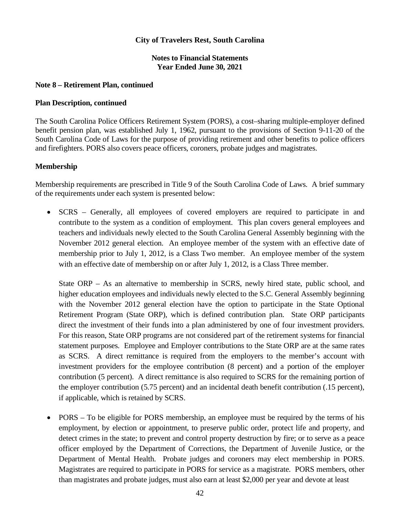#### **Notes to Financial Statements Year Ended June 30, 2021**

#### **Note 8 – Retirement Plan, continued**

#### **Plan Description, continued**

The South Carolina Police Officers Retirement System (PORS), a cost–sharing multiple-employer defined benefit pension plan, was established July 1, 1962, pursuant to the provisions of Section 9-11-20 of the South Carolina Code of Laws for the purpose of providing retirement and other benefits to police officers and firefighters. PORS also covers peace officers, coroners, probate judges and magistrates.

#### **Membership**

Membership requirements are prescribed in Title 9 of the South Carolina Code of Laws. A brief summary of the requirements under each system is presented below:

• SCRS – Generally, all employees of covered employers are required to participate in and contribute to the system as a condition of employment. This plan covers general employees and teachers and individuals newly elected to the South Carolina General Assembly beginning with the November 2012 general election. An employee member of the system with an effective date of membership prior to July 1, 2012, is a Class Two member. An employee member of the system with an effective date of membership on or after July 1, 2012, is a Class Three member.

State ORP – As an alternative to membership in SCRS, newly hired state, public school, and higher education employees and individuals newly elected to the S.C. General Assembly beginning with the November 2012 general election have the option to participate in the State Optional Retirement Program (State ORP), which is defined contribution plan. State ORP participants direct the investment of their funds into a plan administered by one of four investment providers. For this reason, State ORP programs are not considered part of the retirement systems for financial statement purposes. Employee and Employer contributions to the State ORP are at the same rates as SCRS. A direct remittance is required from the employers to the member's account with investment providers for the employee contribution (8 percent) and a portion of the employer contribution (5 percent). A direct remittance is also required to SCRS for the remaining portion of the employer contribution (5.75 percent) and an incidental death benefit contribution (.15 percent), if applicable, which is retained by SCRS.

 PORS – To be eligible for PORS membership, an employee must be required by the terms of his employment, by election or appointment, to preserve public order, protect life and property, and detect crimes in the state; to prevent and control property destruction by fire; or to serve as a peace officer employed by the Department of Corrections, the Department of Juvenile Justice, or the Department of Mental Health. Probate judges and coroners may elect membership in PORS. Magistrates are required to participate in PORS for service as a magistrate. PORS members, other than magistrates and probate judges, must also earn at least \$2,000 per year and devote at least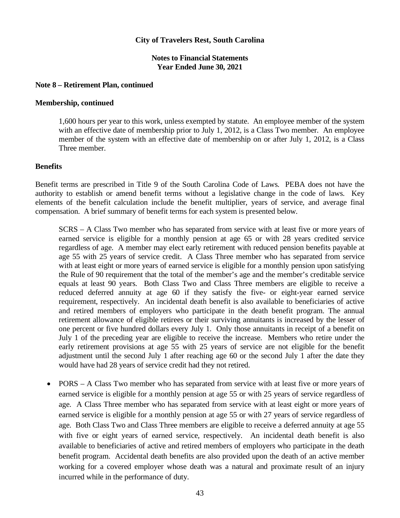#### **Notes to Financial Statements Year Ended June 30, 2021**

#### **Note 8 – Retirement Plan, continued**

#### **Membership, continued**

1,600 hours per year to this work, unless exempted by statute. An employee member of the system with an effective date of membership prior to July 1, 2012, is a Class Two member. An employee member of the system with an effective date of membership on or after July 1, 2012, is a Class Three member.

#### **Benefits**

Benefit terms are prescribed in Title 9 of the South Carolina Code of Laws. PEBA does not have the authority to establish or amend benefit terms without a legislative change in the code of laws. Key elements of the benefit calculation include the benefit multiplier, years of service, and average final compensation. A brief summary of benefit terms for each system is presented below.

SCRS – A Class Two member who has separated from service with at least five or more years of earned service is eligible for a monthly pension at age 65 or with 28 years credited service regardless of age. A member may elect early retirement with reduced pension benefits payable at age 55 with 25 years of service credit. A Class Three member who has separated from service with at least eight or more years of earned service is eligible for a monthly pension upon satisfying the Rule of 90 requirement that the total of the member's age and the member's creditable service equals at least 90 years. Both Class Two and Class Three members are eligible to receive a reduced deferred annuity at age 60 if they satisfy the five- or eight-year earned service requirement, respectively. An incidental death benefit is also available to beneficiaries of active and retired members of employers who participate in the death benefit program. The annual retirement allowance of eligible retirees or their surviving annuitants is increased by the lesser of one percent or five hundred dollars every July 1. Only those annuitants in receipt of a benefit on July 1 of the preceding year are eligible to receive the increase. Members who retire under the early retirement provisions at age 55 with 25 years of service are not eligible for the benefit adjustment until the second July 1 after reaching age 60 or the second July 1 after the date they would have had 28 years of service credit had they not retired.

• PORS – A Class Two member who has separated from service with at least five or more years of earned service is eligible for a monthly pension at age 55 or with 25 years of service regardless of age. A Class Three member who has separated from service with at least eight or more years of earned service is eligible for a monthly pension at age 55 or with 27 years of service regardless of age. Both Class Two and Class Three members are eligible to receive a deferred annuity at age 55 with five or eight years of earned service, respectively. An incidental death benefit is also available to beneficiaries of active and retired members of employers who participate in the death benefit program. Accidental death benefits are also provided upon the death of an active member working for a covered employer whose death was a natural and proximate result of an injury incurred while in the performance of duty.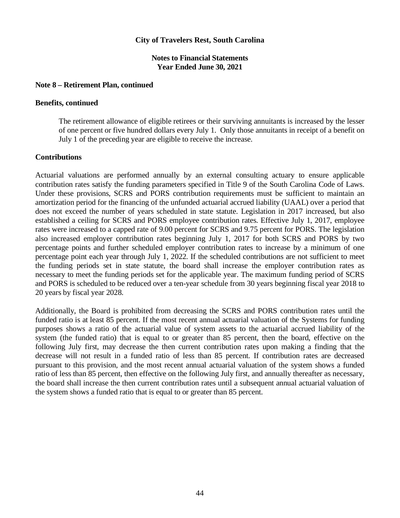#### **Notes to Financial Statements Year Ended June 30, 2021**

#### **Note 8 – Retirement Plan, continued**

#### **Benefits, continued**

The retirement allowance of eligible retirees or their surviving annuitants is increased by the lesser of one percent or five hundred dollars every July 1. Only those annuitants in receipt of a benefit on July 1 of the preceding year are eligible to receive the increase.

#### **Contributions**

Actuarial valuations are performed annually by an external consulting actuary to ensure applicable contribution rates satisfy the funding parameters specified in Title 9 of the South Carolina Code of Laws. Under these provisions, SCRS and PORS contribution requirements must be sufficient to maintain an amortization period for the financing of the unfunded actuarial accrued liability (UAAL) over a period that does not exceed the number of years scheduled in state statute. Legislation in 2017 increased, but also established a ceiling for SCRS and PORS employee contribution rates. Effective July 1, 2017, employee rates were increased to a capped rate of 9.00 percent for SCRS and 9.75 percent for PORS. The legislation also increased employer contribution rates beginning July 1, 2017 for both SCRS and PORS by two percentage points and further scheduled employer contribution rates to increase by a minimum of one percentage point each year through July 1, 2022. If the scheduled contributions are not sufficient to meet the funding periods set in state statute, the board shall increase the employer contribution rates as necessary to meet the funding periods set for the applicable year. The maximum funding period of SCRS and PORS is scheduled to be reduced over a ten-year schedule from 30 years beginning fiscal year 2018 to 20 years by fiscal year 2028.

Additionally, the Board is prohibited from decreasing the SCRS and PORS contribution rates until the funded ratio is at least 85 percent. If the most recent annual actuarial valuation of the Systems for funding purposes shows a ratio of the actuarial value of system assets to the actuarial accrued liability of the system (the funded ratio) that is equal to or greater than 85 percent, then the board, effective on the following July first, may decrease the then current contribution rates upon making a finding that the decrease will not result in a funded ratio of less than 85 percent. If contribution rates are decreased pursuant to this provision, and the most recent annual actuarial valuation of the system shows a funded ratio of less than 85 percent, then effective on the following July first, and annually thereafter as necessary, the board shall increase the then current contribution rates until a subsequent annual actuarial valuation of the system shows a funded ratio that is equal to or greater than 85 percent.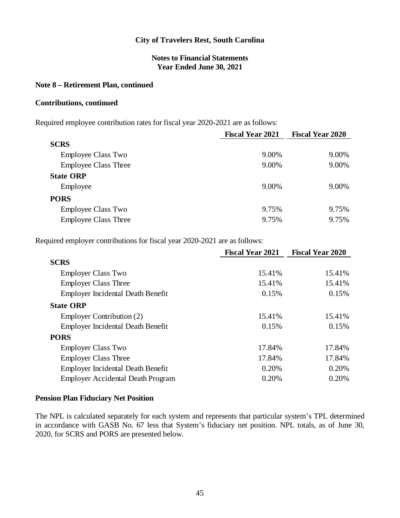#### **Notes to Financial Statements Year Ended June 30, 2021**

#### **Note 8 – Retirement Plan, continued**

#### **Contributions, continued**

Required employee contribution rates for fiscal year 2020-2021 are as follows:

|                             | <b>Fiscal Year 2021</b> | <b>Fiscal Year 2020</b> |
|-----------------------------|-------------------------|-------------------------|
| <b>SCRS</b>                 |                         |                         |
| Employee Class Two          | 9.00%                   | 9.00%                   |
| <b>Employee Class Three</b> | 9.00%                   | 9.00%                   |
| <b>State ORP</b>            |                         |                         |
| Employee                    | 9.00%                   | 9.00%                   |
| <b>PORS</b>                 |                         |                         |
| Employee Class Two          | 9.75%                   | 9.75%                   |
| <b>Employee Class Three</b> | 9.75%                   | 9.75%                   |

Required employer contributions for fiscal year 2020-2021 are as follows:

|                                          | <b>Fiscal Year 2021</b> | <b>Fiscal Year 2020</b> |
|------------------------------------------|-------------------------|-------------------------|
| <b>SCRS</b>                              |                         |                         |
| <b>Employer Class Two</b>                | 15.41%                  | 15.41%                  |
| <b>Employer Class Three</b>              | 15.41%                  | 15.41%                  |
| <b>Employer Incidental Death Benefit</b> | 0.15%                   | 0.15%                   |
| <b>State ORP</b>                         |                         |                         |
| <b>Employer Contribution (2)</b>         | 15.41%                  | 15.41%                  |
| Employer Incidental Death Benefit        | 0.15%                   | 0.15%                   |
| <b>PORS</b>                              |                         |                         |
| <b>Employer Class Two</b>                | 17.84%                  | 17.84%                  |
| <b>Employer Class Three</b>              | 17.84%                  | 17.84%                  |
| <b>Employer Incidental Death Benefit</b> | 0.20%                   | 0.20%                   |
| <b>Employer Accidental Death Program</b> | 0.20%                   | 0.20%                   |

## **Pension Plan Fiduciary Net Position**

The NPL is calculated separately for each system and represents that particular system's TPL determined in accordance with GASB No. 67 less that System's fiduciary net position. NPL totals, as of June 30, 2020, for SCRS and PORS are presented below.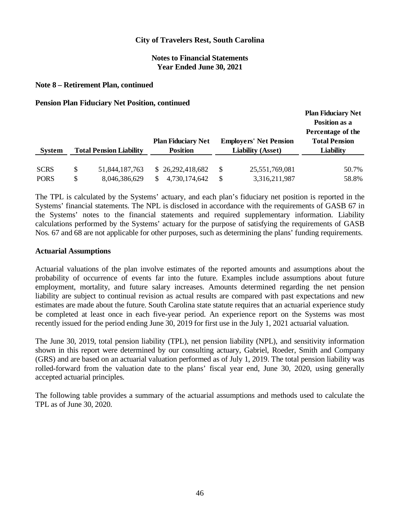#### **Notes to Financial Statements Year Ended June 30, 2021**

#### **Note 8 – Retirement Plan, continued**

#### **Pension Plan Fiduciary Net Position, continued**

|               |                                |                |                           |   |                               | <b>Plan Fiduciary Net</b> |
|---------------|--------------------------------|----------------|---------------------------|---|-------------------------------|---------------------------|
|               |                                |                |                           |   |                               | Position as a             |
|               |                                |                |                           |   |                               | Percentage of the         |
|               |                                |                | <b>Plan Fiduciary Net</b> |   | <b>Employers' Net Pension</b> | <b>Total Pension</b>      |
|               | <b>Total Pension Liability</b> |                |                           |   |                               |                           |
| <b>System</b> |                                |                | <b>Position</b>           |   | <b>Liability (Asset)</b>      | <b>Liability</b>          |
|               |                                |                |                           |   |                               |                           |
| <b>SCRS</b>   | \$                             | 51,844,187,763 | \$26,292,418,682          | S | 25,551,769,081                | 50.7%                     |

The TPL is calculated by the Systems' actuary, and each plan's fiduciary net position is reported in the Systems' financial statements. The NPL is disclosed in accordance with the requirements of GASB 67 in the Systems' notes to the financial statements and required supplementary information. Liability calculations performed by the Systems' actuary for the purpose of satisfying the requirements of GASB Nos. 67 and 68 are not applicable for other purposes, such as determining the plans' funding requirements.

#### **Actuarial Assumptions**

Actuarial valuations of the plan involve estimates of the reported amounts and assumptions about the probability of occurrence of events far into the future. Examples include assumptions about future employment, mortality, and future salary increases. Amounts determined regarding the net pension liability are subject to continual revision as actual results are compared with past expectations and new estimates are made about the future. South Carolina state statute requires that an actuarial experience study be completed at least once in each five-year period. An experience report on the Systems was most recently issued for the period ending June 30, 2019 for first use in the July 1, 2021 actuarial valuation.

The June 30, 2019, total pension liability (TPL), net pension liability (NPL), and sensitivity information shown in this report were determined by our consulting actuary, Gabriel, Roeder, Smith and Company (GRS) and are based on an actuarial valuation performed as of July 1, 2019. The total pension liability was rolled-forward from the valuation date to the plans' fiscal year end, June 30, 2020, using generally accepted actuarial principles.

The following table provides a summary of the actuarial assumptions and methods used to calculate the TPL as of June 30, 2020.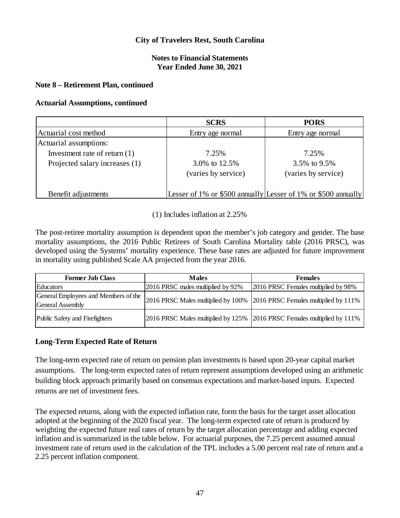#### **Notes to Financial Statements Year Ended June 30, 2021**

#### **Note 8 – Retirement Plan, continued**

#### **Actuarial Assumptions, continued**

|                                 | <b>SCRS</b>         | <b>PORS</b>                                                   |
|---------------------------------|---------------------|---------------------------------------------------------------|
| Actuarial cost method           | Entry age normal    | Entry age normal                                              |
| Actuarial assumptions:          |                     |                                                               |
| Investment rate of return $(1)$ | 7.25%               | 7.25%                                                         |
| Projected salary increases (1)  | 3.0% to 12.5%       | 3.5% to 9.5%                                                  |
|                                 | (varies by service) | (varies by service)                                           |
|                                 |                     |                                                               |
| Benefit adjustments             |                     | Lesser of 1% or \$500 annually Lesser of 1% or \$500 annually |

(1) Includes inflation at 2.25%

The post-retiree mortality assumption is dependent upon the member's job category and gender. The base mortality assumptions, the 2016 Public Retirees of South Carolina Mortality table (2016 PRSC), was developed using the Systems' mortality experience. These base rates are adjusted for future improvement in mortality using published Scale AA projected from the year 2016.

| <b>Former Job Class</b>                                  | <b>Males</b>                      | <b>Females</b>                                                             |  |  |  |
|----------------------------------------------------------|-----------------------------------|----------------------------------------------------------------------------|--|--|--|
| <b>Educators</b>                                         | 2016 PRSC males multiplied by 92% | 2016 PRSC Females multiplied by 98%                                        |  |  |  |
| General Employees and Members of the<br>General Assembly |                                   | 2016 PRSC Males multiplied by 100% 2016 PRSC Females multiplied by 111%    |  |  |  |
| Public Safety and Firefighters                           |                                   | [2016 PRSC Males multiplied by 125% [2016 PRSC Females multiplied by 111%] |  |  |  |

#### **Long-Term Expected Rate of Return**

The long-term expected rate of return on pension plan investments is based upon 20-year capital market assumptions. The long‐term expected rates of return represent assumptions developed using an arithmetic building block approach primarily based on consensus expectations and market‐based inputs. Expected returns are net of investment fees.

The expected returns, along with the expected inflation rate, form the basis for the target asset allocation adopted at the beginning of the 2020 fiscal year. The long‐term expected rate of return is produced by weighting the expected future real rates of return by the target allocation percentage and adding expected inflation and is summarized in the table below. For actuarial purposes, the 7.25 percent assumed annual investment rate of return used in the calculation of the TPL includes a 5.00 percent real rate of return and a 2.25 percent inflation component.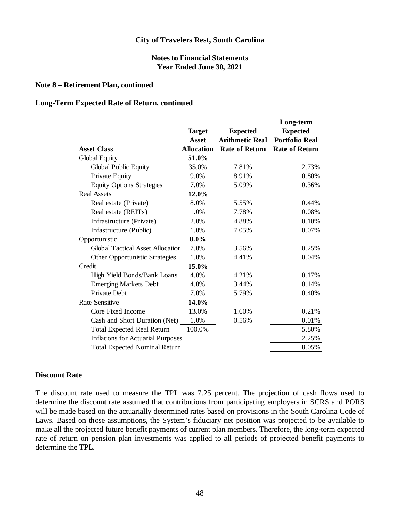#### **Notes to Financial Statements Year Ended June 30, 2021**

#### **Note 8 – Retirement Plan, continued**

#### **Long-Term Expected Rate of Return, continued**

|                                          |                   |                        | Long-term             |
|------------------------------------------|-------------------|------------------------|-----------------------|
|                                          | <b>Target</b>     | <b>Expected</b>        | <b>Expected</b>       |
|                                          | Asset             | <b>Arithmetic Real</b> | <b>Portfolio Real</b> |
| <b>Asset Class</b>                       | <b>Allocation</b> | <b>Rate of Return</b>  | <b>Rate of Return</b> |
| Global Equity                            | 51.0%             |                        |                       |
| Global Public Equity                     | 35.0%             | 7.81%                  | 2.73%                 |
| <b>Private Equity</b>                    | 9.0%              | 8.91%                  | 0.80%                 |
| <b>Equity Options Strategies</b>         | 7.0%              | 5.09%                  | 0.36%                 |
| <b>Real Assets</b>                       | 12.0%             |                        |                       |
| Real estate (Private)                    | 8.0%              | 5.55%                  | 0.44%                 |
| Real estate (REITs)                      | 1.0%              | 7.78%                  | 0.08%                 |
| Infrastructure (Private)                 | 2.0%              | 4.88%                  | 0.10%                 |
| Infastructure (Public)                   | 1.0%              | 7.05%                  | 0.07%                 |
| Opportunistic                            | $8.0\%$           |                        |                       |
| <b>Global Tactical Asset Allocation</b>  | 7.0%              | 3.56%                  | 0.25%                 |
| Other Opportunistic Strategies           | 1.0%              | 4.41%                  | 0.04%                 |
| Credit                                   | 15.0%             |                        |                       |
| High Yield Bonds/Bank Loans              | 4.0%              | 4.21%                  | 0.17%                 |
| <b>Emerging Markets Debt</b>             | 4.0%              | 3.44%                  | 0.14%                 |
| <b>Private Debt</b>                      | 7.0%              | 5.79%                  | 0.40%                 |
| <b>Rate Sensitive</b>                    | 14.0%             |                        |                       |
| Core Fixed Income                        | 13.0%             | 1.60%                  | 0.21%                 |
| Cash and Short Duration (Net)            | 1.0%              | 0.56%                  | 0.01%                 |
| <b>Total Expected Real Return</b>        | 100.0%            |                        | 5.80%                 |
| <b>Inflations for Actuarial Purposes</b> |                   |                        | 2.25%                 |
| <b>Total Expected Nominal Return</b>     |                   |                        | 8.05%                 |

#### **Discount Rate**

The discount rate used to measure the TPL was 7.25 percent. The projection of cash flows used to determine the discount rate assumed that contributions from participating employers in SCRS and PORS will be made based on the actuarially determined rates based on provisions in the South Carolina Code of Laws. Based on those assumptions, the System's fiduciary net position was projected to be available to make all the projected future benefit payments of current plan members. Therefore, the long-term expected rate of return on pension plan investments was applied to all periods of projected benefit payments to determine the TPL.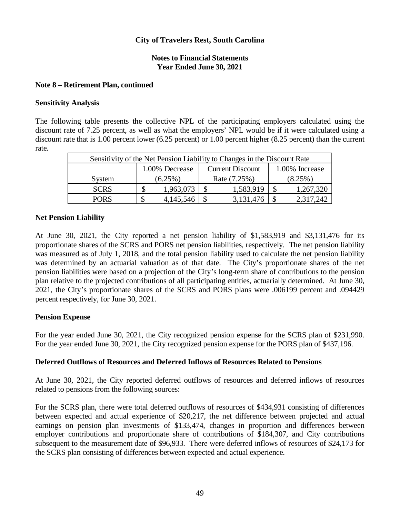#### **Notes to Financial Statements Year Ended June 30, 2021**

#### **Note 8 – Retirement Plan, continued**

#### **Sensitivity Analysis**

The following table presents the collective NPL of the participating employers calculated using the discount rate of 7.25 percent, as well as what the employers' NPL would be if it were calculated using a discount rate that is 1.00 percent lower (6.25 percent) or 1.00 percent higher (8.25 percent) than the current rate.

| Sensitivity of the Net Pension Liability to Changes in the Discount Rate |                |                |            |  |  |  |  |  |
|--------------------------------------------------------------------------|----------------|----------------|------------|--|--|--|--|--|
|                                                                          | 1.00% Decrease | 1.00% Increase |            |  |  |  |  |  |
| System                                                                   | $(6.25\%)$     | Rate (7.25%)   | $(8.25\%)$ |  |  |  |  |  |
| <b>SCRS</b>                                                              | 1,963,073      | 1,583,919      | 1,267,320  |  |  |  |  |  |
| PORS                                                                     | 4,145,546      | 3,131,476      | 2,317,242  |  |  |  |  |  |

#### **Net Pension Liability**

At June 30, 2021, the City reported a net pension liability of \$1,583,919 and \$3,131,476 for its proportionate shares of the SCRS and PORS net pension liabilities, respectively. The net pension liability was measured as of July 1, 2018, and the total pension liability used to calculate the net pension liability was determined by an actuarial valuation as of that date. The City's proportionate shares of the net pension liabilities were based on a projection of the City's long-term share of contributions to the pension plan relative to the projected contributions of all participating entities, actuarially determined. At June 30, 2021, the City's proportionate shares of the SCRS and PORS plans were .006199 percent and .094429 percent respectively, for June 30, 2021.

#### **Pension Expense**

For the year ended June 30, 2021, the City recognized pension expense for the SCRS plan of \$231,990. For the year ended June 30, 2021, the City recognized pension expense for the PORS plan of \$437,196.

#### **Deferred Outflows of Resources and Deferred Inflows of Resources Related to Pensions**

At June 30, 2021, the City reported deferred outflows of resources and deferred inflows of resources related to pensions from the following sources:

For the SCRS plan, there were total deferred outflows of resources of \$434,931 consisting of differences between expected and actual experience of \$20,217, the net difference between projected and actual earnings on pension plan investments of \$133,474, changes in proportion and differences between employer contributions and proportionate share of contributions of \$184,307, and City contributions subsequent to the measurement date of \$96,933. There were deferred inflows of resources of \$24,173 for the SCRS plan consisting of differences between expected and actual experience.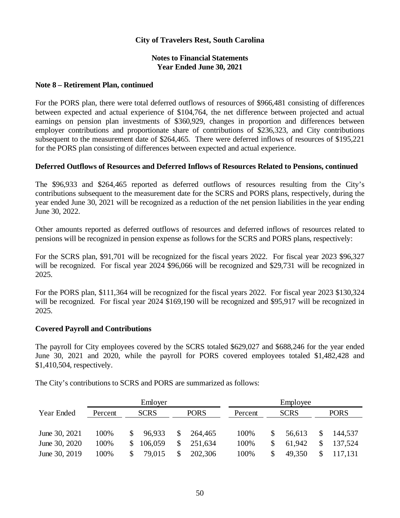#### **Notes to Financial Statements Year Ended June 30, 2021**

#### **Note 8 – Retirement Plan, continued**

For the PORS plan, there were total deferred outflows of resources of \$966,481 consisting of differences between expected and actual experience of \$104,764, the net difference between projected and actual earnings on pension plan investments of \$360,929, changes in proportion and differences between employer contributions and proportionate share of contributions of \$236,323, and City contributions subsequent to the measurement date of \$264,465. There were deferred inflows of resources of \$195,221 for the PORS plan consisting of differences between expected and actual experience.

#### **Deferred Outflows of Resources and Deferred Inflows of Resources Related to Pensions, continued**

The \$96,933 and \$264,465 reported as deferred outflows of resources resulting from the City's contributions subsequent to the measurement date for the SCRS and PORS plans, respectively, during the year ended June 30, 2021 will be recognized as a reduction of the net pension liabilities in the year ending June 30, 2022.

Other amounts reported as deferred outflows of resources and deferred inflows of resources related to pensions will be recognized in pension expense as follows for the SCRS and PORS plans, respectively:

For the SCRS plan, \$91,701 will be recognized for the fiscal years 2022. For fiscal year 2023 \$96,327 will be recognized. For fiscal year 2024 \$96,066 will be recognized and \$29,731 will be recognized in 2025.

For the PORS plan, \$111,364 will be recognized for the fiscal years 2022. For fiscal year 2023 \$130,324 will be recognized. For fiscal year 2024 \$169,190 will be recognized and \$95,917 will be recognized in 2025.

#### **Covered Payroll and Contributions**

The payroll for City employees covered by the SCRS totaled \$629,027 and \$688,246 for the year ended June 30, 2021 and 2020, while the payroll for PORS covered employees totaled \$1,482,428 and \$1,410,504, respectively.

The City's contributions to SCRS and PORS are summarized as follows:

|               | Emloyer |    |             |               | Employee    |         |              |             |  |             |
|---------------|---------|----|-------------|---------------|-------------|---------|--------------|-------------|--|-------------|
| Year Ended    | Percent |    | <b>SCRS</b> |               | <b>PORS</b> | Percent |              | <b>SCRS</b> |  | <b>PORS</b> |
|               |         |    |             |               |             |         |              |             |  |             |
| June 30, 2021 | 100%    | S. | 96,933      | <sup>\$</sup> | 264,465     | 100%    | <b>S</b>     | 56,613      |  | 144,537     |
| June 30, 2020 | 100%    |    | \$106,059   | S             | 251,634     | 100%    | <sup>S</sup> | 61.942      |  | 137.524     |
| June 30, 2019 | 100%    |    | 79.015      |               | 202,306     | 100%    | S            | 49,350      |  | 117.131     |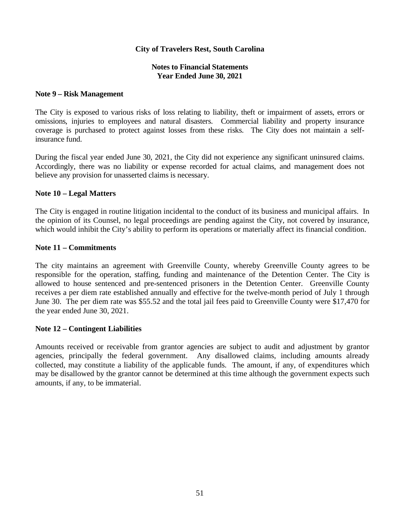#### **Notes to Financial Statements Year Ended June 30, 2021**

#### **Note 9 – Risk Management**

The City is exposed to various risks of loss relating to liability, theft or impairment of assets, errors or omissions, injuries to employees and natural disasters. Commercial liability and property insurance coverage is purchased to protect against losses from these risks. The City does not maintain a selfinsurance fund.

During the fiscal year ended June 30, 2021, the City did not experience any significant uninsured claims. Accordingly, there was no liability or expense recorded for actual claims, and management does not believe any provision for unasserted claims is necessary.

#### **Note 10 – Legal Matters**

The City is engaged in routine litigation incidental to the conduct of its business and municipal affairs. In the opinion of its Counsel, no legal proceedings are pending against the City, not covered by insurance, which would inhibit the City's ability to perform its operations or materially affect its financial condition.

#### **Note 11 – Commitments**

The city maintains an agreement with Greenville County, whereby Greenville County agrees to be responsible for the operation, staffing, funding and maintenance of the Detention Center. The City is allowed to house sentenced and pre-sentenced prisoners in the Detention Center. Greenville County receives a per diem rate established annually and effective for the twelve-month period of July 1 through June 30. The per diem rate was \$55.52 and the total jail fees paid to Greenville County were \$17,470 for the year ended June 30, 2021.

#### **Note 12 – Contingent Liabilities**

Amounts received or receivable from grantor agencies are subject to audit and adjustment by grantor agencies, principally the federal government. Any disallowed claims, including amounts already collected, may constitute a liability of the applicable funds. The amount, if any, of expenditures which may be disallowed by the grantor cannot be determined at this time although the government expects such amounts, if any, to be immaterial.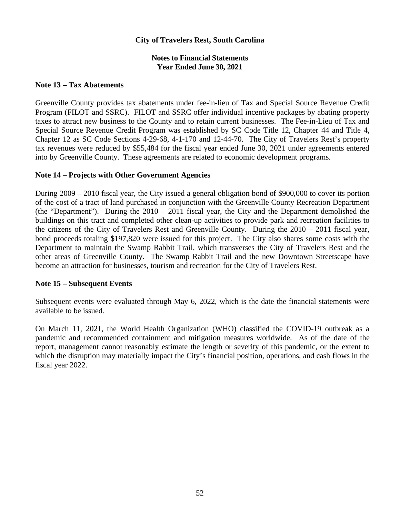#### **Notes to Financial Statements Year Ended June 30, 2021**

#### **Note 13 – Tax Abatements**

Greenville County provides tax abatements under fee-in-lieu of Tax and Special Source Revenue Credit Program (FILOT and SSRC). FILOT and SSRC offer individual incentive packages by abating property taxes to attract new business to the County and to retain current businesses. The Fee-in-Lieu of Tax and Special Source Revenue Credit Program was established by SC Code Title 12, Chapter 44 and Title 4, Chapter 12 as SC Code Sections 4-29-68, 4-1-170 and 12-44-70. The City of Travelers Rest's property tax revenues were reduced by \$55,484 for the fiscal year ended June 30, 2021 under agreements entered into by Greenville County. These agreements are related to economic development programs.

#### **Note 14 – Projects with Other Government Agencies**

During 2009 – 2010 fiscal year, the City issued a general obligation bond of \$900,000 to cover its portion of the cost of a tract of land purchased in conjunction with the Greenville County Recreation Department (the "Department"). During the 2010 – 2011 fiscal year, the City and the Department demolished the buildings on this tract and completed other clean-up activities to provide park and recreation facilities to the citizens of the City of Travelers Rest and Greenville County. During the 2010 – 2011 fiscal year, bond proceeds totaling \$197,820 were issued for this project. The City also shares some costs with the Department to maintain the Swamp Rabbit Trail, which transverses the City of Travelers Rest and the other areas of Greenville County. The Swamp Rabbit Trail and the new Downtown Streetscape have become an attraction for businesses, tourism and recreation for the City of Travelers Rest.

#### **Note 15 – Subsequent Events**

Subsequent events were evaluated through May 6, 2022, which is the date the financial statements were available to be issued.

On March 11, 2021, the World Health Organization (WHO) classified the COVID-19 outbreak as a pandemic and recommended containment and mitigation measures worldwide. As of the date of the report, management cannot reasonably estimate the length or severity of this pandemic, or the extent to which the disruption may materially impact the City's financial position, operations, and cash flows in the fiscal year 2022.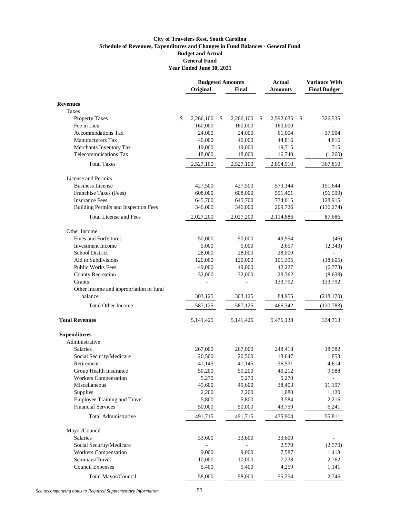#### **Year Ended June 30, 2021 City of Travelers Rest, South Carolina Budget and Actual Schedule of Revenues, Expenditures and Changes in Fund Balances - General Fund General Fund**

|                                             | <b>Budgeted Amounts</b> |    |             | <b>Actual</b>   |    | <b>Variance With</b> |  |
|---------------------------------------------|-------------------------|----|-------------|-----------------|----|----------------------|--|
|                                             | Original                |    | Final       | <b>Amounts</b>  |    | <b>Final Budget</b>  |  |
| <b>Revenues</b>                             |                         |    |             |                 |    |                      |  |
| Taxes                                       |                         |    |             |                 |    |                      |  |
| Property Taxes                              | \$<br>2,266,100         | \$ | 2,266,100   | \$<br>2,592,635 | \$ | 326,535              |  |
| Fee in Lieu                                 | 160,000                 |    | 160,000     | 160,000         |    |                      |  |
| <b>Accommodations Tax</b>                   | 24,000                  |    | 24,000      | 61,004          |    | 37,004               |  |
| Manufacturers Tax                           | 40,000                  |    | 40,000      | 44,816          |    | 4,816                |  |
| Merchants Inventory Tax                     | 19,000                  |    | 19,000      | 19,715          |    | 715                  |  |
| <b>Telecommuications Tax</b>                | 18,000                  |    | 18,000      | 16,740          |    | (1,260)              |  |
| <b>Total Taxes</b>                          | 2,527,100               |    | 2,527,100   | 2,894,910       |    | 367,810              |  |
| License and Permits                         |                         |    |             |                 |    |                      |  |
| <b>Business License</b>                     | 427,500                 |    | 427,500     | 579,144         |    | 151,644              |  |
| Franchise Taxes (Fees)                      | 608,000                 |    | 608,000     | 551,401         |    | (56, 599)            |  |
| <b>Insurance Fees</b>                       | 645,700                 |    | 645,700     | 774,615         |    | 128,915              |  |
| <b>Building Permits and Inspection Fees</b> | 346,000                 |    | 346,000     | 209,726         |    | (136, 274)           |  |
| <b>Total License and Fees</b>               | 2,027,200               |    | 2,027,200   | 2,114,886       |    | 87,686               |  |
| Other Income                                |                         |    |             |                 |    |                      |  |
| <b>Fines and Forfeitures</b>                | 50,000                  |    | 50,000      | 49,954          |    | (46)                 |  |
| <b>Investment Income</b>                    | 5,000                   |    | 5,000       | 2,657           |    | (2,343)              |  |
| <b>School District</b>                      | 28,000                  |    | 28,000      | 28,000          |    |                      |  |
| Aid to Subdivisions                         | 120,000                 |    | 120,000     | 101,395         |    | (18,605)             |  |
| <b>Public Works Fees</b>                    | 49,000                  |    | 49,000      | 42,227          |    | (6,773)              |  |
| County Recreation                           | 32,000                  |    | 32,000      | 23,362          |    | (8,638)              |  |
| Grants                                      |                         |    |             | 133,792         |    | 133,792              |  |
| Other Income and appropriation of fund      |                         |    |             |                 |    |                      |  |
| balance                                     | 303,125                 |    | 303,125     | 84,955          |    | (218, 170)           |  |
| <b>Total Other Income</b>                   | 587,125                 |    | 587,125     | 466,342         |    | (120, 783)           |  |
| <b>Total Revenues</b>                       | 5, 141, 425             |    | 5, 141, 425 | 5,476,138       |    | 334,713              |  |
| <b>Expenditures</b>                         |                         |    |             |                 |    |                      |  |
| Administrative                              |                         |    |             |                 |    |                      |  |
| <b>Salaries</b>                             | 267,000                 |    | 267,000     | 248,418         |    | 18,582               |  |
| Social Security/Medicare                    | 20,500                  |    | 20,500      | 18,647          |    | 1,853                |  |
| Retirement                                  | 41,145                  |    | 41,145      | 36,531          |    | 4,614                |  |
| Group Health Insurance                      | 50,200                  |    | 50,200      | 40,212          |    | 9,988                |  |
| Workers Compensation                        | 5,270                   |    | 5,270       | 5,270           |    |                      |  |
| Miscellaneous                               | 49,600                  |    | 49,600      | 38,403          |    | 11,197               |  |
| Supplies                                    | 2,200                   |    | 2,200       | 1,080           |    | 1,120                |  |
| <b>Employee Training and Travel</b>         | 5,800                   |    | 5,800       | 3,584           |    | 2,216                |  |
| <b>Financial Services</b>                   | 50,000                  |    | 50,000      | 43,759          |    | 6,241                |  |
| <b>Total Administrative</b>                 | 491,715                 |    | 491,715     | 435,904         |    | 55,811               |  |
| Mayor/Council                               |                         |    |             |                 |    |                      |  |
| <b>Salaries</b>                             | 33,600                  |    | 33,600      | 33,600          |    | -                    |  |
| Social Security/Medicare                    |                         |    |             | 2,570           |    | (2,570)              |  |
| <b>Workers Compensation</b>                 | 9,000                   |    | 9,000       | 7,587           |    | 1,413                |  |
| Seminars/Travel                             | 10,000                  |    | 10,000      | 7,238           |    | 2,762                |  |
| <b>Council Expenses</b>                     | 5,400                   |    | 5,400       | 4,259           |    | 1,141                |  |
| Total Mayor/Council                         | 58,000                  |    | 58,000      | 55,254          |    | 2,746                |  |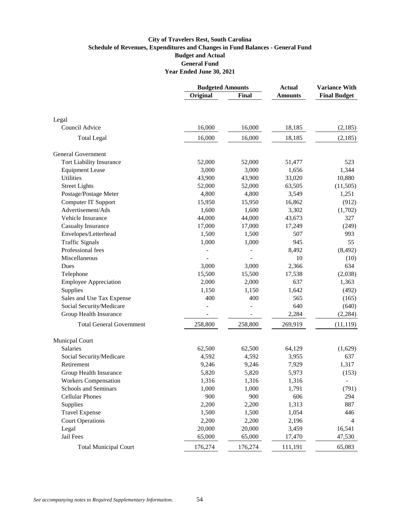#### **City of Travelers Rest, South Carolina Schedule of Revenues, Expenditures and Changes in Fund Balances - General Fund Budget and Actual General Fund Year Ended June 30, 2021**

|                                 | <b>Budgeted Amounts</b> |              | <b>Actual</b>  | <b>Variance With</b>         |  |
|---------------------------------|-------------------------|--------------|----------------|------------------------------|--|
|                                 | Original                | <b>Final</b> | <b>Amounts</b> | <b>Final Budget</b>          |  |
|                                 |                         |              |                |                              |  |
| Legal                           |                         |              |                |                              |  |
| Council Advice                  | 16,000                  | 16,000       | 18,185         | (2,185)                      |  |
| <b>Total Legal</b>              | 16,000                  | 16,000       | 18,185         | (2,185)                      |  |
| <b>General Government</b>       |                         |              |                |                              |  |
| Tort Liability Insurance        | 52,000                  | 52,000       | 51,477         | 523                          |  |
| <b>Equipment Lease</b>          | 3,000                   | 3,000        | 1,656          | 1,344                        |  |
| Utilities                       | 43,900                  | 43,900       | 33,020         | 10,880                       |  |
| <b>Street Lights</b>            | 52,000                  | 52,000       | 63,505         | (11,505)                     |  |
| Postage/Postage Meter           | 4,800                   | 4,800        | 3,549          | 1,251                        |  |
| Computer IT Support             | 15,950                  | 15,950       | 16,862         | (912)                        |  |
| Advertisement/Ads               | 1,600                   | 1,600        | 3,302          | (1,702)                      |  |
| Vehicle Insurance               | 44,000                  | 44,000       | 43,673         | 327                          |  |
| <b>Casualty Insurance</b>       | 17,000                  | 17,000       | 17,249         | (249)                        |  |
| Envelopes/Letterhead            | 1,500                   | 1,500        | 507            | 993                          |  |
| <b>Traffic Signals</b>          | 1,000                   | 1,000        | 945            | 55                           |  |
| Professional fees               |                         |              | 8,492          | (8, 492)                     |  |
| Miscellaneous                   |                         |              | 10             | (10)                         |  |
| Dues                            | 3,000                   | 3,000        | 2,366          | 634                          |  |
| Telephone                       | 15,500                  | 15,500       | 17,538         | (2,038)                      |  |
| <b>Employee Appreciation</b>    | 2,000                   | 2,000        | 637            | 1,363                        |  |
| Supplies                        | 1,150                   | 1,150        | 1,642          | (492)                        |  |
| Sales and Use Tax Expense       | 400                     | 400          | 565            | (165)                        |  |
| Social Security/Medicare        |                         |              | 640            | (640)                        |  |
| Group Health Insurance          | $\overline{a}$          |              | 2,284          | (2, 284)                     |  |
| <b>Total General Government</b> | 258,800                 | 258,800      | 269,919        | (11, 119)                    |  |
| Municpal Court                  |                         |              |                |                              |  |
| Salaries                        | 62,500                  | 62,500       | 64,129         | (1,629)                      |  |
| Social Security/Medicare        | 4,592                   | 4,592        | 3,955          | 637                          |  |
| Retirement                      | 9,246                   | 9,246        | 7,929          | 1,317                        |  |
| Group Health Insurance          | 5,820                   | 5,820        | 5,973          | (153)                        |  |
| <b>Workers Compensation</b>     | 1,316                   | 1,316        | 1,316          | $\qquad \qquad \blacksquare$ |  |
| Schools and Seminars            | 1,000                   | 1,000        | 1,791          | (791)                        |  |
| <b>Cellular Phones</b>          | 900                     | 900          | 606            | 294                          |  |
| Supplies                        | 2,200                   | 2,200        | 1,313          | 887                          |  |
| <b>Travel Expense</b>           | 1,500                   | 1,500        | 1,054          | 446                          |  |
| <b>Court Operations</b>         | 2,200                   | 2,200        | 2,196          | $\overline{4}$               |  |
| Legal                           | 20,000                  | 20,000       | 3,459          | 16,541                       |  |
| Jail Fees                       | 65,000                  | 65,000       | 17,470         | 47,530                       |  |
| <b>Total Municipal Court</b>    | 176,274                 | 176,274      | 111,191        | 65,083                       |  |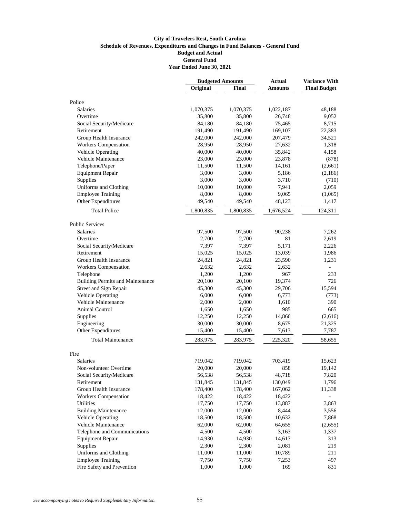#### **City of Travelers Rest, South Carolina Schedule of Revenues, Expenditures and Changes in Fund Balances - General Fund Budget and Actual General Fund Year Ended June 30, 2021**

|                                         | <b>Budgeted Amounts</b> |                | <b>Actual</b>  | <b>Variance With</b> |
|-----------------------------------------|-------------------------|----------------|----------------|----------------------|
|                                         | Original                | Final          | <b>Amounts</b> | <b>Final Budget</b>  |
| Police                                  |                         |                |                |                      |
| Salaries                                | 1,070,375               | 1,070,375      | 1,022,187      | 48,188               |
| Overtime                                | 35,800                  | 35,800         | 26,748         | 9,052                |
| Social Security/Medicare                | 84,180                  | 84,180         | 75,465         | 8,715                |
| Retirement                              | 191,490                 | 191,490        | 169,107        | 22,383               |
| Group Health Insurance                  | 242,000                 | 242,000        | 207,479        | 34,521               |
| Workers Compensation                    | 28,950                  | 28,950         | 27,632         | 1,318                |
| Vehicle Operating                       | 40,000                  | 40,000         | 35,842         | 4,158                |
| Vehicle Maintenance                     | 23,000                  | 23,000         | 23,878         | (878)                |
| Telephone/Paper                         | 11,500                  | 11,500         | 14,161         | (2,661)              |
| <b>Equipment Repair</b>                 | 3,000                   | 3,000          | 5,186          | (2,186)              |
| Supplies                                | 3,000                   | 3,000          | 3,710          | (710)                |
| Uniforms and Clothing                   | 10,000                  | 10,000         |                |                      |
| <b>Employee Training</b>                | 8,000                   | 8,000          | 7,941<br>9,065 | 2,059<br>(1,065)     |
| Other Expenditures                      | 49,540                  | 49,540         |                | 1,417                |
|                                         |                         |                | 48,123         |                      |
| <b>Total Police</b>                     | 1,800,835               | 1,800,835      | 1,676,524      | 124,311              |
| <b>Public Services</b>                  |                         |                |                |                      |
| Salaries                                | 97,500                  | 97,500         | 90,238         | 7,262                |
| Overtime                                | 2,700                   | 2,700          | 81             | 2,619                |
| Social Security/Medicare                | 7,397                   | 7,397          | 5,171          | 2,226                |
| Retirement                              | 15,025                  | 15,025         | 13,039         | 1,986                |
| Group Health Insurance                  | 24,821                  | 24,821         | 23,590         | 1,231                |
| Workers Compensation                    | 2,632                   | 2,632          | 2,632          |                      |
| Telephone                               | 1,200                   | 1,200          | 967            | 233                  |
| <b>Building Permits and Maintenance</b> | 20,100                  | 20,100         | 19,374         | 726                  |
| Street and Sign Repair                  | 45,300                  | 45,300         | 29,706         | 15,594               |
| Vehicle Operating                       | 6,000                   | 6,000          | 6,773          | (773)                |
| Vehicle Maintenance                     | 2,000                   | 2,000          | 1,610          | 390                  |
| Animal Control                          | 1,650                   | 1,650          | 985            | 665                  |
| Supplies                                | 12,250                  | 12,250         | 14,866         | (2,616)              |
| Engineering                             | 30,000                  | 30,000         | 8,675          | 21,325               |
| Other Expenditures                      | 15,400                  | 15,400         | 7,613          | 7,787                |
| <b>Total Maintenance</b>                | 283,975                 | 283,975        | 225,320        | 58,655               |
|                                         |                         |                |                |                      |
| Fire<br>Salaries                        | 719,042                 | 719,042        | 703,419        | 15,623               |
| Non-volunteer Overtime                  | 20,000                  | 20,000         | 858            | 19,142               |
| Social Security/Medicare                | 56,538                  | 56,538         | 48,718         | 7,820                |
| Retirement                              | 131,845                 | 131,845        | 130,049        | 1,796                |
| Group Health Insurance                  | 178,400                 | 178,400        | 167,062        | 11,338               |
| Workers Compensation                    | 18,422                  | 18,422         | 18,422         |                      |
| Utilities                               | 17,750                  | 17,750         | 13,887         | 3,863                |
| <b>Building Maintenance</b>             | 12,000                  | 12,000         | 8,444          | 3,556                |
| Vehicle Operating                       | 18,500                  | 18,500         | 10,632         | 7,868                |
| Vehicle Maintenance                     | 62,000                  | 62,000         | 64,655         | (2,655)              |
| Telephone and Communications            | 4,500                   | 4,500          | 3,163          | 1,337                |
| <b>Equipment Repair</b>                 | 14,930                  | 14,930         | 14,617         | 313                  |
| Supplies                                | 2,300                   | 2,300          | 2,081          | 219                  |
| Uniforms and Clothing                   |                         |                |                |                      |
| <b>Employee Training</b>                | 11,000                  | 11,000         | 10,789         | 211<br>497           |
| Fire Safety and Prevention              | 7,750<br>1,000          | 7,750<br>1,000 | 7,253<br>169   | 831                  |
|                                         |                         |                |                |                      |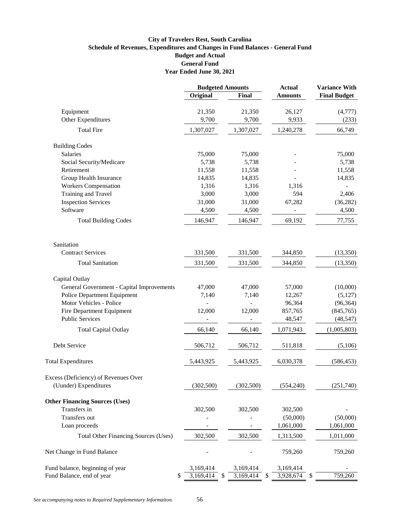#### **City of Travelers Rest, South Carolina Schedule of Revenues, Expenditures and Changes in Fund Balances - General Fund Budget and Actual General Fund Year Ended June 30, 2021**

|                                             |            | <b>Budgeted Amounts</b> | <b>Actual</b>                | <b>Variance With</b> |  |
|---------------------------------------------|------------|-------------------------|------------------------------|----------------------|--|
|                                             | Original   | <b>Final</b>            | <b>Amounts</b>               | <b>Final Budget</b>  |  |
| Equipment                                   | 21,350     | 21,350                  | 26,127                       | (4,777)              |  |
| Other Expenditures                          | 9,700      | 9,700                   | 9,933                        | (233)                |  |
| <b>Total Fire</b>                           | 1,307,027  | 1,307,027               | 1,240,278                    | 66,749               |  |
| <b>Building Codes</b>                       |            |                         |                              |                      |  |
| Salaries                                    | 75,000     | 75,000                  |                              | 75,000               |  |
| Social Security/Medicare                    | 5,738      | 5,738                   |                              | 5,738                |  |
| Retirement                                  | 11,558     | 11,558                  |                              | 11,558               |  |
| Group Health Insurance                      | 14,835     | 14,835                  |                              | 14,835               |  |
| Workers Compensation                        | 1,316      | 1,316                   | 1,316                        |                      |  |
| Training and Travel                         | 3,000      | 3,000                   | 594                          | 2,406                |  |
| <b>Inspection Services</b>                  | 31,000     | 31,000                  | 67,282                       | (36, 282)            |  |
| Software                                    | 4,500      | 4,500                   | $\qquad \qquad \blacksquare$ | 4,500                |  |
| <b>Total Building Codes</b>                 | 146,947    | 146,947                 | 69,192                       | 77,755               |  |
| Sanitation                                  |            |                         |                              |                      |  |
| <b>Contract Services</b>                    | 331,500    | 331,500                 | 344,850                      | (13,350)             |  |
| <b>Total Sanitation</b>                     | 331,500    | 331,500                 | 344,850                      | (13,350)             |  |
| Capital Outlay                              |            |                         |                              |                      |  |
| General Government - Capital Improvements   | 47,000     | 47,000                  | 57,000                       | (10,000)             |  |
| Police Department Equipment                 | 7,140      | 7,140                   | 12,267                       | (5,127)              |  |
| Motor Vehicles - Police                     |            |                         | 96,364                       | (96, 364)            |  |
| Fire Department Equipment                   | 12,000     | 12,000                  | 857,765                      | (845,765)            |  |
| <b>Public Services</b>                      |            |                         | 48,547                       | (48, 547)            |  |
| <b>Total Capital Outlay</b>                 | 66,140     | 66,140                  | 1,071,943                    | (1,005,803)          |  |
| Debt Service                                | 506,712    | 506,712                 | 511,818                      | (5,106)              |  |
| <b>Total Expenditures</b>                   | 5,443,925  | 5,443,925               | 6,030,378                    | (586, 453)           |  |
| Excess (Deficiency) of Revenues Over        |            |                         |                              |                      |  |
| (Uunder) Expenditures                       | (302, 500) | (302, 500)              | (554, 240)                   | (251,740)            |  |
| <b>Other Financing Sources (Uses)</b>       |            |                         |                              |                      |  |
| Transfers in                                | 302,500    | 302,500                 | 302,500                      |                      |  |
| Transfers out                               |            |                         | (50,000)                     | (50,000)             |  |
| Loan proceeds                               |            |                         | 1,061,000                    | 1,061,000            |  |
| <b>Total Other Financing Sources (Uses)</b> | 302,500    | 302,500                 | 1,313,500                    | 1,011,000            |  |
| Net Change in Fund Balance                  |            |                         | 759,260                      | 759,260              |  |
| Fund balance, beginning of year             | 3,169,414  | 3,169,414               | 3,169,414                    |                      |  |
| Fund Balance, end of year                   | 3,169,414  | 3,169,414<br>S          | 3,928,674                    | 759,260<br>\$        |  |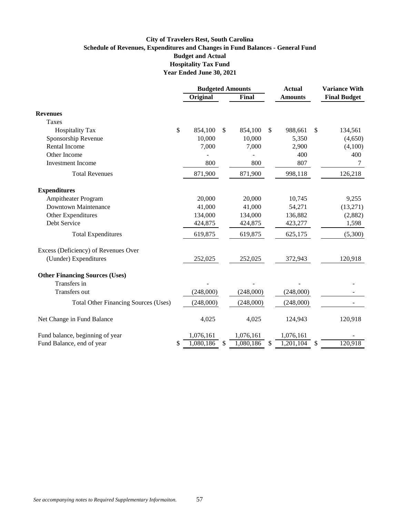#### **City of Travelers Rest, South Carolina Schedule of Revenues, Expenditures and Changes in Fund Balances - General Fund Budget and Actual Hospitality Tax Fund Year Ended June 30, 2021**

|                                             |              | <b>Budgeted Amounts</b> |               |           | <b>Actual</b>   | <b>Variance With</b> |
|---------------------------------------------|--------------|-------------------------|---------------|-----------|-----------------|----------------------|
|                                             |              | Original                |               | Final     | <b>Amounts</b>  | <b>Final Budget</b>  |
| <b>Revenues</b>                             |              |                         |               |           |                 |                      |
| Taxes                                       |              |                         |               |           |                 |                      |
| <b>Hospitality Tax</b>                      | $\mathbb{S}$ | 854,100                 | <sup>\$</sup> | 854,100   | \$<br>988,661   | \$<br>134,561        |
| Sponsorship Revenue                         |              | 10,000                  |               | 10,000    | 5,350           | (4,650)              |
| <b>Rental Income</b>                        |              | 7,000                   |               | 7,000     | 2,900           | (4,100)              |
| Other Income                                |              |                         |               |           | 400             | 400                  |
| <b>Investment Income</b>                    |              | 800                     |               | 800       | 807             | 7                    |
| <b>Total Revenues</b>                       |              | 871,900                 |               | 871,900   | 998,118         | 126,218              |
| <b>Expenditures</b>                         |              |                         |               |           |                 |                      |
| Ampitheater Program                         |              | 20,000                  |               | 20,000    | 10,745          | 9,255                |
| <b>Downtown Maintenance</b>                 |              | 41,000                  |               | 41,000    | 54,271          | (13,271)             |
| Other Expenditures                          |              | 134,000                 |               | 134,000   | 136,882         | (2,882)              |
| Debt Service                                |              | 424,875                 |               | 424,875   | 423,277         | 1,598                |
| <b>Total Expenditures</b>                   |              | 619,875                 |               | 619,875   | 625,175         | (5,300)              |
| Excess (Deficiency) of Revenues Over        |              |                         |               |           |                 |                      |
| (Uunder) Expenditures                       |              | 252,025                 |               | 252,025   | 372,943         | 120,918              |
| <b>Other Financing Sources (Uses)</b>       |              |                         |               |           |                 |                      |
| Transfers in                                |              |                         |               |           |                 |                      |
| Transfers out                               |              | (248,000)               |               | (248,000) | (248,000)       |                      |
| <b>Total Other Financing Sources (Uses)</b> |              | (248,000)               |               | (248,000) | (248,000)       |                      |
| Net Change in Fund Balance                  |              | 4,025                   |               | 4,025     | 124,943         | 120,918              |
| Fund balance, beginning of year             |              | 1,076,161               |               | 1,076,161 | 1,076,161       |                      |
| Fund Balance, end of year                   | \$           | 1,080,186               | \$            | 1,080,186 | \$<br>1,201,104 | \$<br>120,918        |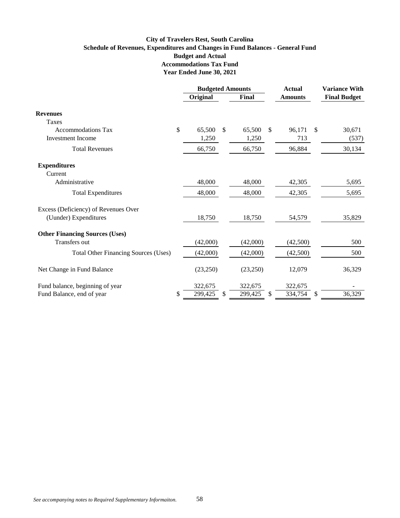#### **City of Travelers Rest, South Carolina Schedule of Revenues, Expenditures and Changes in Fund Balances - General Fund Budget and Actual Accommodations Tax Fund Year Ended June 30, 2021**

|                                             | <b>Budgeted Amounts</b> |               |          |               | <b>Actual</b>  | <b>Variance With</b> |
|---------------------------------------------|-------------------------|---------------|----------|---------------|----------------|----------------------|
|                                             | Original                |               | Final    |               | <b>Amounts</b> | <b>Final Budget</b>  |
| <b>Revenues</b>                             |                         |               |          |               |                |                      |
| Taxes                                       |                         |               |          |               |                |                      |
| Accommodations Tax                          | \$<br>65,500            | <sup>\$</sup> | 65,500   | <sup>\$</sup> | 96,171         | \$<br>30,671         |
| <b>Investment</b> Income                    | 1,250                   |               | 1,250    |               | 713            | (537)                |
| <b>Total Revenues</b>                       | 66,750                  |               | 66,750   |               | 96,884         | 30,134               |
| <b>Expenditures</b>                         |                         |               |          |               |                |                      |
| Current                                     |                         |               |          |               |                |                      |
| Administrative                              | 48,000                  |               | 48,000   |               | 42,305         | 5,695                |
| <b>Total Expenditures</b>                   | 48,000                  |               | 48,000   |               | 42,305         | 5,695                |
| Excess (Deficiency) of Revenues Over        |                         |               |          |               |                |                      |
| (Uunder) Expenditures                       | 18,750                  |               | 18,750   |               | 54,579         | 35,829               |
| <b>Other Financing Sources (Uses)</b>       |                         |               |          |               |                |                      |
| Transfers out                               | (42,000)                |               | (42,000) |               | (42,500)       | 500                  |
| <b>Total Other Financing Sources (Uses)</b> | (42,000)                |               | (42,000) |               | (42,500)       | 500                  |
| Net Change in Fund Balance                  | (23,250)                |               | (23,250) |               | 12,079         | 36,329               |
| Fund balance, beginning of year             | 322,675                 |               | 322,675  |               | 322,675        |                      |
| Fund Balance, end of year                   | \$<br>299,425           | \$.           | 299,425  | \$.           | 334,754        | \$<br>36,329         |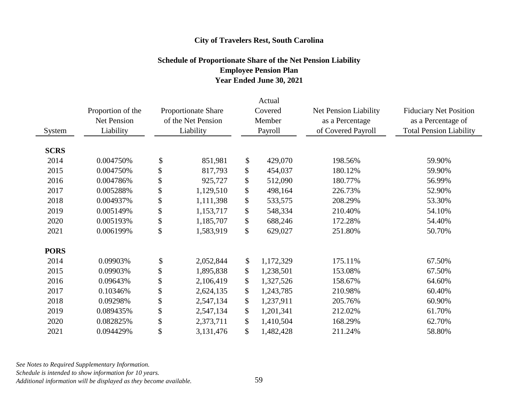# **Year Ended June 30, 2021 Schedule of Proportionate Share of the Net Pension LiabilityEmployee Pension Plan**

| System      | Proportion of the<br>Net Pension<br>Liability | Proportionate Share<br>of the Net Pension<br>Liability |              | Actual<br>Covered<br>Member<br>Payroll | Net Pension Liability<br>as a Percentage<br>of Covered Payroll | <b>Fiduciary Net Position</b><br>as a Percentage of<br><b>Total Pension Liability</b> |
|-------------|-----------------------------------------------|--------------------------------------------------------|--------------|----------------------------------------|----------------------------------------------------------------|---------------------------------------------------------------------------------------|
| <b>SCRS</b> |                                               |                                                        |              |                                        |                                                                |                                                                                       |
| 2014        | 0.004750%                                     | \$<br>851,981                                          | \$           | 429,070                                | 198.56%                                                        | 59.90%                                                                                |
| 2015        | 0.004750%                                     | \$<br>817,793                                          | \$           | 454,037                                | 180.12%                                                        | 59.90%                                                                                |
| 2016        | 0.004786%                                     | \$<br>925,727                                          | \$           | 512,090                                | 180.77%                                                        | 56.99%                                                                                |
| 2017        | 0.005288%                                     | \$<br>1,129,510                                        | \$           | 498,164                                | 226.73%                                                        | 52.90%                                                                                |
| 2018        | 0.004937%                                     | \$<br>1,111,398                                        | \$           | 533,575                                | 208.29%                                                        | 53.30%                                                                                |
| 2019        | 0.005149%                                     | \$<br>1,153,717                                        | \$           | 548,334                                | 210.40%                                                        | 54.10%                                                                                |
| 2020        | 0.005193%                                     | \$<br>1,185,707                                        | \$           | 688,246                                | 172.28%                                                        | 54.40%                                                                                |
| 2021        | 0.006199%                                     | \$<br>1,583,919                                        | $\mathbb{S}$ | 629,027                                | 251.80%                                                        | 50.70%                                                                                |
| <b>PORS</b> |                                               |                                                        |              |                                        |                                                                |                                                                                       |
| 2014        | 0.09903%                                      | \$<br>2,052,844                                        | \$           | 1,172,329                              | 175.11%                                                        | 67.50%                                                                                |
| 2015        | 0.09903%                                      | \$<br>1,895,838                                        | \$           | 1,238,501                              | 153.08%                                                        | 67.50%                                                                                |
| 2016        | 0.09643%                                      | \$<br>2,106,419                                        | \$           | 1,327,526                              | 158.67%                                                        | 64.60%                                                                                |
| 2017        | 0.10346%                                      | \$<br>2,624,135                                        | \$           | 1,243,785                              | 210.98%                                                        | 60.40%                                                                                |
| 2018        | 0.09298%                                      | \$<br>2,547,134                                        | \$           | 1,237,911                              | 205.76%                                                        | 60.90%                                                                                |
| 2019        | 0.089435%                                     | \$<br>2,547,134                                        | \$           | 1,201,341                              | 212.02%                                                        | 61.70%                                                                                |
| 2020        | 0.082825%                                     | \$<br>2,373,711                                        | \$           | 1,410,504                              | 168.29%                                                        | 62.70%                                                                                |
| 2021        | 0.094429%                                     | \$<br>3,131,476                                        | \$           | 1,482,428                              | 211.24%                                                        | 58.80%                                                                                |

 *Additional information will be displayed as they become available.*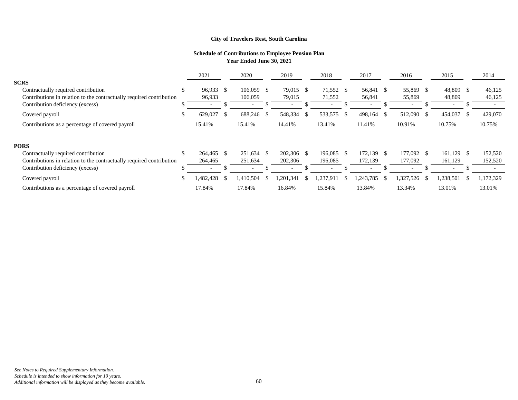#### **Schedule of Contributions to Employee Pension PlanYear Ended June 30, 2021**

|                                                                      |    | 2021                     |      | 2020                     |      | 2019       |     | 2018      |      | 2017       |          | 2016                     |      | 2015         |      | 2014      |
|----------------------------------------------------------------------|----|--------------------------|------|--------------------------|------|------------|-----|-----------|------|------------|----------|--------------------------|------|--------------|------|-----------|
| <b>SCRS</b>                                                          |    |                          |      |                          |      |            |     |           |      |            |          |                          |      |              |      |           |
| Contractually required contribution                                  | S  | 96,933 \$                |      | $106,059$ \$             |      | 79,015 \$  |     | 71,552 \$ |      | 56,841     | <b>S</b> | 55,869 \$                |      | 48,809 \$    |      | 46,125    |
| Contributions in relation to the contractually required contribution |    | 96,933                   |      | 106,059                  |      | 79,015     |     | 71,552    |      | 56,841     |          | 55,869                   |      | 48,809       |      | 46,125    |
| Contribution deficiency (excess)                                     |    |                          |      |                          |      |            |     |           |      |            |          |                          |      |              |      |           |
| Covered payroll                                                      | э  | 629,027                  | -S   | 688,246                  | - \$ | 548,334    | -\$ | 533,575   | -S   | 498,164    | -S       | 512,090                  | - \$ | 454,037      | - \$ | 429,070   |
| Contributions as a percentage of covered payroll                     |    | 15.41%                   |      | 15.41%                   |      | 14.41%     |     | 13.41%    |      | 11.41%     |          | 10.91%                   |      | 10.75%       |      | 10.75%    |
| <b>PORS</b>                                                          |    |                          |      |                          |      |            |     |           |      |            |          |                          |      |              |      |           |
| Contractually required contribution                                  | \$ | 264,465 \$               |      | 251,634 \$               |      | 202,306 \$ |     | 196,085   | - \$ | 172.139 \$ |          | 177,092 \$               |      | $161,129$ \$ |      | 152,520   |
| Contributions in relation to the contractually required contribution |    | 264,465                  |      | 251,634                  |      | 202,306    |     | 196,085   |      | 172,139    |          | 177,092                  |      | 161,129      |      | 152,520   |
| Contribution deficiency (excess)                                     |    | $\overline{\phantom{0}}$ |      | $\overline{\phantom{0}}$ |      |            |     |           |      |            |          | $\overline{\phantom{0}}$ |      |              |      |           |
| Covered payroll                                                      | \$ | 1,482,428                | - 75 | .410,504                 | - \$ | ,201,341   |     | ,237,911  | -\$  | .243,785   | -\$      | .327,526                 | - \$ | 1,238,501    |      | 1,172,329 |
| Contributions as a percentage of covered payroll                     |    | 17.84%                   |      | 17.84%                   |      | 16.84%     |     | 15.84%    |      | 13.84%     |          | 13.34%                   |      | 13.01%       |      | 13.01%    |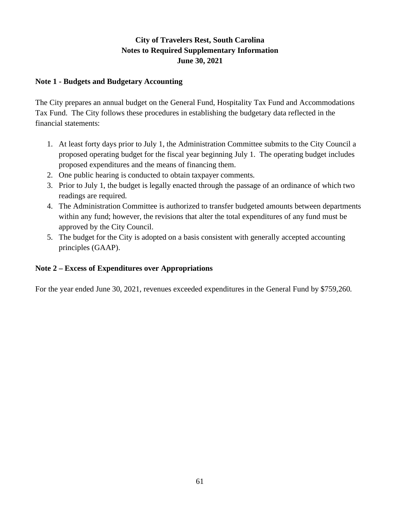# **City of Travelers Rest, South Carolina Notes to Required Supplementary Information June 30, 2021**

## **Note 1 - Budgets and Budgetary Accounting**

The City prepares an annual budget on the General Fund, Hospitality Tax Fund and Accommodations Tax Fund. The City follows these procedures in establishing the budgetary data reflected in the financial statements:

- 1. At least forty days prior to July 1, the Administration Committee submits to the City Council a proposed operating budget for the fiscal year beginning July 1. The operating budget includes proposed expenditures and the means of financing them.
- 2. One public hearing is conducted to obtain taxpayer comments.
- 3. Prior to July 1, the budget is legally enacted through the passage of an ordinance of which two readings are required.
- 4. The Administration Committee is authorized to transfer budgeted amounts between departments within any fund; however, the revisions that alter the total expenditures of any fund must be approved by the City Council.
- 5. The budget for the City is adopted on a basis consistent with generally accepted accounting principles (GAAP).

# **Note 2 – Excess of Expenditures over Appropriations**

For the year ended June 30, 2021, revenues exceeded expenditures in the General Fund by \$759,260.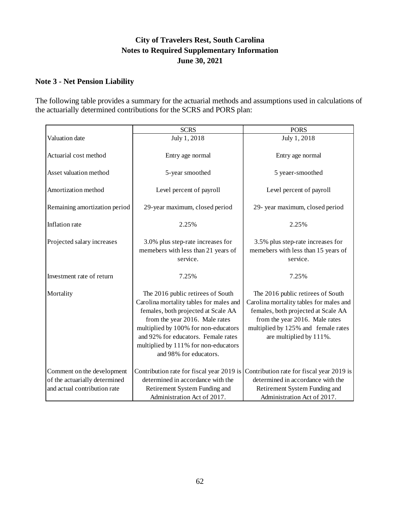# **City of Travelers Rest, South Carolina Notes to Required Supplementary Information June 30, 2021**

# **Note 3 - Net Pension Liability**

The following table provides a summary for the actuarial methods and assumptions used in calculations of the actuarially determined contributions for the SCRS and PORS plan:

|                                                                                             | <b>SCRS</b>                                                                                                                                                                                                                                                                                            | <b>PORS</b>                                                                                                                                                                                                             |
|---------------------------------------------------------------------------------------------|--------------------------------------------------------------------------------------------------------------------------------------------------------------------------------------------------------------------------------------------------------------------------------------------------------|-------------------------------------------------------------------------------------------------------------------------------------------------------------------------------------------------------------------------|
| Valuation date                                                                              | July 1, 2018                                                                                                                                                                                                                                                                                           | July 1, 2018                                                                                                                                                                                                            |
|                                                                                             |                                                                                                                                                                                                                                                                                                        |                                                                                                                                                                                                                         |
| Actuarial cost method                                                                       | Entry age normal                                                                                                                                                                                                                                                                                       | Entry age normal                                                                                                                                                                                                        |
| Asset valuation method                                                                      | 5-year smoothed                                                                                                                                                                                                                                                                                        | 5 yeaer-smoothed                                                                                                                                                                                                        |
| Amortization method                                                                         | Level percent of payroll                                                                                                                                                                                                                                                                               | Level percent of payroll                                                                                                                                                                                                |
| Remaining amortization period                                                               | 29-year maximum, closed period                                                                                                                                                                                                                                                                         | 29- year maximum, closed period                                                                                                                                                                                         |
| Inflation rate                                                                              | 2.25%                                                                                                                                                                                                                                                                                                  | 2.25%                                                                                                                                                                                                                   |
| Projected salary increases                                                                  | 3.0% plus step-rate increases for<br>memebers with less than 21 years of<br>service.                                                                                                                                                                                                                   | 3.5% plus step-rate increases for<br>memebers with less than 15 years of<br>service.                                                                                                                                    |
| Investment rate of return                                                                   | 7.25%                                                                                                                                                                                                                                                                                                  | 7.25%                                                                                                                                                                                                                   |
| Mortality                                                                                   | The 2016 public retirees of South<br>Carolina mortality tables for males and<br>females, both projected at Scale AA<br>from the year 2016. Male rates<br>multiplied by 100% for non-educators<br>and 92% for educators. Female rates<br>multiplied by 111% for non-educators<br>and 98% for educators. | The 2016 public retirees of South<br>Carolina mortality tables for males and<br>females, both projected at Scale AA<br>from the year 2016. Male rates<br>multiplied by 125% and female rates<br>are multiplied by 111%. |
| Comment on the development<br>of the actuarially determined<br>and actual contribution rate | determined in accordance with the<br>Retirement System Funding and<br>Administration Act of 2017.                                                                                                                                                                                                      | Contribution rate for fiscal year 2019 is Contribution rate for fiscal year 2019 is<br>determined in accordance with the<br>Retirement System Funding and<br>Administration Act of 2017.                                |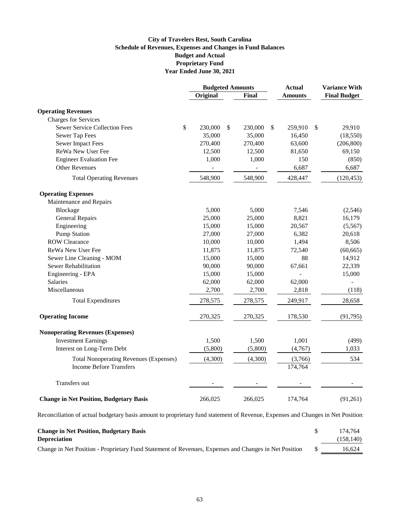#### **City of Travelers Rest, South Carolina Schedule of Revenues, Expenses and Changes in Fund Balances Budget and Actual Proprietary Fund Year Ended June 30, 2021**

|                                                      |          | <b>Budgeted Amounts</b> |         | <b>Actual</b> |               | <b>Variance With</b> |  |  |
|------------------------------------------------------|----------|-------------------------|---------|---------------|---------------|----------------------|--|--|
|                                                      | Original |                         | Final   | Amounts       |               | <b>Final Budget</b>  |  |  |
| <b>Operating Revenues</b>                            |          |                         |         |               |               |                      |  |  |
| <b>Charges for Services</b>                          |          |                         |         |               |               |                      |  |  |
| <b>Sewer Service Collection Fees</b><br>$\mathbb{S}$ | 230,000  | \$                      | 230,000 | \$<br>259,910 | $\mathcal{S}$ | 29,910               |  |  |
| Sewer Tap Fees                                       | 35,000   |                         | 35,000  | 16,450        |               | (18, 550)            |  |  |
| <b>Sewer Impact Fees</b>                             | 270,400  |                         | 270,400 | 63,600        |               | (206, 800)           |  |  |
| ReWa New User Fee                                    | 12,500   |                         | 12,500  | 81,650        |               | 69,150               |  |  |
| <b>Engineer Evaluation Fee</b>                       | 1,000    |                         | 1,000   | 150           |               | (850)                |  |  |
| <b>Other Revenues</b>                                |          |                         |         | 6,687         |               | 6,687                |  |  |
| <b>Total Operating Revenues</b>                      | 548,900  |                         | 548,900 | 428,447       |               | (120, 453)           |  |  |
| <b>Operating Expenses</b>                            |          |                         |         |               |               |                      |  |  |
| Maintenance and Repairs                              |          |                         |         |               |               |                      |  |  |
| Blockage                                             | 5,000    |                         | 5,000   | 7,546         |               | (2,546)              |  |  |
| <b>General Repairs</b>                               | 25,000   |                         | 25,000  | 8,821         |               | 16,179               |  |  |
| Engineering                                          | 15,000   |                         | 15,000  | 20,567        |               | (5,567)              |  |  |
| <b>Pump Station</b>                                  | 27,000   |                         | 27,000  | 6,382         |               | 20,618               |  |  |
| <b>ROW Clearance</b>                                 | 10,000   |                         | 10,000  | 1,494         |               | 8,506                |  |  |
| ReWa New User Fee                                    | 11,875   |                         | 11,875  | 72,540        |               | (60, 665)            |  |  |
| Sewer Line Cleaning - MOM                            | 15,000   |                         | 15,000  | 88            |               | 14,912               |  |  |
| Sewer Rehabilitation                                 | 90,000   |                         | 90,000  | 67,661        |               | 22,339               |  |  |
| Engineering - EPA                                    | 15,000   |                         | 15,000  |               |               | 15,000               |  |  |
| Salaries                                             | 62,000   |                         | 62,000  | 62,000        |               |                      |  |  |
| Miscellaneous                                        | 2,700    |                         | 2,700   | 2,818         |               | (118)                |  |  |
| <b>Total Expenditures</b>                            | 278,575  |                         | 278,575 | 249,917       |               | 28,658               |  |  |
| <b>Operating Income</b>                              | 270,325  |                         | 270,325 | 178,530       |               | (91, 795)            |  |  |
| <b>Nonoperating Revenues (Expenses)</b>              |          |                         |         |               |               |                      |  |  |
| <b>Investment Earnings</b>                           | 1,500    |                         | 1,500   | 1,001         |               | (499)                |  |  |
| Interest on Long-Term Debt                           | (5,800)  |                         | (5,800) | (4,767)       |               | 1,033                |  |  |
| <b>Total Nonoperating Revenues (Expenses)</b>        | (4,300)  |                         | (4,300) | (3,766)       |               | 534                  |  |  |
| <b>Income Before Transfers</b>                       |          |                         |         | 174,764       |               |                      |  |  |
| Transfers out                                        |          |                         |         |               |               |                      |  |  |
| <b>Change in Net Position, Budgetary Basis</b>       | 266,025  |                         | 266,025 | 174,764       |               | (91,261)             |  |  |

Reconciliation of actual budgetary basis amount to proprietary fund statement of Revenue, Expenses and Changes in Net Position:

| <b>Change in Net Position, Budgetary Basis</b>                                                        | 174.764   |
|-------------------------------------------------------------------------------------------------------|-----------|
| <b>Depreciation</b>                                                                                   | (158.140) |
| Change in Net Position - Proprietary Fund Statement of Revenues, Expenses and Changes in Net Position | 16.624    |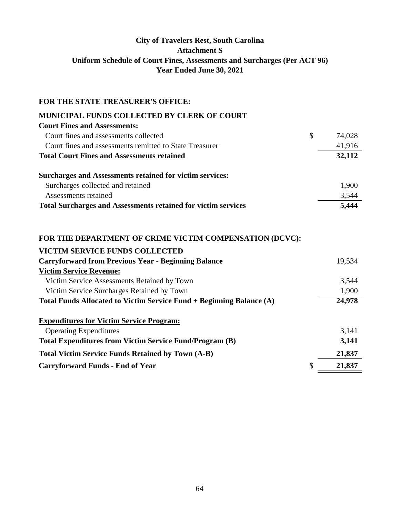# **City of Travelers Rest, South Carolina Attachment S Uniform Schedule of Court Fines, Assessments and Surcharges (Per ACT 96) Year Ended June 30, 2021**

# **FOR THE STATE TREASURER'S OFFICE:**

# **MUNICIPAL FUNDS COLLECTED BY CLERK OF COURT**

| <b>Court Fines and Assessments:</b>                                  |              |
|----------------------------------------------------------------------|--------------|
| Court fines and assessments collected                                | \$<br>74,028 |
| Court fines and assessments remitted to State Treasurer              | 41,916       |
| <b>Total Court Fines and Assessments retained</b>                    | 32,112       |
| <b>Surcharges and Assessments retained for victim services:</b>      |              |
| Surcharges collected and retained                                    | 1,900        |
| Assessments retained                                                 | 3,544        |
| <b>Total Surcharges and Assessments retained for victim services</b> | 5,444        |
| FOR THE DEPARTMENT OF CRIME VICTIM COMPENSATION (DCVC):              |              |
| VICTIM SEDVICE FUNDS COLLECTED                                       |              |

| VICTIM SERVICE FUNDS COLLECTED                                       |              |
|----------------------------------------------------------------------|--------------|
| <b>Carryforward from Previous Year - Beginning Balance</b>           | 19,534       |
| <b>Victim Service Revenue:</b>                                       |              |
| Victim Service Assessments Retained by Town                          | 3,544        |
| Victim Service Surcharges Retained by Town                           | 1,900        |
| Total Funds Allocated to Victim Service Fund + Beginning Balance (A) | 24,978       |
| <b>Expenditures for Victim Service Program:</b>                      |              |
| <b>Operating Expenditures</b>                                        | 3,141        |
| Total Expenditures from Victim Service Fund/Program (B)              | 3,141        |
| <b>Total Victim Service Funds Retained by Town (A-B)</b>             | 21,837       |
| <b>Carryforward Funds - End of Year</b>                              | \$<br>21,837 |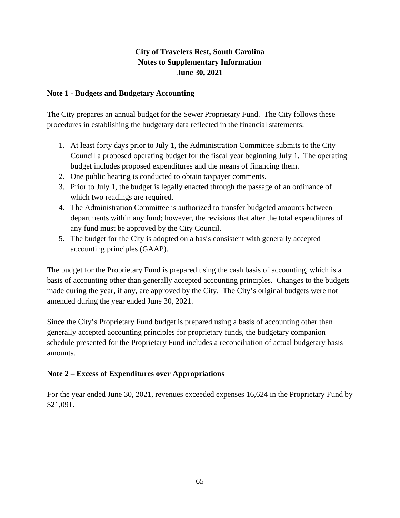# **City of Travelers Rest, South Carolina Notes to Supplementary Information June 30, 2021**

## **Note 1 - Budgets and Budgetary Accounting**

The City prepares an annual budget for the Sewer Proprietary Fund. The City follows these procedures in establishing the budgetary data reflected in the financial statements:

- 1. At least forty days prior to July 1, the Administration Committee submits to the City Council a proposed operating budget for the fiscal year beginning July 1. The operating budget includes proposed expenditures and the means of financing them.
- 2. One public hearing is conducted to obtain taxpayer comments.
- 3. Prior to July 1, the budget is legally enacted through the passage of an ordinance of which two readings are required.
- 4. The Administration Committee is authorized to transfer budgeted amounts between departments within any fund; however, the revisions that alter the total expenditures of any fund must be approved by the City Council.
- 5. The budget for the City is adopted on a basis consistent with generally accepted accounting principles (GAAP).

The budget for the Proprietary Fund is prepared using the cash basis of accounting, which is a basis of accounting other than generally accepted accounting principles. Changes to the budgets made during the year, if any, are approved by the City. The City's original budgets were not amended during the year ended June 30, 2021.

Since the City's Proprietary Fund budget is prepared using a basis of accounting other than generally accepted accounting principles for proprietary funds, the budgetary companion schedule presented for the Proprietary Fund includes a reconciliation of actual budgetary basis amounts.

# **Note 2 – Excess of Expenditures over Appropriations**

For the year ended June 30, 2021, revenues exceeded expenses 16,624 in the Proprietary Fund by \$21,091.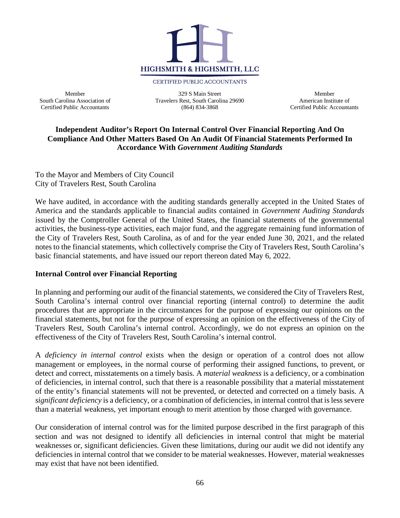

CERTIFIED PUBLIC ACCOUNTANTS

Member South Carolina Association of Certified Public Accountants

329 S Main Street Travelers Rest, South Carolina 29690 (864) 834-3868

Member American Institute of Certified Public Accountants

# **Independent Auditor's Report On Internal Control Over Financial Reporting And On Compliance And Other Matters Based On An Audit Of Financial Statements Performed In Accordance With** *Government Auditing Standards*

To the Mayor and Members of City Council City of Travelers Rest, South Carolina

We have audited, in accordance with the auditing standards generally accepted in the United States of America and the standards applicable to financial audits contained in *Government Auditing Standards* issued by the Comptroller General of the United States, the financial statements of the governmental activities, the business-type activities, each major fund, and the aggregate remaining fund information of the City of Travelers Rest, South Carolina, as of and for the year ended June 30, 2021, and the related notes to the financial statements, which collectively comprise the City of Travelers Rest, South Carolina's basic financial statements, and have issued our report thereon dated May 6, 2022.

# **Internal Control over Financial Reporting**

In planning and performing our audit of the financial statements, we considered the City of Travelers Rest, South Carolina's internal control over financial reporting (internal control) to determine the audit procedures that are appropriate in the circumstances for the purpose of expressing our opinions on the financial statements, but not for the purpose of expressing an opinion on the effectiveness of the City of Travelers Rest, South Carolina's internal control. Accordingly, we do not express an opinion on the effectiveness of the City of Travelers Rest, South Carolina's internal control.

A *deficiency in internal control* exists when the design or operation of a control does not allow management or employees, in the normal course of performing their assigned functions, to prevent, or detect and correct, misstatements on a timely basis. A *material weakness* is a deficiency, or a combination of deficiencies, in internal control, such that there is a reasonable possibility that a material misstatement of the entity's financial statements will not be prevented, or detected and corrected on a timely basis. A *significant deficiency* is a deficiency, or a combination of deficiencies, in internal control that is less severe than a material weakness, yet important enough to merit attention by those charged with governance.

Our consideration of internal control was for the limited purpose described in the first paragraph of this section and was not designed to identify all deficiencies in internal control that might be material weaknesses or, significant deficiencies. Given these limitations, during our audit we did not identify any deficiencies in internal control that we consider to be material weaknesses. However, material weaknesses may exist that have not been identified.